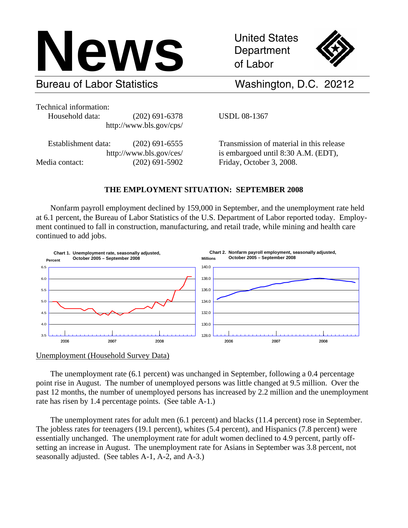

Department of Labor



Bureau of Labor Statistics Washington, D.C. 20212

Technical information: Household data: (202) 691-6378 USDL 08-1367

| Household data: | $(202)$ 691-6378        |
|-----------------|-------------------------|
|                 | http://www.bls.gov/cps/ |
|                 |                         |

Media contact: (202) 691-5902 Friday, October 3, 2008.

Establishment data: (202) 691-6555 Transmission of material in this release http://www.bls.gov/ces/ is embargoed until 8:30 A.M. (EDT),

# **THE EMPLOYMENT SITUATION: SEPTEMBER 2008**

Nonfarm payroll employment declined by 159,000 in September, and the unemployment rate held at 6.1 percent, the Bureau of Labor Statistics of the U.S. Department of Labor reported today. Employment continued to fall in construction, manufacturing, and retail trade, while mining and health care continued to add jobs.



Unemployment (Household Survey Data)

The unemployment rate (6.1 percent) was unchanged in September, following a 0.4 percentage point rise in August. The number of unemployed persons was little changed at 9.5 million. Over the past 12 months, the number of unemployed persons has increased by 2.2 million and the unemployment rate has risen by 1.4 percentage points. (See table A-1.)

The unemployment rates for adult men (6.1 percent) and blacks (11.4 percent) rose in September. The jobless rates for teenagers (19.1 percent), whites (5.4 percent), and Hispanics (7.8 percent) were essentially unchanged. The unemployment rate for adult women declined to 4.9 percent, partly offsetting an increase in August. The unemployment rate for Asians in September was 3.8 percent, not seasonally adjusted. (See tables A-1, A-2, and A-3.)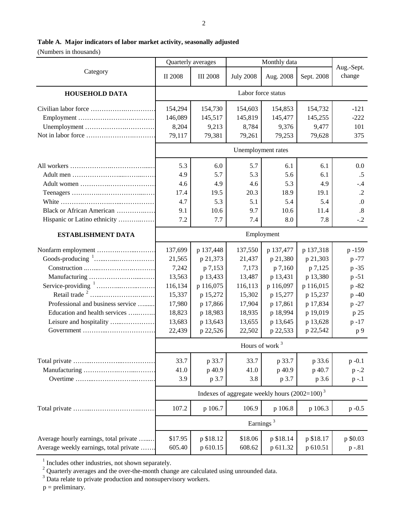# **Table A. Major indicators of labor market activity, seasonally adjusted**

(Numbers in thousands)

|                                        |         | Quarterly averages | Monthly data       |                                                  | Aug.-Sept. |           |
|----------------------------------------|---------|--------------------|--------------------|--------------------------------------------------|------------|-----------|
| Category                               | II 2008 | <b>III 2008</b>    | <b>July 2008</b>   | Aug. 2008                                        | Sept. 2008 | change    |
| <b>HOUSEHOLD DATA</b>                  |         |                    |                    | Labor force status                               |            |           |
|                                        | 154,294 | 154,730            | 154,603            | 154,853                                          | 154,732    | $-121$    |
|                                        | 146,089 | 145,517            | 145,819            | 145,477                                          | 145,255    | $-222$    |
|                                        | 8,204   | 9,213              | 8,784              | 9,376                                            | 9,477      | 101       |
|                                        | 79,117  | 79,381             | 79,261             | 79,253                                           | 79,628     | 375       |
|                                        |         |                    | Unemployment rates |                                                  |            |           |
|                                        | 5.3     | 6.0                | 5.7                | 6.1                                              | 6.1        | 0.0       |
|                                        | 4.9     | 5.7                | 5.3                | 5.6                                              | 6.1        | .5        |
|                                        | 4.6     | 4.9                | 4.6                | 5.3                                              | 4.9        | $-.4$     |
|                                        | 17.4    | 19.5               | 20.3               | 18.9                                             | 19.1       | $\cdot$   |
|                                        | 4.7     | 5.3                | 5.1                | 5.4                                              | 5.4        | 0.        |
| Black or African American              | 9.1     | 10.6               | 9.7                | 10.6                                             | 11.4       | $.8\,$    |
| Hispanic or Latino ethnicity           | 7.2     | 7.7                | 7.4                | 8.0                                              | 7.8        | $-.2$     |
| <b>ESTABLISHMENT DATA</b>              |         |                    |                    | Employment                                       |            |           |
|                                        | 137,699 | p 137,448          | 137,550            | p 137,477                                        | p 137,318  | $p - 159$ |
|                                        | 21,565  | p 21,373           | 21,437             | p 21,380                                         | p 21,303   | p-77      |
|                                        | 7,242   | p 7,153            | 7,173              | p 7,160                                          | p 7,125    | $p - 35$  |
| Manufacturing                          | 13,563  | p 13,433           | 13,487             | p 13,431                                         | p 13,380   | $p - 51$  |
|                                        | 116,134 | p 116,075          | 116,113            | p 116,097                                        | p 116,015  | p-82      |
|                                        | 15,337  | p 15,272           | 15,302             | p 15,277                                         | p 15,237   | $p - 40$  |
| Professional and business service      | 17,980  | p 17,866           | 17,904             | p 17,861                                         | p 17,834   | $p - 27$  |
| Education and health services          | 18,823  | p 18,983           | 18,935             | p 18,994                                         | p 19,019   | p 25      |
|                                        | 13,683  | p 13,643           | 13,655             | p 13,645                                         | p 13,628   | $p - 17$  |
|                                        | 22,439  | p 22,526           | 22,502             | p 22,533                                         | p 22,542   | p 9       |
|                                        |         |                    |                    | Hours of work <sup>3</sup>                       |            |           |
|                                        | 33.7    | p 33.7             | 33.7               | p 33.7                                           | p 33.6     | $p - 0.1$ |
|                                        | 41.0    | p 40.9             | 41.0               | p 40.9                                           | p 40.7     | $p - 2$   |
|                                        | 3.9     | p 3.7              | 3.8                | p 3.7                                            | p 3.6      | $p - 1$   |
|                                        |         |                    |                    | Indexes of aggregate weekly hours $(2002=100)^3$ |            |           |
|                                        | 107.2   | p 106.7            | 106.9              | p 106.8                                          | p 106.3    | $p - 0.5$ |
|                                        |         |                    |                    | Earnings <sup>3</sup>                            |            |           |
| Average hourly earnings, total private | \$17.95 | p \$18.12          | \$18.06            | p \$18.14                                        | p \$18.17  | p \$0.03  |
| Average weekly earnings, total private | 605.40  | p 610.15           | 608.62             | p 611.32                                         | p 610.51   | $p - 81$  |
|                                        |         |                    |                    |                                                  |            |           |

<sup>1</sup> Includes other industries, not shown separately.<br>
<sup>2</sup> Quarterly averages and the over-the-month change are calculated using unrounded data.<br>
<sup>3</sup> Data relate to private production and nonsupervisory workers.

 $p =$  preliminary.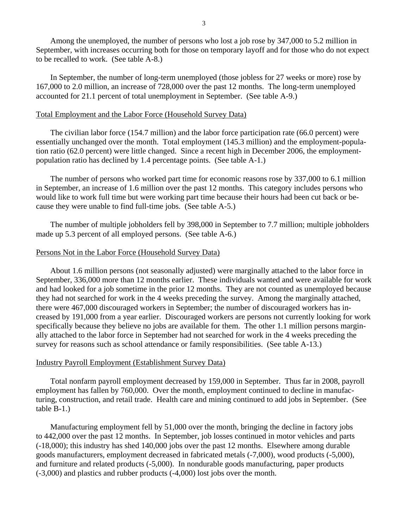Among the unemployed, the number of persons who lost a job rose by 347,000 to 5.2 million in September, with increases occurring both for those on temporary layoff and for those who do not expect to be recalled to work. (See table A-8.)

In September, the number of long-term unemployed (those jobless for 27 weeks or more) rose by 167,000 to 2.0 million, an increase of 728,000 over the past 12 months. The long-term unemployed accounted for 21.1 percent of total unemployment in September. (See table A-9.)

# Total Employment and the Labor Force (Household Survey Data)

The civilian labor force (154.7 million) and the labor force participation rate (66.0 percent) were essentially unchanged over the month. Total employment (145.3 million) and the employment-population ratio (62.0 percent) were little changed. Since a recent high in December 2006, the employmentpopulation ratio has declined by 1.4 percentage points. (See table A-1.)

The number of persons who worked part time for economic reasons rose by 337,000 to 6.1 million in September, an increase of 1.6 million over the past 12 months. This category includes persons who would like to work full time but were working part time because their hours had been cut back or because they were unable to find full-time jobs. (See table A-5.)

The number of multiple jobholders fell by 398,000 in September to 7.7 million; multiple jobholders made up 5.3 percent of all employed persons. (See table A-6.)

# Persons Not in the Labor Force (Household Survey Data)

About 1.6 million persons (not seasonally adjusted) were marginally attached to the labor force in September, 336,000 more than 12 months earlier. These individuals wanted and were available for work and had looked for a job sometime in the prior 12 months. They are not counted as unemployed because they had not searched for work in the 4 weeks preceding the survey. Among the marginally attached, there were 467,000 discouraged workers in September; the number of discouraged workers has increased by 191,000 from a year earlier. Discouraged workers are persons not currently looking for work specifically because they believe no jobs are available for them. The other 1.1 million persons marginally attached to the labor force in September had not searched for work in the 4 weeks preceding the survey for reasons such as school attendance or family responsibilities. (See table A-13.)

# Industry Payroll Employment (Establishment Survey Data)

Total nonfarm payroll employment decreased by 159,000 in September. Thus far in 2008, payroll employment has fallen by 760,000. Over the month, employment continued to decline in manufacturing, construction, and retail trade. Health care and mining continued to add jobs in September. (See table B-1.)

Manufacturing employment fell by 51,000 over the month, bringing the decline in factory jobs to 442,000 over the past 12 months. In September, job losses continued in motor vehicles and parts (-18,000); this industry has shed 140,000 jobs over the past 12 months. Elsewhere among durable goods manufacturers, employment decreased in fabricated metals (-7,000), wood products (-5,000), and furniture and related products (-5,000). In nondurable goods manufacturing, paper products (-3,000) and plastics and rubber products (-4,000) lost jobs over the month.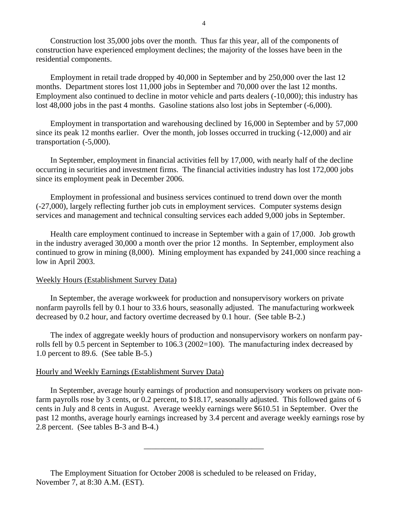Construction lost 35,000 jobs over the month. Thus far this year, all of the components of construction have experienced employment declines; the majority of the losses have been in the residential components.

Employment in retail trade dropped by 40,000 in September and by 250,000 over the last 12 months. Department stores lost 11,000 jobs in September and 70,000 over the last 12 months. Employment also continued to decline in motor vehicle and parts dealers (-10,000); this industry has lost 48,000 jobs in the past 4 months. Gasoline stations also lost jobs in September (-6,000).

Employment in transportation and warehousing declined by 16,000 in September and by 57,000 since its peak 12 months earlier. Over the month, job losses occurred in trucking (-12,000) and air transportation (-5,000).

In September, employment in financial activities fell by 17,000, with nearly half of the decline occurring in securities and investment firms. The financial activities industry has lost 172,000 jobs since its employment peak in December 2006.

Employment in professional and business services continued to trend down over the month (-27,000), largely reflecting further job cuts in employment services. Computer systems design services and management and technical consulting services each added 9,000 jobs in September.

Health care employment continued to increase in September with a gain of 17,000. Job growth in the industry averaged 30,000 a month over the prior 12 months. In September, employment also continued to grow in mining (8,000). Mining employment has expanded by 241,000 since reaching a low in April 2003.

# Weekly Hours (Establishment Survey Data)

In September, the average workweek for production and nonsupervisory workers on private nonfarm payrolls fell by 0.1 hour to 33.6 hours, seasonally adjusted. The manufacturing workweek decreased by 0.2 hour, and factory overtime decreased by 0.1 hour. (See table B-2.)

The index of aggregate weekly hours of production and nonsupervisory workers on nonfarm payrolls fell by 0.5 percent in September to 106.3 (2002=100). The manufacturing index decreased by 1.0 percent to 89.6. (See table B-5.)

## Hourly and Weekly Earnings (Establishment Survey Data)

In September, average hourly earnings of production and nonsupervisory workers on private nonfarm payrolls rose by 3 cents, or 0.2 percent, to \$18.17, seasonally adjusted. This followed gains of 6 cents in July and 8 cents in August. Average weekly earnings were \$610.51 in September. Over the past 12 months, average hourly earnings increased by 3.4 percent and average weekly earnings rose by 2.8 percent. (See tables B-3 and B-4.)

\_\_\_\_\_\_\_\_\_\_\_\_\_\_\_\_\_\_\_\_\_\_\_\_\_\_\_\_\_\_

The Employment Situation for October 2008 is scheduled to be released on Friday, November 7, at 8:30 A.M. (EST).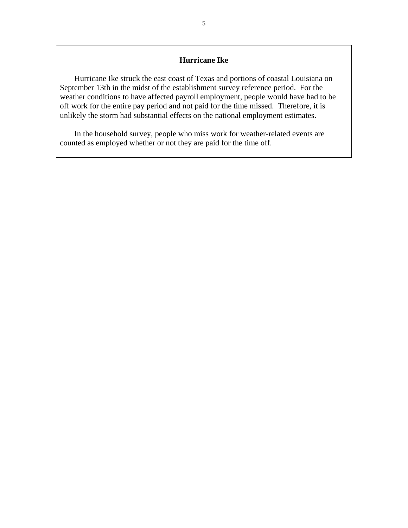# **Hurricane Ike**

Hurricane Ike struck the east coast of Texas and portions of coastal Louisiana on September 13th in the midst of the establishment survey reference period. For the weather conditions to have affected payroll employment, people would have had to be off work for the entire pay period and not paid for the time missed. Therefore, it is unlikely the storm had substantial effects on the national employment estimates.

In the household survey, people who miss work for weather-related events are counted as employed whether or not they are paid for the time off.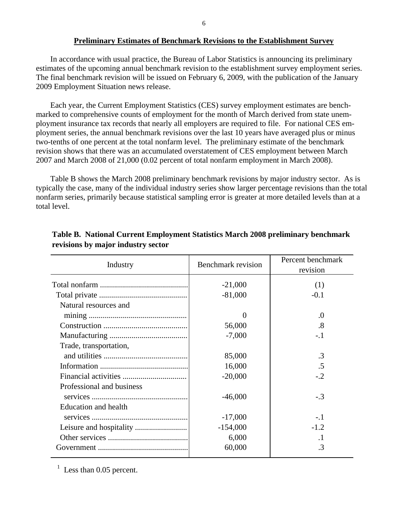# **Preliminary Estimates of Benchmark Revisions to the Establishment Survey**

In accordance with usual practice, the Bureau of Labor Statistics is announcing its preliminary estimates of the upcoming annual benchmark revision to the establishment survey employment series. The final benchmark revision will be issued on February 6, 2009, with the publication of the January 2009 Employment Situation news release.

Each year, the Current Employment Statistics (CES) survey employment estimates are benchmarked to comprehensive counts of employment for the month of March derived from state unemployment insurance tax records that nearly all employers are required to file. For national CES employment series, the annual benchmark revisions over the last 10 years have averaged plus or minus two-tenths of one percent at the total nonfarm level. The preliminary estimate of the benchmark revision shows that there was an accumulated overstatement of CES employment between March 2007 and March 2008 of 21,000 (0.02 percent of total nonfarm employment in March 2008).

Table B shows the March 2008 preliminary benchmark revisions by major industry sector. As is typically the case, many of the individual industry series show larger percentage revisions than the total nonfarm series, primarily because statistical sampling error is greater at more detailed levels than at a total level.

| Industry                    | <b>Benchmark</b> revision | Percent benchmark<br>revision |
|-----------------------------|---------------------------|-------------------------------|
|                             | $-21,000$                 | (1)                           |
|                             | $-81,000$                 | $-0.1$                        |
| Natural resources and       |                           |                               |
|                             | $\Omega$                  | $\cdot$                       |
|                             | 56,000                    | .8                            |
|                             | $-7,000$                  | $-.1$                         |
| Trade, transportation,      |                           |                               |
|                             | 85,000                    | $\cdot$ 3                     |
|                             | 16,000                    | .5                            |
|                             | $-20,000$                 | $-.2$                         |
| Professional and business   |                           |                               |
|                             | $-46,000$                 | $-.3$                         |
| <b>Education and health</b> |                           |                               |
|                             | $-17,000$                 | $-.1$                         |
|                             | $-154,000$                | $-1.2$                        |
|                             | 6,000                     | $\cdot$ 1                     |
|                             | 60,000                    | $\cdot$ 3                     |

# **Table B. National Current Employment Statistics March 2008 preliminary benchmark revisions by major industry sector**

 $<sup>1</sup>$  Less than 0.05 percent.</sup>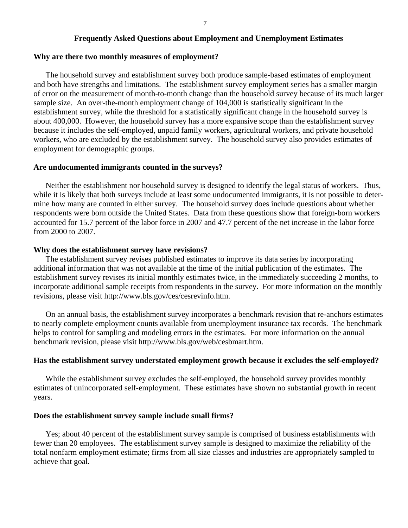# **Frequently Asked Questions about Employment and Unemployment Estimates**

# **Why are there two monthly measures of employment?**

The household survey and establishment survey both produce sample-based estimates of employment and both have strengths and limitations. The establishment survey employment series has a smaller margin of error on the measurement of month-to-month change than the household survey because of its much larger sample size. An over-the-month employment change of 104,000 is statistically significant in the establishment survey, while the threshold for a statistically significant change in the household survey is about 400,000. However, the household survey has a more expansive scope than the establishment survey because it includes the self-employed, unpaid family workers, agricultural workers, and private household workers, who are excluded by the establishment survey. The household survey also provides estimates of employment for demographic groups.

# **Are undocumented immigrants counted in the surveys?**

Neither the establishment nor household survey is designed to identify the legal status of workers. Thus, while it is likely that both surveys include at least some undocumented immigrants, it is not possible to determine how many are counted in either survey. The household survey does include questions about whether respondents were born outside the United States. Data from these questions show that foreign-born workers accounted for 15.7 percent of the labor force in 2007 and 47.7 percent of the net increase in the labor force from 2000 to 2007.

# **Why does the establishment survey have revisions?**

The establishment survey revises published estimates to improve its data series by incorporating additional information that was not available at the time of the initial publication of the estimates. The establishment survey revises its initial monthly estimates twice, in the immediately succeeding 2 months, to incorporate additional sample receipts from respondents in the survey. For more information on the monthly revisions, please visit http://www.bls.gov/ces/cesrevinfo.htm.

On an annual basis, the establishment survey incorporates a benchmark revision that re-anchors estimates to nearly complete employment counts available from unemployment insurance tax records. The benchmark helps to control for sampling and modeling errors in the estimates. For more information on the annual benchmark revision, please visit http://www.bls.gov/web/cesbmart.htm.

# **Has the establishment survey understated employment growth because it excludes the self-employed?**

While the establishment survey excludes the self-employed, the household survey provides monthly estimates of unincorporated self-employment. These estimates have shown no substantial growth in recent years.

## **Does the establishment survey sample include small firms?**

Yes; about 40 percent of the establishment survey sample is comprised of business establishments with fewer than 20 employees. The establishment survey sample is designed to maximize the reliability of the total nonfarm employment estimate; firms from all size classes and industries are appropriately sampled to achieve that goal.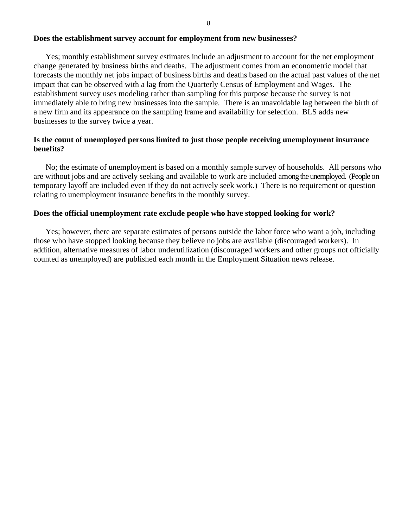# **Does the establishment survey account for employment from new businesses?**

Yes; monthly establishment survey estimates include an adjustment to account for the net employment change generated by business births and deaths. The adjustment comes from an econometric model that forecasts the monthly net jobs impact of business births and deaths based on the actual past values of the net impact that can be observed with a lag from the Quarterly Census of Employment and Wages. The establishment survey uses modeling rather than sampling for this purpose because the survey is not immediately able to bring new businesses into the sample. There is an unavoidable lag between the birth of a new firm and its appearance on the sampling frame and availability for selection. BLS adds new businesses to the survey twice a year.

# **Is the count of unemployed persons limited to just those people receiving unemployment insurance benefits?**

No; the estimate of unemployment is based on a monthly sample survey of households. All persons who are without jobs and are actively seeking and available to work are included among the unemployed. (People on temporary layoff are included even if they do not actively seek work.) There is no requirement or question relating to unemployment insurance benefits in the monthly survey.

# **Does the official unemployment rate exclude people who have stopped looking for work?**

Yes; however, there are separate estimates of persons outside the labor force who want a job, including those who have stopped looking because they believe no jobs are available (discouraged workers). In addition, alternative measures of labor underutilization (discouraged workers and other groups not officially counted as unemployed) are published each month in the Employment Situation news release.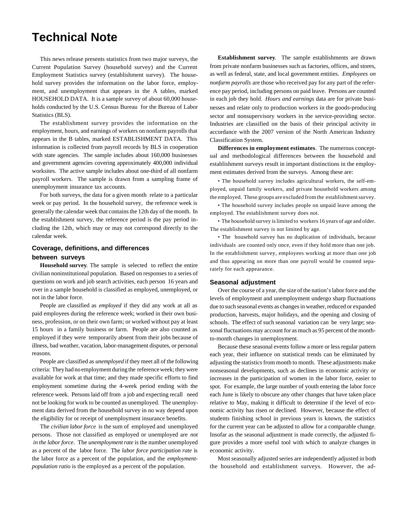# **Technical Note**

This news release presents statistics from two major surveys, the Current Population Survey (household survey) and the Current Employment Statistics survey (establishment survey). The household survey provides the information on the labor force, employment, and unemployment that appears in the A tables, marked HOUSEHOLD DATA. It is a sample survey of about 60,000 households conducted by the U.S. Census Bureau for the Bureau of Labor Statistics (BLS).

The establishment survey provides the information on the employment, hours, and earnings of workers on nonfarm payrolls that appears in the B tables, marked ESTABLISHMENT DATA. This information is collected from payroll records by BLS in cooperation with state agencies. The sample includes about 160,000 businesses and government agencies covering approximately 400,000 individual worksites. The active sample includes about one-third of all nonfarm payroll workers. The sample is drawn from a sampling frame of unemployment insurance tax accounts.

For both surveys, the data for a given month relate to a particular week or pay period. In the household survey, the reference week is generally the calendar week that contains the 12th day of the month. In the establishment survey, the reference period is the pay period including the 12th, which may or may not correspond directly to the calendar week.

# **Coverage, definitions, and differences between surveys**

**Household survey**. The sample is selected to reflect the entire civilian noninstitutional population. Based on responses to a series of questions on work and job search activities, each person 16 years and over in a sample household is classified as employed, unemployed, or not in the labor force.

People are classified as *employed* if they did any work at all as paid employees during the reference week; worked in their own business, profession, or on their own farm; or worked without pay at least 15 hours in a family business or farm. People are also counted as employed if they were temporarily absent from their jobs because of illness, bad weather, vacation, labor-management disputes, or personal reasons.

People are classified as *unemployed* if they meet all of the following criteria: They had no employment during the reference week; they were available for work at that time; and they made specific efforts to find employment sometime during the 4-week period ending with the reference week. Persons laid off from a job and expecting recall need not be looking for work to be counted as unemployed. The unemployment data derived from the household survey in no way depend upon the eligibility for or receipt of unemployment insurance benefits.

The *civilian labor force* is the sum of employed and unemployed persons. Those not classified as employed or unemployed are *not in the labor force*. The *unemployment rate* is the number unemployed as a percent of the labor force. The *labor force participation rate* is the labor force as a percent of the population, and the *employmentpopulation ratio* is the employed as a percent of the population.

**Establishment survey**. The sample establishments are drawn from private nonfarm businesses such as factories, offices, and stores, as well as federal, state, and local government entities. *Employees on nonfarm payrolls* are those who received pay for any part of the reference pay period, including persons on paid leave. Persons are counted in each job they hold. *Hours and earnings* data are for private businesses and relate only to production workers in the goods-producing sector and nonsupervisory workers in the service-providing sector. Industries are classified on the basis of their principal activity in accordance with the 2007 version of the North American Industry Classification System.

**Differences in employment estimates**. The numerous conceptual and methodological differences between the household and establishment surveys result in important distinctions in the employment estimates derived from the surveys. Among these are:

• The household survey includes agricultural workers, the self-employed, unpaid family workers, and private household workers among the employed. These groups are excluded from the establishment survey.

• The household survey includes people on unpaid leave among the employed. The establishment survey does not.

• The household survey is limited to workers 16 years of age and older. The establishment survey is not limited by age.

• The household survey has no duplication of individuals, because individuals are counted only once, even if they hold more than one job. In the establishment survey, employees working at more than one job and thus appearing on more than one payroll would be counted separately for each appearance.

#### **Seasonal adjustment**

Over the course of a year, the size of the nation's labor force and the levels of employment and unemployment undergo sharp fluctuations due to such seasonal events as changes in weather, reduced or expanded production, harvests, major holidays, and the opening and closing of schools. The effect of such seasonal variation can be very large; seasonal fluctuations may account for as much as 95 percent of the monthto-month changes in unemployment.

Because these seasonal events follow a more or less regular pattern each year, their influence on statistical trends can be eliminated by adjusting the statistics from month to month. These adjustments make nonseasonal developments, such as declines in economic activity or increases in the participation of women in the labor force, easier to spot. For example, the large number of youth entering the labor force each June is likely to obscure any other changes that have taken place relative to May, making it difficult to determine if the level of economic activity has risen or declined. However, because the effect of students finishing school in previous years is known, the statistics for the current year can be adjusted to allow for a comparable change. Insofar as the seasonal adjustment is made correctly, the adjusted figure provides a more useful tool with which to analyze changes in economic activity.

Most seasonally adjusted series are independently adjusted in both the household and establishment surveys. However, the ad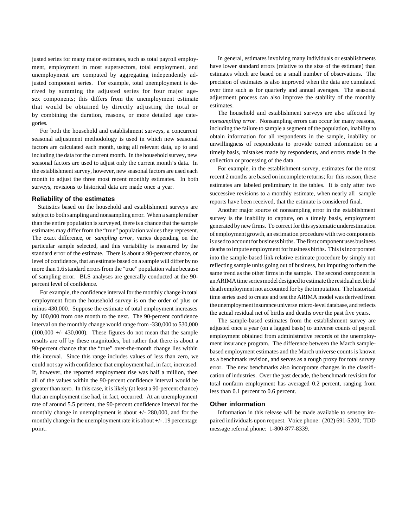justed series for many major estimates, such as total payroll employment, employment in most supersectors, total employment, and unemployment are computed by aggregating independently adjusted component series. For example, total unemployment is derived by summing the adjusted series for four major agesex components; this differs from the unemployment estimate that would be obtained by directly adjusting the total or by combining the duration, reasons, or more detailed age categories.

For both the household and establishment surveys, a concurrent seasonal adjustment methodology is used in which new seasonal factors are calculated each month, using all relevant data, up to and including the data for the current month. In the household survey, new seasonal factors are used to adjust only the current month's data. In the establishment survey, however, new seasonal factors are used each month to adjust the three most recent monthly estimates. In both surveys, revisions to historical data are made once a year.

#### **Reliability of the estimates**

Statistics based on the household and establishment surveys are subject to both sampling and nonsampling error. When a sample rather than the entire population is surveyed, there is a chance that the sample estimates may differ from the "true" population values they represent. The exact difference, or *sampling error*, varies depending on the particular sample selected, and this variability is measured by the standard error of the estimate. There is about a 90-percent chance, or level of confidence, that an estimate based on a sample will differ by no more than 1.6 standard errors from the "true" population value because of sampling error. BLS analyses are generally conducted at the 90 percent level of confidence.

For example, the confidence interval for the monthly change in total employment from the household survey is on the order of plus or minus 430,000. Suppose the estimate of total employment increases by 100,000 from one month to the next. The 90-percent confidence interval on the monthly change would range from -330,000 to 530,000  $(100,000 +/- 430,000)$ . These figures do not mean that the sample results are off by these magnitudes, but rather that there is about a 90-percent chance that the "true" over-the-month change lies within this interval. Since this range includes values of less than zero, we could not say with confidence that employment had, in fact, increased. If, however, the reported employment rise was half a million, then all of the values within the 90-percent confidence interval would be greater than zero. In this case, it is likely (at least a 90-percent chance) that an employment rise had, in fact, occurred. At an unemployment rate of around 5.5 percent, the 90-percent confidence interval for the monthly change in unemployment is about +/- 280,000, and for the monthly change in the unemployment rate it is about +/- .19 percentage point.

In general, estimates involving many individuals or establishments have lower standard errors (relative to the size of the estimate) than estimates which are based on a small number of observations. The precision of estimates is also improved when the data are cumulated over time such as for quarterly and annual averages. The seasonal adjustment process can also improve the stability of the monthly estimates.

The household and establishment surveys are also affected by *nonsampling error*. Nonsampling errors can occur for many reasons, including the failure to sample a segment of the population, inability to obtain information for all respondents in the sample, inability or unwillingness of respondents to provide correct information on a timely basis, mistakes made by respondents, and errors made in the collection or processing of the data.

For example, in the establishment survey, estimates for the most recent 2 months are based on incomplete returns; for this reason, these estimates are labeled preliminary in the tables. It is only after two successive revisions to a monthly estimate, when nearly all sample reports have been received, that the estimate is considered final.

Another major source of nonsampling error in the establishment survey is the inability to capture, on a timely basis, employment generated by new firms. To correct for this systematic underestimation of employment growth, an estimation procedure with two components is used to account for business births. The first component uses business deaths to impute employment for business births. This is incorporated into the sample-based link relative estimate procedure by simply not reflecting sample units going out of business, but imputing to them the same trend as the other firms in the sample. The second component is an ARIMA time series model designed to estimate the residual net birth/ death employment not accounted for by the imputation. The historical time series used to create and test the ARIMA model was derived from the unemployment insurance universe micro-level database, and reflects the actual residual net of births and deaths over the past five years.

The sample-based estimates from the establishment survey are adjusted once a year (on a lagged basis) to universe counts of payroll employment obtained from administrative records of the unemployment insurance program. The difference between the March samplebased employment estimates and the March universe counts is known as a benchmark revision, and serves as a rough proxy for total survey error. The new benchmarks also incorporate changes in the classification of industries. Over the past decade, the benchmark revision for total nonfarm employment has averaged 0.2 percent, ranging from less than 0.1 percent to 0.6 percent.

#### **Other information**

Information in this release will be made available to sensory impaired individuals upon request. Voice phone: (202) 691-5200; TDD message referral phone: 1-800-877-8339.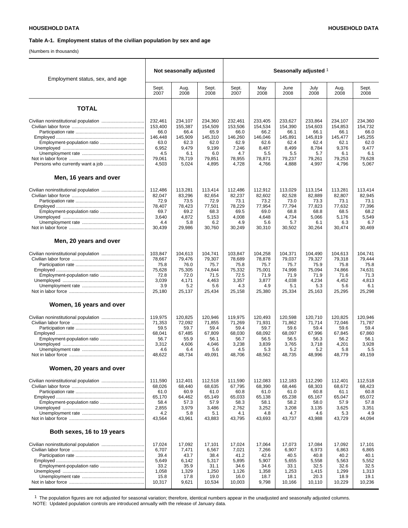### **Table A-1. Employment status of the civilian population by sex and age**

(Numbers in thousands)

| Employment status, sex, and age |                | Not seasonally adjusted |                | Seasonally adjusted 1 |                |                |                |                |                |  |  |
|---------------------------------|----------------|-------------------------|----------------|-----------------------|----------------|----------------|----------------|----------------|----------------|--|--|
|                                 | Sept.<br>2007  | Aug.<br>2008            | Sept.<br>2008  | Sept.<br>2007         | May<br>2008    | June<br>2008   | July<br>2008   | Aug.<br>2008   | Sept.<br>2008  |  |  |
| <b>TOTAL</b>                    |                |                         |                |                       |                |                |                |                |                |  |  |
|                                 | 232,461        | 234,107                 | 234,360        | 232,461               | 233,405        | 233,627        | 233,864        | 234,107        | 234,360        |  |  |
|                                 | 153,400        | 155,387                 | 154,509        | 153,506               | 154,534        | 154,390        | 154,603        | 154,853        | 154,732        |  |  |
|                                 | 66.0           | 66.4                    | 65.9           | 66.0                  | 66.2           | 66.1           | 66.1           | 66.1           | 66.0           |  |  |
|                                 | 146,448        | 145,909                 | 145,310        | 146,260               | 146,046        | 145,891        | 145,819        | 145,477        | 145,255        |  |  |
| Employment-population ratio     | 63.0<br>6,952  | 62.3<br>9,479           | 62.0<br>9,199  | 62.9<br>7,246         | 62.6<br>8,487  | 62.4<br>8,499  | 62.4<br>8,784  | 62.1<br>9,376  | 62.0<br>9,477  |  |  |
|                                 | 4.5            | 6.1                     | 6.0            | 4.7                   | 5.5            | 5.5            | 5.7            | 6.1            | 6.1            |  |  |
|                                 | 79,061         | 78,719                  | 79,851         | 78,955                | 78,871         | 79,237         | 79,261         | 79,253         | 79.628         |  |  |
|                                 | 4,503          | 5,024                   | 4,895          | 4,728                 | 4,766          | 4,888          | 4,997          | 4,796          | 5,067          |  |  |
| Men, 16 years and over          |                |                         |                |                       |                |                |                |                |                |  |  |
|                                 | 112,486        | 113,281                 | 113,414        | 112,486               | 112,912        | 113,029        | 113,154        | 113,281        | 113,414        |  |  |
|                                 | 82,047         | 83,296                  | 82,654         | 82,237                | 82,602         | 82,528         | 82,889         | 82,807         | 82,945         |  |  |
|                                 | 72.9<br>78,407 | 73.5<br>78,423          | 72.9<br>77.501 | 73.1<br>78,229        | 73.2<br>77,954 | 73.0<br>77,794 | 73.3<br>77,823 | 73.1<br>77,632 | 73.1<br>77,396 |  |  |
| Employment-population ratio     | 69.7           | 69.2                    | 68.3           | 69.5                  | 69.0           | 68.8           | 68.8           | 68.5           | 68.2           |  |  |
|                                 | 3,640          | 4,872                   | 5,153          | 4,008                 | 4,648          | 4,734          | 5,066          | 5,176          | 5,549          |  |  |
|                                 | 4.4            | 5.8                     | 6.2            | 4.9                   | 5.6            | 5.7            | 6.1            | 6.3            | 6.7            |  |  |
|                                 | 30,439         | 29,986                  | 30.760         | 30,249                | 30,310         | 30,502         | 30,264         | 30,474         | 30,469         |  |  |
| Men, 20 years and over          |                |                         |                |                       |                |                |                |                |                |  |  |
|                                 | 103,847        | 104,613                 | 104,741        | 103,847               | 104,258        | 104.371        | 104,490        | 104,613        | 104.741        |  |  |
|                                 | 78,667         | 79,476                  | 79,307         | 78,689                | 78,878         | 79,037         | 79,327         | 79,318         | 79,444         |  |  |
|                                 | 75.8           | 76.0                    | 75.7           | 75.8                  | 75.7           | 75.7           | 75.9           | 75.8           | 75.8           |  |  |
|                                 | 75,628         | 75,305<br>72.0          | 74.844<br>71.5 | 75,332<br>72.5        | 75,001<br>71.9 | 74,998<br>71.9 | 75,094<br>71.9 | 74,866<br>71.6 | 74.631<br>71.3 |  |  |
| Employment-population ratio     | 72.8<br>3,039  | 4,171                   | 4,463          | 3,357                 | 3,877          | 4,038          | 4,234          | 4,452          | 4,813          |  |  |
|                                 | 3.9            | 5.2                     | 5.6            | 4.3                   | 4.9            | 5.1            | 5.3            | 5.6            | 6.1            |  |  |
|                                 | 25,180         | 25,137                  | 25,434         | 25,158                | 25,380         | 25,334         | 25,163         | 25,295         | 25,298         |  |  |
| Women, 16 years and over        |                |                         |                |                       |                |                |                |                |                |  |  |
|                                 | 119,975        | 120,825                 | 120,946        | 119,975               | 120,493        | 120,598        | 120,710        | 120,825        | 120,946        |  |  |
|                                 | 71,353         | 72,092                  | 71,855         | 71,269                | 71,931         | 71,862         | 71,714         | 72,046         | 71,787         |  |  |
|                                 | 59.5           | 59.7                    | 59.4           | 59.4                  | 59.7           | 59.6           | 59.4           | 59.6           | 59.4           |  |  |
|                                 | 68,041<br>56.7 | 67,485<br>55.9          | 67,809<br>56.1 | 68,030<br>56.7        | 68.092<br>56.5 | 68,097<br>56.5 | 67,996<br>56.3 | 67,845<br>56.2 | 67,860<br>56.1 |  |  |
|                                 | 3,312          | 4,606                   | 4,046          | 3,238                 | 3,839          | 3,765          | 3,718          | 4,201          | 3,928          |  |  |
|                                 | 4.6            | 6.4                     | 5.6            | 4.5                   | 5.3            | 5.2            | 5.2            | 5.8            | 5.5            |  |  |
|                                 | 48,622         | 48,734                  | 49,091         | 48,706                | 48,562         | 48.735         | 48,996         | 48,779         | 49,159         |  |  |
| Women, 20 years and over        |                |                         |                |                       |                |                |                |                |                |  |  |
|                                 | 111,590        | 112,401                 | 112,518        | 111,590               | 112,083        | 112,183        | 112,290        | 112,401        | 112,518        |  |  |
|                                 | 68,026         | 68,440                  | 68,635         | 67,795                | 68,390         | 68,446         | 68,303         | 68,672         | 68,423         |  |  |
|                                 | 61.0           | 60.9                    | 61.0           | 60.8                  | 61.0           | 61.0           | 60.8           | 61.1           | 60.8           |  |  |
|                                 | 65,170         | 64,462                  | 65,149         | 65,033                | 65,138         | 65,238         | 65,167         | 65,047         | 65,072         |  |  |
|                                 | 58.4           | 57.3                    | 57.9           | 58.3                  | 58.1           | 58.2           | 58.0           | 57.9           | 57.8           |  |  |
|                                 | 2,855<br>4.2   | 3,979<br>5.8            | 3,486<br>5.1   | 2,762<br>4.1          | 3,252<br>4.8   | 3,208<br>4.7   | 3,135<br>4.6   | 3,625<br>5.3   | 3,351<br>4.9   |  |  |
|                                 | 43,564         | 43,961                  | 43,883         | 43,795                | 43,693         | 43,737         | 43,988         | 43,729         | 44,094         |  |  |
| Both sexes, 16 to 19 years      |                |                         |                |                       |                |                |                |                |                |  |  |
|                                 | 17,024         | 17.092                  | 17,101         | 17,024                | 17,064         | 17.073         | 17,084         | 17,092         | 17,101         |  |  |
|                                 | 6,707          | 7,471                   | 6,567          | 7,021                 | 7,266          | 6,907          | 6,973          | 6,863          | 6,865          |  |  |
|                                 | 39.4           | 43.7                    | 38.4           | 41.2                  | 42.6           | 40.5           | 40.8           | 40.2           | 40.1           |  |  |
|                                 | 5,649          | 6,142                   | 5,317          | 5,895                 | 5,907          | 5,655          | 5,558          | 5,563          | 5,552          |  |  |
|                                 | 33.2<br>1,058  | 35.9<br>1,329           | 31.1<br>1,250  | 34.6<br>1,126         | 34.6<br>1,358  | 33.1<br>1,253  | 32.5<br>1,415  | 32.6<br>1,299  | 32.5<br>1,313  |  |  |
|                                 | 15.8           | 17.8                    | 19.0           | 16.0                  | 18.7           | 18.1           | 20.3           | 18.9           | 19.1           |  |  |
|                                 | 10,317         | 9,621                   | 10,534         | 10,003                | 9,798          | 10,166         | 10,110         | 10,229         | 10,236         |  |  |

 $^1$  The population figures are not adjusted for seasonal variation; therefore, identical numbers appear in the unadjusted and seasonally adjusted columns. NOTE: Updated population controls are introduced annually with the release of January data.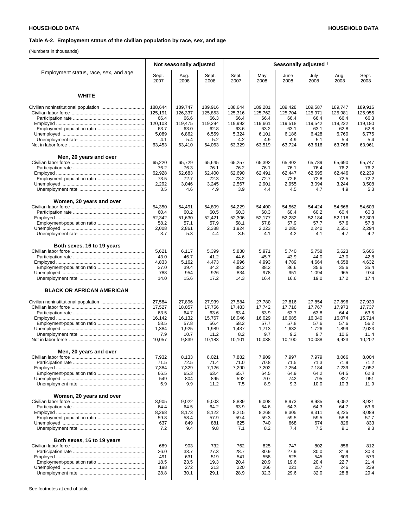### **Table A-2. Employment status of the civilian population by race, sex, and age**

(Numbers in thousands)

|                                                |                | Not seasonally adjusted |                | Seasonally adjusted 1 |                |                |                |                |                |  |  |  |  |
|------------------------------------------------|----------------|-------------------------|----------------|-----------------------|----------------|----------------|----------------|----------------|----------------|--|--|--|--|
| Employment status, race, sex, and age          | Sept.<br>2007  | Aug.<br>2008            | Sept.<br>2008  | Sept.<br>2007         | May<br>2008    | June<br>2008   | July<br>2008   | Aug.<br>2008   | Sept.<br>2008  |  |  |  |  |
| <b>WHITE</b>                                   |                |                         |                |                       |                |                |                |                |                |  |  |  |  |
|                                                | 188,644        | 189,747                 | 189,916        | 188.644               | 189,281        | 189,428        | 189.587        | 189,747        | 189,916        |  |  |  |  |
|                                                | 125,191        | 126,337                 | 125,853        | 125,316               | 125,762        | 125,704        | 125,971        | 125,981        | 125,955        |  |  |  |  |
|                                                | 66.4           | 66.6                    | 66.3           | 66.4                  | 66.4           | 66.4           | 66.4           | 66.4           | 66.3           |  |  |  |  |
|                                                | 120,103        | 119,475                 | 119,294        | 119,992               | 119,661        | 119,518        | 119,542        | 119,222        | 119,180        |  |  |  |  |
|                                                | 63.7           | 63.0                    | 62.8           | 63.6                  | 63.2           | 63.1           | 63.1           | 62.8           | 62.8           |  |  |  |  |
|                                                | 5,089          | 6,862                   | 6,559          | 5,324                 | 6,101          | 6,186          | 6,428          | 6,760          | 6,775          |  |  |  |  |
|                                                | 4.1<br>63,453  | 5.4<br>63,410           | 5.2<br>64,063  | 4.2<br>63,329         | 4.9<br>63,519  | 4.9<br>63,724  | 5.1<br>63,616  | 5.4<br>63,766  | 5.4<br>63,961  |  |  |  |  |
|                                                |                |                         |                |                       |                |                |                |                |                |  |  |  |  |
| Men, 20 years and over                         |                |                         |                |                       |                |                |                |                |                |  |  |  |  |
|                                                | 65,220         | 65,729                  | 65,645         | 65,257                | 65,392         | 65,402         | 65,789         | 65,690         | 65,747         |  |  |  |  |
|                                                | 76.2<br>62,928 | 76.3<br>62,683          | 76.1<br>62,400 | 76.2<br>62,690        | 76.1<br>62,491 | 76.1<br>62,447 | 76.4<br>62,695 | 76.2<br>62,446 | 76.2<br>62,239 |  |  |  |  |
|                                                | 73.5           | 72.7                    | 72.3           | 73.2                  | 72.7           | 72.6           | 72.8           | 72.5           | 72.2           |  |  |  |  |
|                                                | 2,292          | 3,046                   | 3,245          | 2,567                 | 2,901          | 2,955          | 3,094          | 3,244          | 3,508          |  |  |  |  |
|                                                | 3.5            | 4.6                     | 4.9            | 3.9                   | 4.4            | 4.5            | 4.7            | 4.9            | 5.3            |  |  |  |  |
| Women, 20 years and over                       |                |                         |                |                       |                |                |                |                |                |  |  |  |  |
|                                                | 54,350         | 54,491                  | 54,809         | 54,229                | 54,400         | 54,562         | 54,424         | 54,668         | 54,603         |  |  |  |  |
|                                                | 60.4           | 60.2                    | 60.5           | 60.3                  | 60.3           | 60.4           | 60.2           | 60.4           | 60.3           |  |  |  |  |
|                                                | 52,342         | 51,630                  | 52,421         | 52,306                | 52,177         | 52,282         | 52,184         | 52,118         | 52,309         |  |  |  |  |
|                                                | 58.2           | 57.1                    | 57.9           | 58.1                  | 57.8           | 57.9           | 57.7           | 57.6           | 57.8           |  |  |  |  |
|                                                | 2,008          | 2,861                   | 2,388          | 1,924                 | 2,223          | 2,280          | 2,240          | 2,551          | 2,294          |  |  |  |  |
|                                                | 3.7            | 5.3                     | 4.4            | 3.5                   | 4.1            | 4.2            | 4.1            | 4.7            | 4.2            |  |  |  |  |
| Both sexes, 16 to 19 years                     |                |                         |                |                       |                |                |                |                |                |  |  |  |  |
|                                                | 5,621          | 6,117                   | 5,399          | 5,830                 | 5,971          | 5,740          | 5,758          | 5,623          | 5,606          |  |  |  |  |
|                                                | 43.0           | 46.7                    | 41.2           | 44.6                  | 45.7           | 43.9           | 44.0           | 43.0           | 42.8           |  |  |  |  |
|                                                | 4,833<br>37.0  | 5,162<br>39.4           | 4,473<br>34.2  | 4,996<br>38.2         | 4,993<br>38.2  | 4,789<br>36.6  | 4,664<br>35.6  | 4,658<br>35.6  | 4,632<br>35.4  |  |  |  |  |
|                                                | 788            | 954                     | 926            | 834                   | 978            | 951            | 1,094          | 965            | 974            |  |  |  |  |
|                                                | 14.0           | 15.6                    | 17.2           | 14.3                  | 16.4           | 16.6           | 19.0           | 17.2           | 17.4           |  |  |  |  |
| <b>BLACK OR AFRICAN AMERICAN</b>               |                |                         |                |                       |                |                |                |                |                |  |  |  |  |
|                                                | 27,584         | 27,896                  | 27,939         | 27,584                | 27,780         | 27,816         | 27,854         | 27,896         | 27,939         |  |  |  |  |
|                                                | 17,527         | 18,057                  | 17,756         | 17,483                | 17,742         | 17,716         | 17,767         | 17,973         | 17,737         |  |  |  |  |
|                                                | 63.5           | 64.7                    | 63.6           | 63.4                  | 63.9           | 63.7           | 63.8           | 64.4           | 63.5           |  |  |  |  |
|                                                | 16,142         | 16,132                  | 15,767         | 16,046                | 16,029         | 16,085         | 16,040         | 16,074         | 15,714         |  |  |  |  |
|                                                | 58.5           | 57.8                    | 56.4           | 58.2                  | 57.7           | 57.8           | 57.6           | 57.6           | 56.2           |  |  |  |  |
|                                                | 1,384<br>7.9   | 1,925<br>10.7           | 1,989<br>11.2  | 1,437<br>8.2          | 1,713<br>9.7   | 1,632<br>9.2   | 1,726<br>9.7   | 1,899<br>10.6  | 2,023<br>11.4  |  |  |  |  |
|                                                | 10,057         | 9,839                   | 10,183         | 10,101                | 10,038         | 10,100         | 10,088         | 9,923          | 10,202         |  |  |  |  |
|                                                |                |                         |                |                       |                |                |                |                |                |  |  |  |  |
| Men, 20 years and over<br>Civilian labor force | 7,932          | 8,133                   | 8,021          | 7,882                 | 7,909          | 7,997          | 7,979          | 8,066          | 8,004          |  |  |  |  |
|                                                | 71.5           | 72.5                    | 71.4           | 71.0                  | 70.8           | 71.5           | 71.3           | 71.9           | 71.2           |  |  |  |  |
|                                                | 7,384          | 7,329                   | 7,126          | 7,290                 | 7,202          | 7,254          | 7,184          | 7,239          | 7,052          |  |  |  |  |
|                                                | 66.5           | 65.3                    | 63.4           | 65.7                  | 64.5           | 64.9           | 64.2           | 64.5           | 62.8           |  |  |  |  |
|                                                | 549            | 804                     | 895            | 592                   | 707            | 742            | 795            | 827            | 951            |  |  |  |  |
|                                                | 6.9            | 9.9                     | 11.2           | 7.5                   | 8.9            | 9.3            | 10.0           | 10.3           | 11.9           |  |  |  |  |
| Women, 20 years and over                       |                |                         |                |                       |                |                |                |                |                |  |  |  |  |
|                                                | 8,905          | 9,022                   | 9,003          | 8,839                 | 9,008          | 8,973          | 8,985          | 9,052          | 8,921          |  |  |  |  |
|                                                | 64.4           | 64.5                    | 64.2           | 63.9                  | 64.6           | 64.3           | 64.3           | 64.7           | 63.6           |  |  |  |  |
|                                                | 8,268          | 8,173                   | 8,122          | 8,215                 | 8,268          | 8,305          | 8,311          | 8,225          | 8,089          |  |  |  |  |
|                                                | 59.8           | 58.4                    | 57.9           | 59.4                  | 59.3           | 59.5           | 59.5           | 58.8           | 57.7           |  |  |  |  |
|                                                | 637<br>7.2     | 849<br>9.4              | 881<br>9.8     | 625<br>7.1            | 740<br>8.2     | 668<br>7.4     | 674<br>7.5     | 826<br>9.1     | 833<br>9.3     |  |  |  |  |
|                                                |                |                         |                |                       |                |                |                |                |                |  |  |  |  |
| Both sexes, 16 to 19 years                     | 689            | 903                     | 732            | 762                   | 825            | 747            | 802            | 856            | 812            |  |  |  |  |
|                                                | 26.0           | 33.7                    | 27.3           | 28.7                  | 30.9           | 27.9           | 30.0           | 31.9           | 30.3           |  |  |  |  |
|                                                | 491            | 631                     | 519            | 541                   | 558            | 525            | 545            | 609            | 573            |  |  |  |  |
|                                                | 18.5           | 23.5                    | 19.3           | 20.4                  | 20.9           | 19.6           | 20.4           | 22.7           | 21.4           |  |  |  |  |
|                                                | 198            | 272                     | 213            | 220                   | 266            | 221            | 257            | 246            | 239            |  |  |  |  |
|                                                | 28.8           | 30.1                    | 29.1           | 28.9                  | 32.3           | 29.6           | 32.0           | 28.8           | 29.4           |  |  |  |  |
|                                                |                |                         |                |                       |                |                |                |                |                |  |  |  |  |

See footnotes at end of table.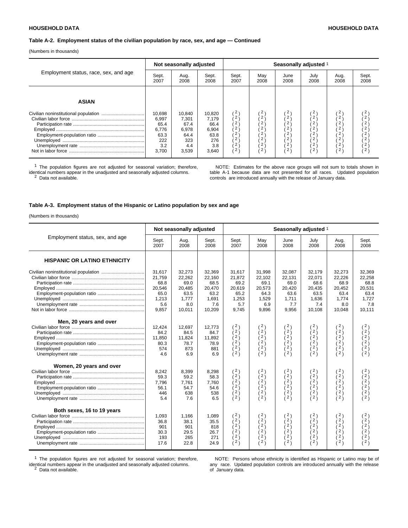#### **HOUSEHOLD DATA HOUSEHOLD DATA**

#### **Table A-2. Employment status of the civilian population by race, sex, and age — Continued**

(Numbers in thousands)

|                                       |                                                                 | Not seasonally adjusted                                         |                                                                 |                                                                        |                      |                                        | Seasonally adjusted 1                         |                                                 |                                                        |
|---------------------------------------|-----------------------------------------------------------------|-----------------------------------------------------------------|-----------------------------------------------------------------|------------------------------------------------------------------------|----------------------|----------------------------------------|-----------------------------------------------|-------------------------------------------------|--------------------------------------------------------|
| Employment status, race, sex, and age | Sept.<br>2007                                                   | Aug.<br>2008                                                    | Sept.<br>2008                                                   | Sept.<br>2007                                                          | May<br>2008          | June<br>2008                           | July<br>2008                                  | Aug.<br>2008                                    | Sept.<br>2008                                          |
| <b>ASIAN</b>                          |                                                                 |                                                                 |                                                                 |                                                                        |                      |                                        |                                               |                                                 |                                                        |
|                                       | 10,698<br>6,997<br>65.4<br>6,776<br>63.3<br>222<br>3.2<br>3,700 | 10,840<br>7,301<br>67.4<br>6,978<br>64.4<br>323<br>4.4<br>3,539 | 10,820<br>7,179<br>66.4<br>6,904<br>63.8<br>276<br>3.8<br>3,640 | $\overline{a}$<br>$\overline{2}$<br>2<br>∠<br>2<br>2<br>$\overline{2}$ | $\epsilon$<br>ے<br>ے | $\frac{2}{2}$<br>۷<br>∠<br>۷<br>2<br>2 | $\epsilon$<br>∠<br>ے<br>∠<br>∠<br>∠<br>∠<br>∠ | $\mathbf{z}$<br>2<br>∠<br>∠<br>∠<br>2<br>Z<br>ے | $\epsilon$<br>∠<br>∠<br>ے<br>ے<br>ے<br>$\epsilon$<br>∠ |

<sup>1</sup> The population figures are not adjusted for seasonal variation; therefore,

ince because the unadjusted and seasonally adjusted columns.<br>
<sup>2</sup> Data not available.

 NOTE: Estimates for the above race groups will not sum to totals shown in table A-1 because data are not presented for all races. Updated population controls are introduced annually with the release of January data.

### **Table A-3. Employment status of the Hispanic or Latino population by sex and age**

(Numbers in thousands)

|                                     |                                                                     | Not seasonally adjusted                                              |                                                                      | Seasonally adjusted 1                                                                              |                                                                                              |                                                                                                                            |                                                                                                                                               |                                                                                               |                                                                               |
|-------------------------------------|---------------------------------------------------------------------|----------------------------------------------------------------------|----------------------------------------------------------------------|----------------------------------------------------------------------------------------------------|----------------------------------------------------------------------------------------------|----------------------------------------------------------------------------------------------------------------------------|-----------------------------------------------------------------------------------------------------------------------------------------------|-----------------------------------------------------------------------------------------------|-------------------------------------------------------------------------------|
| Employment status, sex, and age     | Sept.<br>2007                                                       | Aug.<br>2008                                                         | Sept.<br>2008                                                        | Sept.<br>2007                                                                                      | May<br>2008                                                                                  | June<br>2008                                                                                                               | July<br>2008                                                                                                                                  | Aug.<br>2008                                                                                  | Sept.<br>2008                                                                 |
| <b>HISPANIC OR LATINO ETHNICITY</b> |                                                                     |                                                                      |                                                                      |                                                                                                    |                                                                                              |                                                                                                                            |                                                                                                                                               |                                                                                               |                                                                               |
|                                     | 31,617<br>21,759<br>68.8<br>20,546<br>65.0<br>1,213<br>5.6<br>9.857 | 32,273<br>22,262<br>69.0<br>20,485<br>63.5<br>1,777<br>8.0<br>10,011 | 32,369<br>22,160<br>68.5<br>20,470<br>63.2<br>1,691<br>7.6<br>10,209 | 31,617<br>21,872<br>69.2<br>20,619<br>65.2<br>1,253<br>5.7<br>9,745                                | 31,998<br>22,102<br>69.1<br>20,573<br>64.3<br>1,529<br>6.9<br>9,896                          | 32,087<br>22,131<br>69.0<br>20,420<br>63.6<br>1,711<br>7.7<br>9,956                                                        | 32,179<br>22,071<br>68.6<br>20,435<br>63.5<br>1,636<br>7.4<br>10,108                                                                          | 32,273<br>22,226<br>68.9<br>20,452<br>63.4<br>1,774<br>8.0<br>10,048                          | 32,369<br>22,258<br>68.8<br>20,531<br>63.4<br>1.727<br>7.8<br>10,111          |
| Men, 20 years and over              | 12,424<br>84.2<br>11,850<br>80.3<br>574<br>4.6                      | 12,697<br>84.5<br>11,824<br>78.7<br>873<br>6.9                       | 12,773<br>84.7<br>11,892<br>78.9<br>881<br>6.9                       | $\begin{pmatrix} 2 \ 2 \ 2 \ 2 \ 2 \ 2 \ 2 \ 2 \ 2 \ 2 \ 2 \ 2 \end{pmatrix}$                      | $\mathbf{z}$<br>i 2 j<br>$\begin{pmatrix} 2 \\ 2 \end{pmatrix}$<br>2 <sup>7</sup><br>່ 2 ∖່  | 2<br>່ 2 )<br>$\begin{array}{c} 2 \choose 2 \\ 2 \choose 2 \\ 2 \end{array}$                                               | $\mathbf{2}$<br>2 <sub>1</sub><br>$\begin{array}{c} 2\stackrel{?}{)}\\ 2\stackrel{?}{)}\\ 2\stackrel{?}{)}\\ 2\stackrel{?}{)}\\  \end{array}$ |                                                                                               | $\begin{pmatrix} 2 \ 2 \ 2 \ 2 \ 2 \ 2 \ 2 \ 2 \ 2 \ 2 \ 2 \ 2 \end{pmatrix}$ |
| Women, 20 years and over            | 8,242<br>59.3<br>7,796<br>56.1<br>446<br>5.4                        | 8,399<br>59.2<br>7.761<br>54.7<br>638<br>7.6                         | 8,298<br>58.3<br>7.760<br>54.6<br>538<br>6.5                         | ( 2 )<br>(2)<br>(2)<br>(2)<br>(2)                                                                  | ' 2 )<br>$\begin{pmatrix} 2 \\ 2 \end{pmatrix}$<br>$2^{\frac{1}{2}}$<br>່ 2 )<br>່ 2 )       | $^{\circ}$ 2 $^{\circ}$<br>(2)<br>(2)<br>(2)<br>(2)<br>$\langle 2 \rangle$                                                 | $^{\prime}$ 2 $_{\rm \vert}$<br>$\begin{pmatrix} 2 \ 2 \ 2 \ 2 \ 2 \ 2 \ 2 \ 2 \ 2 \end{pmatrix}$                                             | $^{2}$<br>$\begin{bmatrix} 2 \\ 2 \\ 2 \\ 2 \\ 2 \end{bmatrix}$<br>2 <sup>1</sup>             | $\begin{pmatrix} 2 \ 2 \ 2 \ 2 \ 2 \ 2 \ 2 \ 2 \ 2 \ 2 \ 2 \ 2 \end{pmatrix}$ |
| Both sexes, 16 to 19 years          | 1,093<br>36.8<br>901<br>30.3<br>193<br>17.6                         | 1,166<br>38.1<br>901<br>29.5<br>265<br>22.8                          | 1,089<br>35.5<br>818<br>26.7<br>271<br>24.9                          | $\binom{2}{2}$<br>$\begin{pmatrix} 2 \\ 2 \end{pmatrix}$<br>$\begin{pmatrix} 2 \\ 2 \end{pmatrix}$ | $\cdot$ 2 $\cdot$<br>2<br>2 <sup>′</sup><br>் 2 ှိ<br>$\begin{pmatrix} 2 \\ 2 \end{pmatrix}$ | $\begin{pmatrix} 2 \\ 2 \end{pmatrix}$<br>$\begin{pmatrix} 2 \\ 2 \end{pmatrix}$<br>$\begin{pmatrix} 2 \\ 2 \end{pmatrix}$ | $\begin{pmatrix} 2 \\ 2 \end{pmatrix}$<br>$\begin{array}{c} 2 \\ 2 \end{array}$<br>$\begin{array}{c} 2 \\ 2 \end{array}$                      | $\begin{bmatrix} 2 \\ 2 \\ 2 \\ 2 \end{bmatrix}$<br>$\begin{matrix} 2 \\ 2 \\ 2 \end{matrix}$ |                                                                               |

 $1$  The population figures are not adjusted for seasonal variation; therefore, identical numbers appear in the unadjusted and seasonally adjusted columns. <sup>2</sup> Data not available.

 NOTE: Persons whose ethnicity is identified as Hispanic or Latino may be of any race. Updated population controls are introduced annually with the release of January data.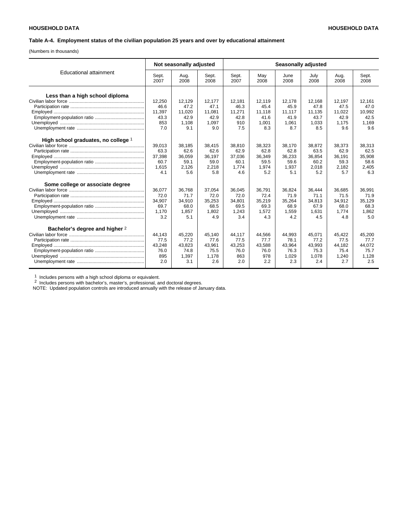### **Table A-4. Employment status of the civilian population 25 years and over by educational attainment**

(Numbers in thousands)

|                                     |               | Not seasonally adjusted |               |               |             |              | <b>Seasonally adjusted</b> |              |               |
|-------------------------------------|---------------|-------------------------|---------------|---------------|-------------|--------------|----------------------------|--------------|---------------|
| <b>Educational attainment</b>       | Sept.<br>2007 | Aug.<br>2008            | Sept.<br>2008 | Sept.<br>2007 | May<br>2008 | June<br>2008 | July<br>2008               | Aug.<br>2008 | Sept.<br>2008 |
|                                     |               |                         |               |               |             |              |                            |              |               |
| Less than a high school diploma     |               |                         |               |               |             |              |                            |              |               |
|                                     | 12.250        | 12.129                  | 12.177        | 12.181        | 12.119      | 12.178       | 12.168                     | 12,197       | 12.161        |
|                                     | 46.6          | 47.2                    | 47.1          | 46.3          | 45.4        | 45.9         | 47.8                       | 47.5         | 47.0          |
|                                     | 11,397        | 11,020                  | 11,081        | 11,271        | 11,118      | 11,117       | 11,135                     | 11,022       | 10,992        |
|                                     | 43.3          | 42.9                    | 42.9          | 42.8          | 41.6        | 41.9         | 43.7                       | 42.9         | 42.5          |
|                                     | 853           | 1,108                   | 1,097         | 910           | 1,001       | 1,061        | 1,033                      | 1,175        | 1.169         |
|                                     | 7.0           | 9.1                     | 9.0           | 7.5           | 8.3         | 8.7          | 8.5                        | 9.6          | 9.6           |
| High school graduates, no college 1 |               |                         |               |               |             |              |                            |              |               |
|                                     | 39.013        | 38.185                  | 38,415        | 38,810        | 38,323      | 38,170       | 38,872                     | 38,373       | 38.313        |
|                                     | 63.3          | 62.6                    | 62.6          | 62.9          | 62.8        | 62.8         | 63.5                       | 62.9         | 62.5          |
|                                     | 37,398        | 36,059                  | 36.197        | 37,036        | 36,349      | 36,233       | 36.854                     | 36,191       | 35,908        |
|                                     | 60.7          | 59.1                    | 59.0          | 60.1          | 59.5        | 59.6         | 60.2                       | 59.3         | 58.6          |
|                                     | 1,615         | 2,126                   | 2,218         | 1.774         | 1.974       | 1,937        | 2,018                      | 2.182        | 2.405         |
|                                     | 4.1           | 5.6                     | 5.8           | 4.6           | 5.2         | 5.1          | 5.2                        | 5.7          | 6.3           |
| Some college or associate degree    |               |                         |               |               |             |              |                            |              |               |
|                                     | 36,077        | 36.768                  | 37,054        | 36.045        | 36.791      | 36.824       | 36.444                     | 36.685       | 36.991        |
|                                     | 72.0          | 71.7                    | 72.0          | 72.0          | 72.4        | 71.9         | 71.1                       | 71.5         | 71.9          |
|                                     | 34,907        | 34,910                  | 35,253        | 34.801        | 35,219      | 35,264       | 34.813                     | 34,912       | 35.129        |
|                                     | 69.7          | 68.0                    | 68.5          | 69.5          | 69.3        | 68.9         | 67.9                       | 68.0         | 68.3          |
|                                     | 1.170         | 1.857                   | 1.802         | 1.243         | 1.572       | 1.559        | 1.631                      | 1.774        | 1.862         |
|                                     | 3.2           | 5.1                     | 4.9           | 3.4           | 4.3         | 4.2          | 4.5                        | 4.8          | 5.0           |
|                                     |               |                         |               |               |             |              |                            |              |               |
| Bachelor's degree and higher 2      |               |                         |               |               |             |              |                            |              |               |
|                                     | 44,143        | 45,220                  | 45,140        | 44,117        | 44,566      | 44,993       | 45,071                     | 45,422       | 45,200        |
|                                     | 77.5          | 77.2                    | 77.6          | 77.5          | 77.7        | 78.1         | 77.2                       | 77.5         | 77.7          |
|                                     | 43,248        | 43,823                  | 43,961        | 43,253        | 43,588      | 43,964       | 43,993                     | 44,182       | 44.072        |
|                                     | 76.0          | 74.8                    | 75.5          | 76.0          | 76.0        | 76.3         | 75.3                       | 75.4         | 75.7          |
|                                     | 895           | 1,397                   | 1.178         | 863           | 978         | 1,029        | 1,078                      | 1,240        | 1,128         |
|                                     | 2.0           | 3.1                     | 2.6           | 2.0           | 2.2         | 2.3          | 2.4                        | 2.7          | 2.5           |

 $^1\,$  Includes persons with a high school diploma or equivalent.<br><sup>2</sup> Includes persons with bachelor's, master's, professional, and doctoral degrees.

NOTE: Updated population controls are introduced annually with the release of January data.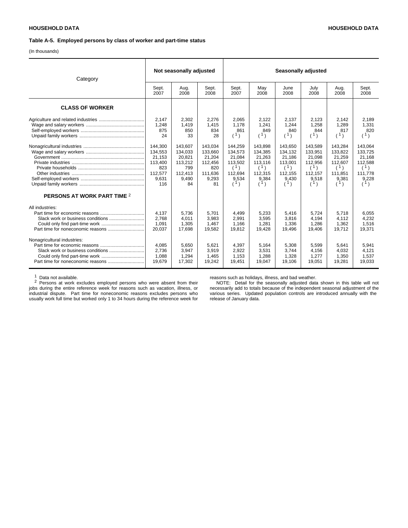#### **Table A-5. Employed persons by class of worker and part-time status**

(In thousands)

| Category                    |                                                             | Not seasonally adjusted                                     |                                                             |                                                              |                                                              | Seasonally adjusted                                          |                                                              |                                                              |                                                              |
|-----------------------------|-------------------------------------------------------------|-------------------------------------------------------------|-------------------------------------------------------------|--------------------------------------------------------------|--------------------------------------------------------------|--------------------------------------------------------------|--------------------------------------------------------------|--------------------------------------------------------------|--------------------------------------------------------------|
|                             | Sept.<br>2007                                               | Aug.<br>2008                                                | Sept.<br>2008                                               | Sept.<br>2007                                                | May<br>2008                                                  | June<br>2008                                                 | July<br>2008                                                 | Aug.<br>2008                                                 | Sept.<br>2008                                                |
| <b>CLASS OF WORKER</b>      |                                                             |                                                             |                                                             |                                                              |                                                              |                                                              |                                                              |                                                              |                                                              |
|                             | 2.147<br>1,248<br>875<br>24<br>144.300<br>134,553<br>21,153 | 2,302<br>1.419<br>850<br>33<br>143,607<br>134,033<br>20,821 | 2,276<br>1.415<br>834<br>28<br>143,034<br>133,660<br>21,204 | 2,065<br>1.178<br>861<br>(1)<br>144.259<br>134,573<br>21,084 | 2.122<br>1.241<br>849<br>(1)<br>143,898<br>134,385<br>21,263 | 2.137<br>1.244<br>840<br>(1)<br>143,650<br>134,132<br>21,186 | 2,123<br>1.258<br>844<br>(1)<br>143,589<br>133,951<br>21,098 | 2.142<br>1.289<br>817<br>(1)<br>143,284<br>133,822<br>21,259 | 2.189<br>1.331<br>820<br>(1)<br>143.064<br>133,725<br>21,168 |
| PERSONS AT WORK PART TIME 2 | 113.400<br>823<br>112,577<br>9,631<br>116                   | 113,212<br>799<br>112,413<br>9,490<br>84                    | 112.456<br>820<br>111.636<br>9,293<br>81                    | 113.502<br>(1)<br>112,694<br>9,534<br>(1)                    | 113.116<br>(1)<br>112,315<br>9,384<br>(1)                    | 113.001<br>(1)<br>112,155<br>9,430<br>(1)                    | 112.956<br>(1)<br>112,157<br>9,518                           | 112.607<br>(1)<br>111.851<br>9,381<br>(1)                    | 112.588<br>(1)<br>111.778<br>9,228<br>(1)                    |
| All industries:             | 4,137<br>2.768<br>1,091<br>20,037                           | 5.736<br>4.011<br>1,305<br>17,698                           | 5,701<br>3.983<br>1,467<br>19,582                           | 4,499<br>2.991<br>1.166<br>19,812                            | 5,233<br>3,595<br>1,281<br>19,428                            | 5,416<br>3.816<br>1,336<br>19,496                            | 5,724<br>4.194<br>1,286<br>19,406                            | 5.718<br>4.112<br>1.362<br>19,712                            | 6,055<br>4.232<br>1,516<br>19,371                            |
| Nonagricultural industries: | 4,085<br>2,736<br>1.088<br>19,679                           | 5.650<br>3,947<br>1.294<br>17,302                           | 5,621<br>3,919<br>1.465<br>19,242                           | 4,397<br>2,922<br>1.153<br>19,451                            | 5,164<br>3,531<br>1.288<br>19,047                            | 5.308<br>3,744<br>1,328<br>19,106                            | 5,599<br>4,156<br>1.277<br>19,051                            | 5.641<br>4,032<br>1.350<br>19,281                            | 5,941<br>4,121<br>1.537<br>19,033                            |

 $^1$  Data not available.  $^2$  Persons at work excludes employed persons who were absent from their jobs during the entire reference week for reasons such as vacation, illness, or industrial dispute. Part time for noneconomic reasons excludes persons who usually work full time but worked only 1 to 34 hours during the reference week for

reasons such as holidays, illness, and bad weather.

 NOTE: Detail for the seasonally adjusted data shown in this table will not necessarily add to totals because of the independent seasonal adjustment of the various series. Updated population controls are introduced annually with the release of January data.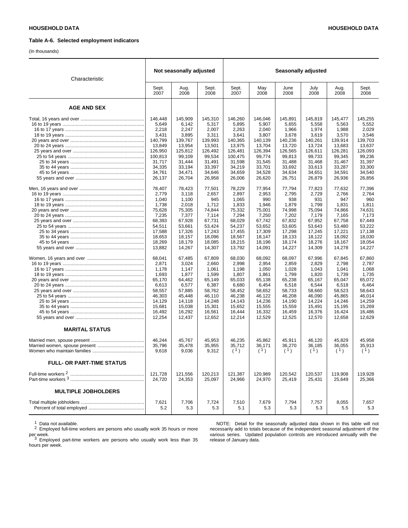#### **Table A-6. Selected employment indicators**

#### (In thousands)

| Characteristic                   |                  | Not seasonally adjusted |                  |                  |                  | Seasonally adjusted |                  |                  |                  |
|----------------------------------|------------------|-------------------------|------------------|------------------|------------------|---------------------|------------------|------------------|------------------|
|                                  | Sept.<br>2007    | Aug.<br>2008            | Sept.<br>2008    | Sept.<br>2007    | May<br>2008      | June<br>2008        | July<br>2008     | Aug.<br>2008     | Sept.<br>2008    |
| <b>AGE AND SEX</b>               |                  |                         |                  |                  |                  |                     |                  |                  |                  |
|                                  | 146,448          | 145,909                 | 145,310          | 146,260          | 146,046          | 145,891             | 145,819          | 145,477          | 145,255          |
|                                  | 5,649            | 6,142                   | 5,317            | 5,895            | 5,907            | 5,655               | 5,558            | 5,563            | 5,552            |
|                                  | 2,218            | 2,247                   | 2,007            | 2,263            | 2,040            | 1,966               | 1,974            | 1,988            | 2,029            |
|                                  | 3,431            | 3,895                   | 3,311            | 3,641            | 3,807            | 3,678               | 3,619            | 3,570            | 3,546            |
|                                  | 140,799          | 139,767                 | 139,993          | 140,365          | 140,139          | 140,236             | 140,261          | 139,914          | 139,703          |
|                                  | 13,849           | 13,954                  | 13,501           | 13,975           | 13,704           | 13,720              | 13,724           | 13,683           | 13,637           |
|                                  | 126.950          | 125.812                 | 126,492          | 126,481          | 126,394          | 126,565             | 126,611          | 126,281          | 126,093          |
|                                  | 100,813          | 99,109                  | 99,534           | 100,475          | 99,774           | 99,813              | 99,733           | 99,345           | 99,236           |
|                                  | 31,717           | 31,444                  | 31,491           | 31,598           | 31,545           | 31,488              | 31,468           | 31,467           | 31,397           |
|                                  | 34,335           | 33,194                  | 33,397           | 34,219           | 33,701           | 33,692              | 33,613           | 33,287           | 33,300           |
|                                  | 34,761           | 34,471                  | 34,646           | 34,659           | 34,528           | 34,634              | 34,651           | 34,591           | 34,540           |
|                                  | 26,137           | 26,704                  | 26,958           | 26,006           | 26,620           | 26,751              | 26,879           | 26,936           | 26,856           |
|                                  | 78,407           | 78,423                  | 77,501           | 78,229           | 77,954           | 77,794              | 77,823           | 77,632           | 77,396           |
|                                  | 2,779            | 3,118                   | 2,657            | 2,897            | 2,953            | 2,795               | 2,729            | 2,766            | 2,764            |
|                                  | 1,040            | 1,100                   | 945              | 1,065            | 990              | 938                 | 931              | 947              | 960              |
|                                  | 1,738            | 2,018                   | 1,712            | 1,833            | 1,946            | 1,879               | 1,799            | 1,831            | 1,811            |
|                                  | 75,628           | 75.305                  | 74,844           | 75,332           | 75.001           | 74,998              | 75,094           | 74,866           | 74,631           |
|                                  | 7,235            | 7,377                   | 7,114            | 7,294            | 7,250            | 7,202               | 7,179            | 7,165            | 7,173            |
|                                  | 68,393           | 67,928                  | 67,731           | 68,029           | 67,742           | 67,832              | 67,952           | 67,758           | 67,449           |
|                                  | 54,511           | 53,661                  | 53,424           | 54,237           | 53,652           | 53,605              | 53,643           | 53,480           | 53,222           |
|                                  | 17,588           | 17,326                  | 17,243           | 17,455           | 17,309           | 17,298              | 17,245           | 17,221           | 17,138           |
|                                  | 18,653           | 18,157                  | 18,096           | 18,567           | 18,147           | 18,133              | 18,122           | 18,092           | 18,030           |
|                                  | 18,269<br>13,882 | 18,179<br>14,267        | 18,085<br>14,307 | 18,215<br>13,792 | 18,196<br>14,091 | 18,174<br>14,227    | 18,276<br>14,309 | 18,167<br>14,278 | 18,054<br>14,227 |
|                                  | 68,041           | 67,485                  | 67,809           | 68,030           | 68,092           | 68,097              | 67,996           | 67,845           | 67,860           |
|                                  | 2,871            | 3,024                   | 2,660            | 2,998            | 2,954            | 2,859               | 2,829            | 2,798            | 2,787            |
|                                  | 1,178            | 1,147                   | 1,061            | 1,198            | 1,050            | 1,028               | 1,043            | 1,041            | 1,068            |
|                                  | 1,693            | 1,877                   | 1,599            | 1,807            | 1,861            | 1,799               | 1,820            | 1,739            | 1,735            |
|                                  | 65,170           | 64,462                  | 65,149           | 65,033           | 65,138           | 65,238              | 65,167           | 65,047           | 65,072           |
|                                  | 6,613            | 6,577                   | 6,387            | 6,680            | 6,454            | 6,518               | 6,544            | 6,518            | 6,464            |
|                                  | 58,557           | 57,885                  | 58,762           | 58,452           | 58,652           | 58,733              | 58,660           | 58,523           | 58,643           |
|                                  | 46,303           | 45,448                  | 46,110           | 46,238           | 46,122           | 46,208              | 46,090           | 45,865           | 46,014           |
|                                  | 14,129           | 14,118                  | 14,248           | 14,143           | 14,236           | 14,190              | 14,224           | 14,246           | 14,259           |
|                                  | 15,681           | 15,038                  | 15,301           | 15,652           | 15,555           | 15,559              | 15,491           | 15,195           | 15,269           |
|                                  | 16,492           | 16,292                  | 16,561           | 16,444           | 16,332           | 16,459              | 16,376           | 16,424           | 16,486           |
|                                  | 12,254           | 12,437                  | 12,652           | 12,214           | 12,529           | 12,525              | 12,570           | 12,658           | 12,629           |
| <b>MARITAL STATUS</b>            |                  |                         |                  |                  |                  |                     |                  |                  |                  |
|                                  | 46,244           | 45,767                  | 45,953           | 46,235           | 45,862           | 45,911              | 46,120           | 45,829           | 45,958           |
|                                  | 35,796           | 35,478                  | 35,955           | 35,712           | 36,171           | 36,270              | 36,185           | 36,055           | 35,913           |
|                                  | 9,618            | 9,036                   | 9,312            | (1)              | (1)              | (1)                 | (1)              | (1)              | (1)              |
| <b>FULL- OR PART-TIME STATUS</b> |                  |                         |                  |                  |                  |                     |                  |                  |                  |
|                                  | 121,728          | 121,556                 | 120,213          | 121,387          | 120,989          | 120,542             | 120,537          | 119,908          | 119,928          |
|                                  | 24,720           | 24,353                  | 25,097           | 24,966           | 24,970           | 25,419              | 25,431           | 25,649           | 25,366           |
| <b>MULTIPLE JOBHOLDERS</b>       |                  |                         |                  |                  |                  |                     |                  |                  |                  |
|                                  | 7,621            | 7,706                   | 7,724            | 7,510            | 7,679            | 7,794               | 7,757            | 8,055            | 7,657            |
|                                  | 5.2              | 5.3                     | 5.3              | 5.1              | 5.3              | 5.3                 | 5.3              | 5.5              | 5.3              |

 $^1$  Data not available.  $^2$  Employed full-time workers are persons who usually work 35 hours or more per week.<br><sup>3</sup> Employed part-time workers are persons who usually work less than 35

hours per week.

 NOTE: Detail for the seasonally adjusted data shown in this table will not necessarily add to totals because of the independent seasonal adjustment of the various series. Updated population controls are introduced annually with the release of January data.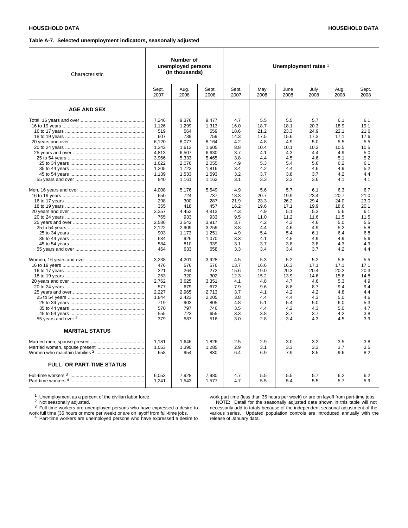#### **Table A-7. Selected unemployment indicators, seasonally adjusted**

┱

| Characteristic                   |               | Number of<br>Unemployment rates 1 |               |               |             | unemployed persons<br>(in thousands) |              |              |               |  |  |  |  |
|----------------------------------|---------------|-----------------------------------|---------------|---------------|-------------|--------------------------------------|--------------|--------------|---------------|--|--|--|--|
|                                  | Sept.<br>2007 | Aug.<br>2008                      | Sept.<br>2008 | Sept.<br>2007 | May<br>2008 | June<br>2008                         | July<br>2008 | Aug.<br>2008 | Sept.<br>2008 |  |  |  |  |
| <b>AGE AND SEX</b>               |               |                                   |               |               |             |                                      |              |              |               |  |  |  |  |
|                                  | 7,246         | 9,376                             | 9,477         | 4.7           | 5.5         | 5.5                                  | 5.7          | 6.1          | 6.1           |  |  |  |  |
|                                  | 1,126         | 1,299                             | 1,313         | 16.0          | 18.7        | 18.1                                 | 20.3         | 18.9         | 19.1          |  |  |  |  |
|                                  | 519           | 564                               | 559           | 18.6          | 21.2        | 23.3                                 | 24.9         | 22.1         | 21.6          |  |  |  |  |
|                                  | 607           | 739                               | 759           | 14.3          | 17.5        | 15.6                                 | 17.3         | 17.1         | 17.6          |  |  |  |  |
|                                  | 6,120         | 8,077                             | 8,164         | 4.2           | 4.8         | 4.9                                  | 5.0          | 5.5          | 5.5           |  |  |  |  |
|                                  | 1,342         | 1,612                             | 1,605         | 8.8           | 10.4        | 10.1                                 | 10.2         | 10.5         | 10.5          |  |  |  |  |
|                                  | 4,813         | 6,507                             | 6,630         | 3.7           | 4.1         | 4.3                                  | 4.4          | 4.9          | 5.0           |  |  |  |  |
|                                  | 3,966         | 5,333                             | 5,465         | 3.8           | 4.4         | 4.5                                  | 4.6          | 5.1          | 5.2           |  |  |  |  |
|                                  | 1,622         | 2,076                             | 2,055         | 4.9           | 5.3         | 5.4                                  | 5.6          | 6.2          | 6.1           |  |  |  |  |
|                                  | 1,205         | 1,723                             | 1,816         | 3.4           | 4.2         | 4.4                                  | 4.6          | 4.9          | 5.2           |  |  |  |  |
|                                  | 1,139         | 1,533                             | 1,593         | 3.2           | 3.7         | 3.8                                  | 3.7          | 4.2          | 4.4           |  |  |  |  |
|                                  | 840           | 1,161                             | 1,162         | 3.1           | 3.3         | 3.3                                  | 3.6          | 4.1          | 4.1           |  |  |  |  |
|                                  | 4,008         | 5,176                             | 5,549         | 4.9           | 5.6         | 5.7                                  | 6.1          | 6.3          | 6.7           |  |  |  |  |
|                                  | 650           | 724                               | 737           | 18.3          | 20.7        | 19.9                                 | 23.4         | 20.7         | 21.0          |  |  |  |  |
|                                  | 298           | 300                               | 287           | 21.9          | 23.3        | 26.2                                 | 29.4         | 24.0         | 23.0          |  |  |  |  |
|                                  | 355           | 418                               | 457           | 16.2          | 19.6        | 17.1                                 | 19.9         | 18.6         | 20.1          |  |  |  |  |
|                                  | 3,357         | 4,452                             | 4,813         | 4.3           | 4.9         | 5.1                                  | 5.3          | 5.6          | 6.1           |  |  |  |  |
|                                  | 765           | 933                               | 933           | 9.5           | 11.0        | 11.2                                 | 11.6         | 11.5         | 11.5          |  |  |  |  |
|                                  | 2,586         | 3.542                             | 3,917         | 3.7           | 4.2         | 4.3                                  | 4.6          | 5.0          | 5.5           |  |  |  |  |
|                                  | 2,122         | 2,909                             | 3,259         | 3.8           | 4.4         | 4.6                                  | 4.9          | 5.2          | 5.8           |  |  |  |  |
|                                  | 903           | 1,173                             | 1,251         | 4.9           | 5.4         | 5.4                                  | 6.1          | 6.4          | 6.8           |  |  |  |  |
|                                  | 634           | 926                               | 1,070         | 3.3           | 4.1         | 4.5                                  | 4.9          | 4.9          | 5.6           |  |  |  |  |
|                                  | 584           | 810                               | 939           | 3.1           | 3.7         | 3.8                                  | 3.8          | 4.3          | 4.9           |  |  |  |  |
|                                  | 464           | 633                               | 658           | 3.3           | 3.4         | 3.4                                  | 3.7          | 4.2          | 4.4           |  |  |  |  |
|                                  | 3,238         | 4,201                             | 3,928         | 4.5           | 5.3         | 5.2                                  | 5.2          | 5.8          | 5.5           |  |  |  |  |
|                                  | 476           | 576                               | 576           | 13.7          | 16.6        | 16.3                                 | 17.1         | 17.1         | 17.1          |  |  |  |  |
|                                  | 221           | 264                               | 272           | 15.6          | 19.0        | 20.3                                 | 20.4         | 20.2         | 20.3          |  |  |  |  |
|                                  | 253           | 320                               | 302           | 12.3          | 15.2        | 13.9                                 | 14.6         | 15.6         | 14.8          |  |  |  |  |
|                                  | 2,762         | 3,625                             | 3,351         | 4.1           | 4.8         | 4.7                                  | 4.6          | 5.3          | 4.9           |  |  |  |  |
|                                  | 577           | 679                               | 672           | 7.9           | 9.6         | 8.8                                  | 8.7          | 9.4          | 9.4           |  |  |  |  |
|                                  | 2,227         | 2,965                             | 2,713         | 3.7           | 4.1         | 4.2                                  | 4.2          | 4.8          | 4.4           |  |  |  |  |
|                                  | 1,844         | 2,423                             | 2,205         | 3.8           | 4.4         | 4.4                                  | 4.3          | 5.0          | 4.6           |  |  |  |  |
|                                  | 719           | 903<br>797                        | 805           | 4.8           | 5.1         | 5.4<br>4.2                           | 5.0<br>4.3   | 6.0          | 5.3           |  |  |  |  |
|                                  | 570           |                                   | 746           | 3.5           | 4.4         |                                      |              | 5.0          | 4.7           |  |  |  |  |
|                                  | 555<br>379    | 723<br>587                        | 655<br>516    | 3.3<br>3.0    | 3.8         | 3.7<br>3.4                           | 3.7<br>4.3   | 4.2<br>4.5   | 3.8           |  |  |  |  |
|                                  |               |                                   |               |               | 2.8         |                                      |              |              | 3.9           |  |  |  |  |
| <b>MARITAL STATUS</b>            |               |                                   |               |               |             |                                      |              |              |               |  |  |  |  |
|                                  | 1,181         | 1,646                             | 1,826         | 2.5           | 2.9         | 3.0                                  | 3.2          | 3.5          | 3.8           |  |  |  |  |
|                                  | 1,053         | 1,390                             | 1,285         | 2.9           | 3.1         | 3.3                                  | 3.3          | 3.7          | 3.5           |  |  |  |  |
|                                  | 658           | 954                               | 830           | 6.4           | 6.9         | 7.9                                  | 8.5          | 9.6          | 8.2           |  |  |  |  |
| <b>FULL- OR PART-TIME STATUS</b> |               |                                   |               |               |             |                                      |              |              |               |  |  |  |  |
|                                  | 6,053         | 7,928                             | 7,980         | 4.7           | 5.5         | 5.5                                  | 5.7          | 6.2          | 6.2           |  |  |  |  |
|                                  | 1,241         | 1,543                             | 1,577         | 4.7           | 5.5         | 5.4                                  | 5.5          | 5.7          | 5.9           |  |  |  |  |

1 Unemployment as a percent of the civilian labor force.<br>
<sup>2</sup> Not seasonally adjusted.<br>
<sup>3</sup> Full-time workers are unemployed persons who have expressed a desire to work full time (35 hours or more per week) or are on layoff from full-time jobs. <sup>4</sup> Part-time workers are unemployed persons who have expressed a desire to

work part time (less than 35 hours per week) or are on layoff from part-time jobs. NOTE: Detail for the seasonally adjusted data shown in this table will not necessarily add to totals because of the independent seasonal adjustment of the various series. Updated population controls are introduced annually with the release of January data.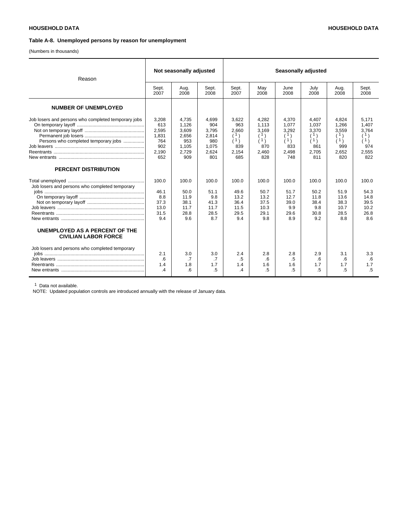### **Table A-8. Unemployed persons by reason for unemployment**

(Numbers in thousands)

| Reason                                                                                      |                                                              | Not seasonally adjusted                                          |                                                                | Seasonally adjusted                                        |                                                              |                                                              |                                                                |                                                                |                                                                                |
|---------------------------------------------------------------------------------------------|--------------------------------------------------------------|------------------------------------------------------------------|----------------------------------------------------------------|------------------------------------------------------------|--------------------------------------------------------------|--------------------------------------------------------------|----------------------------------------------------------------|----------------------------------------------------------------|--------------------------------------------------------------------------------|
|                                                                                             | Sept.<br>2007                                                | Aug.<br>2008                                                     | Sept.<br>2008                                                  | Sept.<br>2007                                              | May<br>2008                                                  | June<br>2008                                                 | July<br>2008                                                   | Aug.<br>2008                                                   | Sept.<br>2008                                                                  |
| <b>NUMBER OF UNEMPLOYED</b>                                                                 |                                                              |                                                                  |                                                                |                                                            |                                                              |                                                              |                                                                |                                                                |                                                                                |
| Job losers and persons who completed temporary jobs<br>Persons who completed temporary jobs | 3.208<br>613<br>2,595<br>1,831<br>764<br>902<br>2,190<br>652 | 4.735<br>1.126<br>3,609<br>2,656<br>953<br>1.105<br>2.729<br>909 | 4.699<br>904<br>3,795<br>2,814<br>980<br>1.075<br>2.624<br>801 | 3.622<br>963<br>2.660<br>(1)<br>(1)<br>839<br>2.154<br>685 | 4.282<br>1.113<br>3.169<br>(1)<br>(1)<br>870<br>2,460<br>828 | 4.370<br>1.077<br>3,292<br>(1)<br>(1)<br>833<br>2,498<br>748 | 4.407<br>1,037<br>3.370<br>( 1 )<br>(1)<br>861<br>2.705<br>811 | 4.824<br>1,266<br>3,559<br>ີ 1 )<br>(1)<br>999<br>2.652<br>820 | 5.171<br>1,407<br>3.764<br>(1)<br>$\lambda$ 1 $\lambda$<br>974<br>2.555<br>822 |
| <b>PERCENT DISTRIBUTION</b>                                                                 |                                                              |                                                                  |                                                                |                                                            |                                                              |                                                              |                                                                |                                                                |                                                                                |
| Job losers and persons who completed temporary                                              | 100.0<br>46.1<br>8.8<br>37.3<br>13.0<br>31.5<br>9.4          | 100.0<br>50.0<br>11.9<br>38.1<br>11.7<br>28.8<br>9.6             | 100.0<br>51.1<br>9.8<br>41.3<br>11.7<br>28.5<br>8.7            | 100.0<br>49.6<br>13.2<br>36.4<br>11.5<br>29.5<br>9.4       | 100.0<br>50.7<br>13.2<br>37.5<br>10.3<br>29.1<br>9.8         | 100.0<br>51.7<br>12.7<br>39.0<br>9.9<br>29.6<br>8.9          | 100.0<br>50.2<br>11.8<br>38.4<br>9.8<br>30.8<br>9.2            | 100.0<br>51.9<br>13.6<br>38.3<br>10.7<br>28.5<br>8.8           | 100.0<br>54.3<br>14.8<br>39.5<br>10.2<br>26.8<br>8.6                           |
| UNEMPLOYED AS A PERCENT OF THE<br><b>CIVILIAN LABOR FORCE</b>                               |                                                              |                                                                  |                                                                |                                                            |                                                              |                                                              |                                                                |                                                                |                                                                                |
| Job losers and persons who completed temporary                                              | 2.1<br>.6<br>1.4<br>$\overline{A}$                           | 3.0<br>.7<br>1.8<br>.6                                           | 3.0<br>.7<br>1.7<br>.5                                         | 2.4<br>.5<br>1.4<br>.4                                     | 2.8<br>.6<br>1.6<br>.5                                       | 2.8<br>.5<br>1.6<br>.5                                       | 2.9<br>.6<br>1.7<br>.5                                         | 3.1<br>.6<br>1.7<br>.5                                         | 3.3<br>.6<br>1.7<br>$.5\,$                                                     |

<sup>1</sup> Data not available.

NOTE: Updated population controls are introduced annually with the release of January data.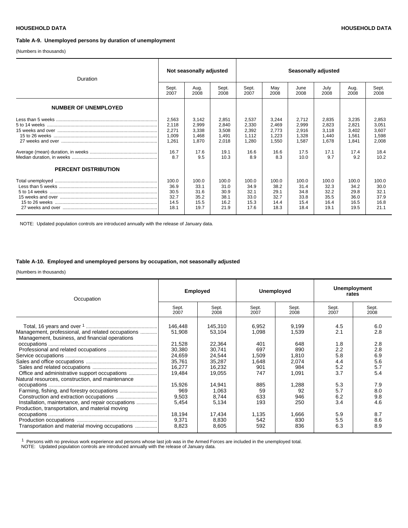#### **HOUSEHOLD DATA HOUSEHOLD DATA**

#### **Table A-9. Unemployed persons by duration of unemployment**

| Duration                    |                                                         | Not seasonally adjusted                                  |                                                           | <b>Seasonally adjusted</b>                               |                                                          |                                                           |                                                          |                                                          |                                                           |  |
|-----------------------------|---------------------------------------------------------|----------------------------------------------------------|-----------------------------------------------------------|----------------------------------------------------------|----------------------------------------------------------|-----------------------------------------------------------|----------------------------------------------------------|----------------------------------------------------------|-----------------------------------------------------------|--|
|                             | Sept.<br>2007                                           | Aug.<br>2008                                             | Sept.<br>2008                                             | Sept.<br>2007                                            | Mav<br>2008                                              | June<br>2008                                              | July<br>2008                                             | Aug.<br>2008                                             | Sept.<br>2008                                             |  |
| NUMBER OF UNEMPLOYED        |                                                         |                                                          |                                                           |                                                          |                                                          |                                                           |                                                          |                                                          |                                                           |  |
| <b>PERCENT DISTRIBUTION</b> | 2,563<br>2,118<br>2,271<br>1,009<br>1,261<br>16.7<br>87 | 3.142<br>2,999<br>3,338<br>1.468<br>1.870<br>17.6<br>9.5 | 2.851<br>2.840<br>3,508<br>1.491<br>2.018<br>19.1<br>10.3 | 2.537<br>2,330<br>2,392<br>1.112<br>1.280<br>16.6<br>8.9 | 3.244<br>2,469<br>2.773<br>1.223<br>1.550<br>16.6<br>8.3 | 2.712<br>2,999<br>2,916<br>1,328<br>1.587<br>17.5<br>10.0 | 2.835<br>2,823<br>3,118<br>1.440<br>1.678<br>17.1<br>9.7 | 3.235<br>2,821<br>3,402<br>1.561<br>1.841<br>17.4<br>9.2 | 2.853<br>3,051<br>3,607<br>1.598<br>2,008<br>18.4<br>10.2 |  |
|                             | 100.0<br>36.9<br>30.5<br>32.7<br>14.5<br>18.1           | 100.0<br>33.1<br>31.6<br>35.2<br>15.5<br>19.7            | 100.0<br>31.0<br>30.9<br>38.1<br>16.2<br>21.9             | 100.0<br>34.9<br>32.1<br>33.0<br>15.3<br>17.6            | 100.0<br>38.2<br>29.1<br>32.7<br>14.4<br>18.3            | 100.0<br>31.4<br>34.8<br>33.8<br>15.4<br>18.4             | 100.0<br>32.3<br>32.2<br>35.5<br>16.4<br>19.1            | 100.0<br>34.2<br>29.8<br>36.0<br>16.5<br>19.5            | 100.0<br>30.0<br>32.1<br>37.9<br>16.8<br>21.1             |  |

NOTE: Updated population controls are introduced annually with the release of January data.

#### **Table A-10. Employed and unemployed persons by occupation, not seasonally adjusted**

(Numbers in thousands)

| Occupation                                                                                                                                              |                                                                                                         | <b>Employed</b>                                                                                           |                                                                                  | Unemployed                                                                           | <b>Unemployment</b><br>rates                                              |                                                                           |  |
|---------------------------------------------------------------------------------------------------------------------------------------------------------|---------------------------------------------------------------------------------------------------------|-----------------------------------------------------------------------------------------------------------|----------------------------------------------------------------------------------|--------------------------------------------------------------------------------------|---------------------------------------------------------------------------|---------------------------------------------------------------------------|--|
|                                                                                                                                                         | Sept.<br>2007                                                                                           | Sept.<br>2008                                                                                             | Sept.<br>2007                                                                    | Sept.<br>2008                                                                        | Sept.<br>2007                                                             | Sept.<br>2008                                                             |  |
| Management, professional, and related occupations<br>Management, business, and financial operations<br>Natural resources, construction, and maintenance | 146.448<br>51,908<br>21,528<br>30,380<br>24,659<br>35,761<br>16.277<br>19,484<br>15,926<br>969<br>9,503 | 145,310<br>53,104<br>22,364<br>30.741<br>24,544<br>35,287<br>16.232<br>19,055<br>14,941<br>1.063<br>8.744 | 6,952<br>1,098<br>401<br>697<br>1,509<br>1,648<br>901<br>747<br>885<br>59<br>633 | 9.199<br>1,539<br>648<br>890<br>1,810<br>2,074<br>984<br>1,091<br>1,288<br>92<br>946 | 4.5<br>2.1<br>1.8<br>2.2<br>5.8<br>4.4<br>5.2<br>3.7<br>5.3<br>5.7<br>6.2 | 6.0<br>2.8<br>2.8<br>2.8<br>6.9<br>5.6<br>5.7<br>5.4<br>7.9<br>8.0<br>9.8 |  |
| Production, transportation, and material moving<br>Transportation and material moving occupations                                                       | 5,454<br>18,194<br>9,371<br>8,823                                                                       | 5,134<br>17,434<br>8,830<br>8,605                                                                         | 193<br>1,135<br>542<br>592                                                       | 250<br>1,666<br>830<br>836                                                           | 3.4<br>5.9<br>5.5<br>6.3                                                  | 4.6<br>8.7<br>8.6<br>8.9                                                  |  |

<sup>1</sup> Persons with no previous work experience and persons whose last job was in the Armed Forces are included in the unemployed total.<br>NOTE: Updated population controls are introduced annually with the release of January da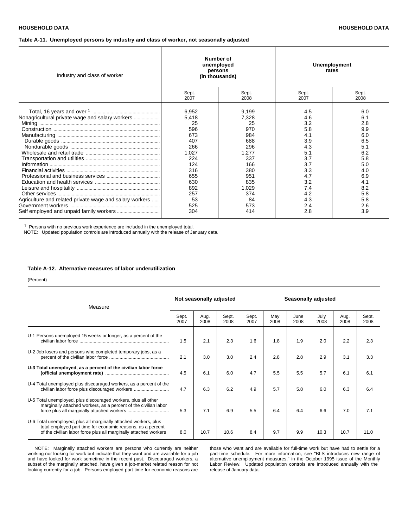#### **Table A-11. Unemployed persons by industry and class of worker, not seasonally adjusted**

| Industry and class of worker                            | Number of<br>unemployed<br>persons<br>(in thousands) |       | <b>Unemployment</b><br>rates |       |  |  |
|---------------------------------------------------------|------------------------------------------------------|-------|------------------------------|-------|--|--|
|                                                         | Sept.                                                | Sept. | Sept.                        | Sept. |  |  |
|                                                         | 2007                                                 | 2008  | 2007                         | 2008  |  |  |
|                                                         | 6,952                                                | 9,199 | 4.5                          | 6.0   |  |  |
| Nonagricultural private wage and salary workers         | 5,418                                                | 7,328 | 4.6                          | 6.1   |  |  |
|                                                         | 25                                                   | 25    | 3.2                          | 2.8   |  |  |
|                                                         | 596                                                  | 970   | 5.8                          | 9.9   |  |  |
|                                                         | 673                                                  | 984   | 4.1                          | 6.0   |  |  |
|                                                         | 407                                                  | 688   | 3.9                          | 6.5   |  |  |
|                                                         | 266                                                  | 296   | 4.3                          | 5.1   |  |  |
|                                                         | 1,027                                                | 1,277 | 5.1                          | 6.2   |  |  |
|                                                         | 224                                                  | 337   | 3.7                          | 5.8   |  |  |
|                                                         | 124                                                  | 166   | 3.7                          | 5.0   |  |  |
|                                                         | 316                                                  | 380   | 3.3                          | 4.0   |  |  |
|                                                         | 655                                                  | 951   | 4.7                          | 6.9   |  |  |
|                                                         | 630                                                  | 835   | 3.2                          | 4.1   |  |  |
|                                                         | 892                                                  | 1,029 | 7.4                          | 8.2   |  |  |
|                                                         | 257                                                  | 374   | 4.2                          | 5.8   |  |  |
| Agriculture and related private wage and salary workers | 53                                                   | 84    | 4.3                          | 5.8   |  |  |
|                                                         | 525                                                  | 573   | 2.4                          | 2.6   |  |  |
|                                                         | 304                                                  | 414   | 2.8                          | 3.9   |  |  |

1 Persons with no previous work experience are included in the unemployed total.

NOTE: Updated population controls are introduced annually with the release of January data.

#### **Table A-12. Alternative measures of labor underutilization**

(Percent)

| Measure                                                                                                                                                                                             |               | Not seasonally adjusted |               | Seasonally adjusted |             |              |              |              |               |  |
|-----------------------------------------------------------------------------------------------------------------------------------------------------------------------------------------------------|---------------|-------------------------|---------------|---------------------|-------------|--------------|--------------|--------------|---------------|--|
|                                                                                                                                                                                                     | Sept.<br>2007 | Aug.<br>2008            | Sept.<br>2008 | Sept.<br>2007       | Mav<br>2008 | June<br>2008 | July<br>2008 | Aug.<br>2008 | Sept.<br>2008 |  |
| U-1 Persons unemployed 15 weeks or longer, as a percent of the                                                                                                                                      | 1.5           | 2.1                     | 2.3           | 1.6                 | 1.8         | 1.9          | 2.0          | 2.2          | 2.3           |  |
| U-2 Job losers and persons who completed temporary jobs, as a                                                                                                                                       | 2.1           | 3.0                     | 3.0           | 2.4                 | 2.8         | 2.8          | 2.9          | 3.1          | 3.3           |  |
| U-3 Total unemployed, as a percent of the civilian labor force                                                                                                                                      | 4.5           | 6.1                     | 6.0           | 4.7                 | 5.5         | 5.5          | 5.7          | 6.1          | 6.1           |  |
| U-4 Total unemployed plus discouraged workers, as a percent of the<br>civilian labor force plus discouraged workers                                                                                 | 4.7           | 6.3                     | 6.2           | 4.9                 | 5.7         | 5.8          | 6.0          | 6.3          | 6.4           |  |
| U-5 Total unemployed, plus discouraged workers, plus all other<br>marginally attached workers, as a percent of the civilian labor                                                                   | 5.3           | 7.1                     | 6.9           | 5.5                 | 6.4         | 6.4          | 6.6          | 7.0          | 7.1           |  |
| U-6 Total unemployed, plus all marginally attached workers, plus<br>total employed part time for economic reasons, as a percent<br>of the civilian labor force plus all marginally attached workers | 8.0           | 10.7                    | 10.6          | 8.4                 | 9.7         | 9.9          | 10.3         | 10.7         | 11.0          |  |

 NOTE: Marginally attached workers are persons who currently are neither working nor looking for work but indicate that they want and are available for a job and have looked for work sometime in the recent past. Discouraged workers, a subset of the marginally attached, have given a job-market related reason for not looking currently for a job. Persons employed part time for economic reasons are

those who want and are available for full-time work but have had to settle for a part-time schedule. For more information, see "BLS introduces new range of alternative unemployment measures," in the October 1995 issue of the Monthly Labor Review. Updated population controls are introduced annually with the release of January data.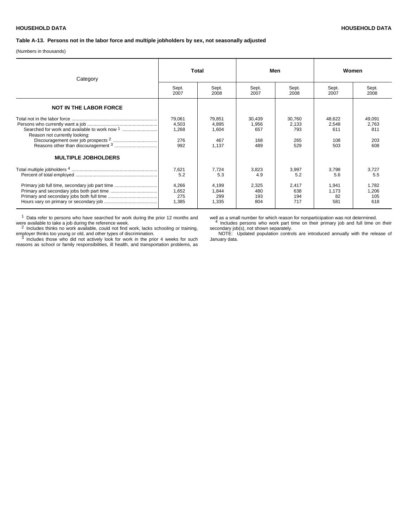#### **HOUSEHOLD DATA HOUSEHOLD DATA**

#### **Table A-13. Persons not in the labor force and multiple jobholders by sex, not seasonally adjusted**

(Numbers in thousands)

| Category                                                                                  |                                        | <b>Total</b>                             |                                      | Men                                  | Women                                |                                      |  |
|-------------------------------------------------------------------------------------------|----------------------------------------|------------------------------------------|--------------------------------------|--------------------------------------|--------------------------------------|--------------------------------------|--|
|                                                                                           | Sept.<br>2007                          | Sept.<br>2008                            | Sept.<br>2007                        | Sept.<br>2008                        | Sept.<br>2007                        | Sept.<br>2008                        |  |
| <b>NOT IN THE LABOR FORCE</b>                                                             |                                        |                                          |                                      |                                      |                                      |                                      |  |
| Searched for work and available to work now <sup>1</sup><br>Reason not currently looking: | 79,061<br>4,503<br>1,268<br>276<br>992 | 79,851<br>4.895<br>1,604<br>467<br>1,137 | 30,439<br>1,956<br>657<br>168<br>489 | 30,760<br>2,133<br>793<br>265<br>529 | 48,622<br>2,548<br>611<br>108<br>503 | 49,091<br>2,763<br>811<br>203<br>608 |  |
| <b>MULTIPLE JOBHOLDERS</b>                                                                |                                        |                                          |                                      |                                      |                                      |                                      |  |
|                                                                                           | 7,621<br>5.2                           | 7.724<br>5.3                             | 3,823<br>4.9                         | 3,997<br>5.2                         | 3,798<br>5.6                         | 3,727<br>5.5                         |  |
| Primary job full time, secondary job part time                                            | 4,266<br>1,652<br>275<br>1,385         | 4,199<br>1,844<br>299<br>1,335           | 2,325<br>480<br>193<br>804           | 2,417<br>638<br>194<br>717           | 1.941<br>1,173<br>82<br>581          | 1,782<br>1,206<br>105<br>618         |  |

 $1$  Data refer to persons who have searched for work during the prior 12 months and were available to take a job during the reference week. <sup>2</sup> Includes thinks no work available, could not find work, lacks schooling or training,

employer thinks too young or old, and other types of discrimination.<br><sup>3</sup> Includes those who did not actively look for work in the prior 4 weeks for such

reasons as school or family responsibilities, ill health, and transportation problems, as

well as a small number for which reason for nonparticipation was not determined.<br><sup>4</sup> Includes persons who work part time on their primary job and full time on their

secondary job(s), not shown separately. NOTE: Updated population controls are introduced annually with the release of January data.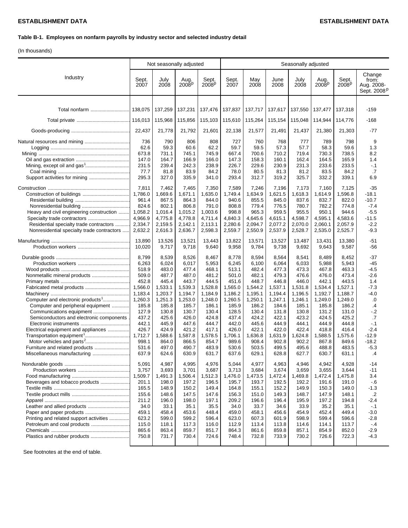# **Table B-1. Employees on nonfarm payrolls by industry sector and selected industry detail**

(In thousands)

| Change<br>Industry<br>Sept.<br>July<br>Sept.<br>May<br>July<br>Sept.<br>Aug.<br>Sept.<br>June<br>Aug.<br>from:<br>$200\overline{8}P$<br>$200\overline{8}P$<br>2008 <sup>p</sup><br>2008 <sup>p</sup><br>2007<br>2008<br>2007<br>2008<br>2008<br>2008<br>Aug. 2008-<br>Sept. 2008 <sup>p</sup><br>138,075<br>137,259<br>137,231<br>137,837<br>137,717<br>137,617<br>$-159$<br>137,476<br>137,550<br>137,477<br>137,318<br>Total nonfarm<br>116,013<br>115,968<br>115,856<br>115,103<br>115,610<br>115,264<br>115,154<br>115,048<br>114,944<br>$-168$<br>114,776<br>22,437<br>21,792<br>22,138<br>21,380<br>$-77$<br>21,778<br>21,601<br>21,577<br>21,491<br>21,437<br>21,303<br>736<br>9<br>790<br>806<br>808<br>727<br>760<br>768<br>777<br>789<br>798<br>62.6<br>62.2<br>57.3<br>1.3<br>59.3<br>60.6<br>59.7<br>59.5<br>57.7<br>58.3<br>59.6<br>673.8<br>8.2<br>731.1<br>745.9<br>667.4<br>710.2<br>719.4<br>730.3<br>738.5<br>745.1<br>700.6<br>147.0<br>166.0<br>162.4<br>164.5<br>165.9<br>1.4<br>164.7<br>166.9<br>147.3<br>158.3<br>160.1<br>231.5<br>239.4<br>242.3<br>238.9<br>226.7<br>229.6<br>230.9<br>231.3<br>233.6<br>233.5<br>$-.1$<br>77.7<br>81.8<br>83.9<br>84.2<br>78.0<br>80.5<br>81.3<br>81.2<br>83.5<br>84.2<br>.7<br>295.3<br>327.0<br>335.9<br>341.0<br>293.4<br>312.7<br>319.2<br>325.7<br>332.2<br>339.1<br>6.9<br>Support activities for mining<br>7,811<br>7,462<br>7,350<br>7,589<br>7,196<br>7,465<br>7,246<br>7,173<br>7,160<br>7,125<br>$-35$<br>1,786.0<br>1,669.6<br>1,671.1<br>1,635.0<br>1,749.4<br>1,621.5<br>1,618.3<br>$-18.1$<br>1,634.9<br>1,614.9<br>1,596.8<br>961.4<br>867.5<br>844.0<br>940.6<br>855.5<br>837.6<br>832.7<br>822.0<br>$-10.7$<br>864.3<br>845.0<br>824.6<br>$-7.4$<br>802.1<br>806.8<br>791.0<br>808.8<br>779.4<br>776.5<br>780.7<br>782.2<br>774.8<br>1,058.2<br>Heavy and civil engineering construction<br>1,003.6<br>998.8<br>965.3<br>959.5<br>955.5<br>950.1<br>944.6<br>$-5.5$<br>1,016.4<br>1,015.2<br>4,966.9<br>$-11.5$<br>Specialty trade contractors<br>4,775.8<br>4,778.8<br>4,711.4<br>4,840.3<br>4,645.6<br>4,598.7<br>4,595.1<br>4,583.6<br>4,615.1<br>2,334.7<br>Residential specialty trade contractors<br>2,159.5<br>2,142.1<br>2,113.1<br>2,280.6<br>2,094.7<br>2,077.2<br>2,070.0<br>2,060.1<br>2,057.9<br>$-2.2$<br>2,632.2<br>Nonresidential specialty trade contractors<br>2,616.3<br>2,636.7<br>2,598.3<br>2,559.7<br>2,550.9<br>2,537.9<br>2,528.7<br>2,535.0<br>$-9.3$<br>2,525.7<br>13,890<br>13,526<br>13.521<br>13,822<br>13,487<br>$-51$<br>13,443<br>13,571<br>13.527<br>13,431<br>13,380<br>10,020<br>9,717<br>9,958<br>9,692<br>9,587<br>-56<br>9,718<br>9,640<br>9,784<br>9,738<br>9,643<br>8,799<br>8,539<br>8,526<br>8,467<br>8,541<br>8,489<br>8,452<br>-37<br>8,778<br>8,594<br>8,564<br>6,263<br>6,024<br>5,953<br>6,033<br>5,988<br>5,943<br>-45<br>6,017<br>6,245<br>6,100<br>6,064<br>518.9<br>483.0<br>468.1<br>513.1<br>482.4<br>477.3<br>473.3<br>467.8<br>463.3<br>-4.5<br>477.4<br>509.0<br>Nonmetallic mineral products<br>487.7<br>487.0<br>481.2<br>501.0<br>482.1<br>479.3<br>476.6<br>476.0<br>473.4<br>$-2.6$<br>452.8<br>446.0<br>445.4<br>443.7<br>444.5<br>451.6<br>448.7<br>446.8<br>442.1<br>443.5<br>1.4<br>1,566.0<br>1,533.1<br>1,539.3<br>1,528.8<br>1,565.0<br>1,537.1<br>1,531.8<br>1,534.4<br>1,527.1<br>$-7.3$<br>1,544.2<br>$-4.0$<br>1,183.4<br>1,203.7<br>1,186.2<br>1,195.1<br>1,194.4<br>1,192.7<br>1,188.7<br>1,194.7<br>1,184.9<br>1,196.5<br>Computer and electronic products <sup>1</sup><br>1,260.3<br>1,251.3<br>1,253.0<br>1,260.5<br>1,250.1<br>1,249.0<br>1,249.0<br>.0<br>1,248.0<br>1,247.1<br>1,246.1<br>185.8<br>185.8<br>185.7<br>186.1<br>185.9<br>186.2<br>184.6<br>185.1<br>185.8<br>186.2<br>Computer and peripheral equipment<br>.4<br>127.9<br>130.4<br>128.5<br>131.2<br>$-2$<br>130.8<br>130.7<br>130.4<br>131.8<br>130.8<br>131.0<br>437.2<br>423.2<br>.7<br>425.6<br>426.0<br>424.8<br>437.4<br>424.2<br>422.1<br>424.5<br>425.2<br>Semiconductors and electronic components<br>442.1<br>445.9<br>444.7<br>442.0<br>445.6<br>444.1<br>444.9<br>$-.1$<br>447.6<br>444.9<br>444.8<br>426.7<br>422.4<br>424.9<br>421.2<br>417.1<br>426.0<br>422.1<br>422.0<br>418.8<br>416.4<br>$-2.4$<br>Electrical equipment and appliances<br>1,712.7<br>1,588.6<br>1,587.8<br>1,578.5<br>1,706.1<br>1,636.8<br>1,631.9<br>1,624.8<br>1,588.5<br>$-12.9$<br>1,575.6<br>998.1<br>864.0<br>854.7<br>989.6<br>902.8<br>902.2<br>$-18.2$<br>866.5<br>908.4<br>867.8<br>849.6<br>531.6<br>483.9<br>497.0<br>490.7<br>530.6<br>503.5<br>499.5<br>495.6<br>488.8<br>483.5<br>$-5.3$<br>637.9<br>624.6<br>630.9<br>631.7<br>637.6<br>629.1<br>628.8<br>627.7<br>630.7<br>631.1<br>Miscellaneous manufacturing<br>$\cdot$<br>5,091<br>4,987<br>4,995<br>4,976<br>5,044<br>4,977<br>4,963<br>4,946<br>4,942<br>4,928<br>$-14$<br>3,757<br>3,693<br>3,701<br>3,687<br>3,713<br>3,684<br>3,674<br>3,659<br>3,655<br>3,644<br>$-11$<br>1,509.7<br>1,512.3<br>1,476.0<br>1,472.4<br>1,469.8<br>3.4<br>1,491.3<br>1,506.4<br>1,473.5<br>1,472.4<br>1,475.8<br>201.1<br>Beverages and tobacco products<br>198.0<br>197.2<br>196.5<br>195.7<br>193.7<br>192.5<br>192.2<br>191.6<br>191.0<br>$-6$<br>165.5<br>148.9<br>150.2<br>149.4<br>152.2<br>149.9<br>149.0<br>$-1.3$<br>164.8<br>155.1<br>150.3<br>148.7<br>155.6<br>148.6<br>147.5<br>147.6<br>156.3<br>151.0<br>149.3<br>147.9<br>148.1<br>$\cdot$<br>211.2<br>196.0<br>197.1<br>196.6<br>196.4<br>195.9<br>$-2.4$<br>198.0<br>209.2<br>197.2<br>194.8<br>34.0<br>33.1<br>35.1<br>35.5<br>34.0<br>33.7<br>34.6<br>33.9<br>35.2<br>35.1<br>$-.1$<br>459.1<br>458.4<br>453.6<br>448.4<br>459.0<br>458.1<br>456.6<br>454.9<br>452.4<br>449.4<br>$-3.0$<br>623.2<br>598.9<br>Printing and related support activities<br>599.0<br>599.2<br>596.4<br>623.0<br>607.3<br>601.9<br>599.4<br>596.6<br>$-2.8$<br>Petroleum and coal products<br>115.0<br>116.0<br>114.6<br>113.7<br>$-4$<br>118.1<br>117.3<br>112.9<br>113.4<br>113.8<br>114.1<br>865.6<br>863.4<br>859.7<br>851.7<br>864.3<br>861.6<br>859.8<br>857.1<br>854.9<br>852.0<br>$-2.9$<br>Plastics and rubber products<br>750.8<br>731.7<br>730.4<br>724.6<br>748.4<br>732.8<br>733.9<br>730.2<br>726.6<br>722.3<br>$-4.3$ |  | Not seasonally adjusted |  | Seasonally adjusted |  |  |  |  |  |  |
|---------------------------------------------------------------------------------------------------------------------------------------------------------------------------------------------------------------------------------------------------------------------------------------------------------------------------------------------------------------------------------------------------------------------------------------------------------------------------------------------------------------------------------------------------------------------------------------------------------------------------------------------------------------------------------------------------------------------------------------------------------------------------------------------------------------------------------------------------------------------------------------------------------------------------------------------------------------------------------------------------------------------------------------------------------------------------------------------------------------------------------------------------------------------------------------------------------------------------------------------------------------------------------------------------------------------------------------------------------------------------------------------------------------------------------------------------------------------------------------------------------------------------------------------------------------------------------------------------------------------------------------------------------------------------------------------------------------------------------------------------------------------------------------------------------------------------------------------------------------------------------------------------------------------------------------------------------------------------------------------------------------------------------------------------------------------------------------------------------------------------------------------------------------------------------------------------------------------------------------------------------------------------------------------------------------------------------------------------------------------------------------------------------------------------------------------------------------------------------------------------------------------------------------------------------------------------------------------------------------------------------------------------------------------------------------------------------------------------------------------------------------------------------------------------------------------------------------------------------------------------------------------------------------------------------------------------------------------------------------------------------------------------------------------------------------------------------------------------------------------------------------------------------------------------------------------------------------------------------------------------------------------------------------------------------------------------------------------------------------------------------------------------------------------------------------------------------------------------------------------------------------------------------------------------------------------------------------------------------------------------------------------------------------------------------------------------------------------------------------------------------------------------------------------------------------------------------------------------------------------------------------------------------------------------------------------------------------------------------------------------------------------------------------------------------------------------------------------------------------------------------------------------------------------------------------------------------------------------------------------------------------------------------------------------------------------------------------------------------------------------------------------------------------------------------------------------------------------------------------------------------------------------------------------------------------------------------------------------------------------------------------------------------------------------------------------------------------------------------------------------------------------------------------------------------------------------------------------------------------------------------------------------------------------------------------------------------------------------------------------------------------------------------------------------------------------------------------------------------------------------------------------------------------------------------------------------------------------------------------------------------------------------------------------------------------------------------------------------------------------------------------------------------------------------------------------------------------------------------------------------------------------------------------------------------------------------------------------------------------------------------------------------------------------------------------------------------------------------------------------------------------------------------------------------------------------------------------------------------------------------------------------------------------------------------------------------------------------------------------------------------------------------------------------------------------------------------------------------------------------------------------------------------------------------------------------------------------------------------------------------------------|--|-------------------------|--|---------------------|--|--|--|--|--|--|
|                                                                                                                                                                                                                                                                                                                                                                                                                                                                                                                                                                                                                                                                                                                                                                                                                                                                                                                                                                                                                                                                                                                                                                                                                                                                                                                                                                                                                                                                                                                                                                                                                                                                                                                                                                                                                                                                                                                                                                                                                                                                                                                                                                                                                                                                                                                                                                                                                                                                                                                                                                                                                                                                                                                                                                                                                                                                                                                                                                                                                                                                                                                                                                                                                                                                                                                                                                                                                                                                                                                                                                                                                                                                                                                                                                                                                                                                                                                                                                                                                                                                                                                                                                                                                                                                                                                                                                                                                                                                                                                                                                                                                                                                                                                                                                                                                                                                                                                                                                                                                                                                                                                                                                                                                                                                                                                                                                                                                                                                                                                                                                                                                                                                                                                                                                                                                                                                                                                                                                                                                                                                                                                                                                                                                                                               |  |                         |  |                     |  |  |  |  |  |  |
|                                                                                                                                                                                                                                                                                                                                                                                                                                                                                                                                                                                                                                                                                                                                                                                                                                                                                                                                                                                                                                                                                                                                                                                                                                                                                                                                                                                                                                                                                                                                                                                                                                                                                                                                                                                                                                                                                                                                                                                                                                                                                                                                                                                                                                                                                                                                                                                                                                                                                                                                                                                                                                                                                                                                                                                                                                                                                                                                                                                                                                                                                                                                                                                                                                                                                                                                                                                                                                                                                                                                                                                                                                                                                                                                                                                                                                                                                                                                                                                                                                                                                                                                                                                                                                                                                                                                                                                                                                                                                                                                                                                                                                                                                                                                                                                                                                                                                                                                                                                                                                                                                                                                                                                                                                                                                                                                                                                                                                                                                                                                                                                                                                                                                                                                                                                                                                                                                                                                                                                                                                                                                                                                                                                                                                                               |  |                         |  |                     |  |  |  |  |  |  |
|                                                                                                                                                                                                                                                                                                                                                                                                                                                                                                                                                                                                                                                                                                                                                                                                                                                                                                                                                                                                                                                                                                                                                                                                                                                                                                                                                                                                                                                                                                                                                                                                                                                                                                                                                                                                                                                                                                                                                                                                                                                                                                                                                                                                                                                                                                                                                                                                                                                                                                                                                                                                                                                                                                                                                                                                                                                                                                                                                                                                                                                                                                                                                                                                                                                                                                                                                                                                                                                                                                                                                                                                                                                                                                                                                                                                                                                                                                                                                                                                                                                                                                                                                                                                                                                                                                                                                                                                                                                                                                                                                                                                                                                                                                                                                                                                                                                                                                                                                                                                                                                                                                                                                                                                                                                                                                                                                                                                                                                                                                                                                                                                                                                                                                                                                                                                                                                                                                                                                                                                                                                                                                                                                                                                                                                               |  |                         |  |                     |  |  |  |  |  |  |
|                                                                                                                                                                                                                                                                                                                                                                                                                                                                                                                                                                                                                                                                                                                                                                                                                                                                                                                                                                                                                                                                                                                                                                                                                                                                                                                                                                                                                                                                                                                                                                                                                                                                                                                                                                                                                                                                                                                                                                                                                                                                                                                                                                                                                                                                                                                                                                                                                                                                                                                                                                                                                                                                                                                                                                                                                                                                                                                                                                                                                                                                                                                                                                                                                                                                                                                                                                                                                                                                                                                                                                                                                                                                                                                                                                                                                                                                                                                                                                                                                                                                                                                                                                                                                                                                                                                                                                                                                                                                                                                                                                                                                                                                                                                                                                                                                                                                                                                                                                                                                                                                                                                                                                                                                                                                                                                                                                                                                                                                                                                                                                                                                                                                                                                                                                                                                                                                                                                                                                                                                                                                                                                                                                                                                                                               |  |                         |  |                     |  |  |  |  |  |  |
|                                                                                                                                                                                                                                                                                                                                                                                                                                                                                                                                                                                                                                                                                                                                                                                                                                                                                                                                                                                                                                                                                                                                                                                                                                                                                                                                                                                                                                                                                                                                                                                                                                                                                                                                                                                                                                                                                                                                                                                                                                                                                                                                                                                                                                                                                                                                                                                                                                                                                                                                                                                                                                                                                                                                                                                                                                                                                                                                                                                                                                                                                                                                                                                                                                                                                                                                                                                                                                                                                                                                                                                                                                                                                                                                                                                                                                                                                                                                                                                                                                                                                                                                                                                                                                                                                                                                                                                                                                                                                                                                                                                                                                                                                                                                                                                                                                                                                                                                                                                                                                                                                                                                                                                                                                                                                                                                                                                                                                                                                                                                                                                                                                                                                                                                                                                                                                                                                                                                                                                                                                                                                                                                                                                                                                                               |  |                         |  |                     |  |  |  |  |  |  |
|                                                                                                                                                                                                                                                                                                                                                                                                                                                                                                                                                                                                                                                                                                                                                                                                                                                                                                                                                                                                                                                                                                                                                                                                                                                                                                                                                                                                                                                                                                                                                                                                                                                                                                                                                                                                                                                                                                                                                                                                                                                                                                                                                                                                                                                                                                                                                                                                                                                                                                                                                                                                                                                                                                                                                                                                                                                                                                                                                                                                                                                                                                                                                                                                                                                                                                                                                                                                                                                                                                                                                                                                                                                                                                                                                                                                                                                                                                                                                                                                                                                                                                                                                                                                                                                                                                                                                                                                                                                                                                                                                                                                                                                                                                                                                                                                                                                                                                                                                                                                                                                                                                                                                                                                                                                                                                                                                                                                                                                                                                                                                                                                                                                                                                                                                                                                                                                                                                                                                                                                                                                                                                                                                                                                                                                               |  |                         |  |                     |  |  |  |  |  |  |
|                                                                                                                                                                                                                                                                                                                                                                                                                                                                                                                                                                                                                                                                                                                                                                                                                                                                                                                                                                                                                                                                                                                                                                                                                                                                                                                                                                                                                                                                                                                                                                                                                                                                                                                                                                                                                                                                                                                                                                                                                                                                                                                                                                                                                                                                                                                                                                                                                                                                                                                                                                                                                                                                                                                                                                                                                                                                                                                                                                                                                                                                                                                                                                                                                                                                                                                                                                                                                                                                                                                                                                                                                                                                                                                                                                                                                                                                                                                                                                                                                                                                                                                                                                                                                                                                                                                                                                                                                                                                                                                                                                                                                                                                                                                                                                                                                                                                                                                                                                                                                                                                                                                                                                                                                                                                                                                                                                                                                                                                                                                                                                                                                                                                                                                                                                                                                                                                                                                                                                                                                                                                                                                                                                                                                                                               |  |                         |  |                     |  |  |  |  |  |  |
|                                                                                                                                                                                                                                                                                                                                                                                                                                                                                                                                                                                                                                                                                                                                                                                                                                                                                                                                                                                                                                                                                                                                                                                                                                                                                                                                                                                                                                                                                                                                                                                                                                                                                                                                                                                                                                                                                                                                                                                                                                                                                                                                                                                                                                                                                                                                                                                                                                                                                                                                                                                                                                                                                                                                                                                                                                                                                                                                                                                                                                                                                                                                                                                                                                                                                                                                                                                                                                                                                                                                                                                                                                                                                                                                                                                                                                                                                                                                                                                                                                                                                                                                                                                                                                                                                                                                                                                                                                                                                                                                                                                                                                                                                                                                                                                                                                                                                                                                                                                                                                                                                                                                                                                                                                                                                                                                                                                                                                                                                                                                                                                                                                                                                                                                                                                                                                                                                                                                                                                                                                                                                                                                                                                                                                                               |  |                         |  |                     |  |  |  |  |  |  |
|                                                                                                                                                                                                                                                                                                                                                                                                                                                                                                                                                                                                                                                                                                                                                                                                                                                                                                                                                                                                                                                                                                                                                                                                                                                                                                                                                                                                                                                                                                                                                                                                                                                                                                                                                                                                                                                                                                                                                                                                                                                                                                                                                                                                                                                                                                                                                                                                                                                                                                                                                                                                                                                                                                                                                                                                                                                                                                                                                                                                                                                                                                                                                                                                                                                                                                                                                                                                                                                                                                                                                                                                                                                                                                                                                                                                                                                                                                                                                                                                                                                                                                                                                                                                                                                                                                                                                                                                                                                                                                                                                                                                                                                                                                                                                                                                                                                                                                                                                                                                                                                                                                                                                                                                                                                                                                                                                                                                                                                                                                                                                                                                                                                                                                                                                                                                                                                                                                                                                                                                                                                                                                                                                                                                                                                               |  |                         |  |                     |  |  |  |  |  |  |
|                                                                                                                                                                                                                                                                                                                                                                                                                                                                                                                                                                                                                                                                                                                                                                                                                                                                                                                                                                                                                                                                                                                                                                                                                                                                                                                                                                                                                                                                                                                                                                                                                                                                                                                                                                                                                                                                                                                                                                                                                                                                                                                                                                                                                                                                                                                                                                                                                                                                                                                                                                                                                                                                                                                                                                                                                                                                                                                                                                                                                                                                                                                                                                                                                                                                                                                                                                                                                                                                                                                                                                                                                                                                                                                                                                                                                                                                                                                                                                                                                                                                                                                                                                                                                                                                                                                                                                                                                                                                                                                                                                                                                                                                                                                                                                                                                                                                                                                                                                                                                                                                                                                                                                                                                                                                                                                                                                                                                                                                                                                                                                                                                                                                                                                                                                                                                                                                                                                                                                                                                                                                                                                                                                                                                                                               |  |                         |  |                     |  |  |  |  |  |  |
|                                                                                                                                                                                                                                                                                                                                                                                                                                                                                                                                                                                                                                                                                                                                                                                                                                                                                                                                                                                                                                                                                                                                                                                                                                                                                                                                                                                                                                                                                                                                                                                                                                                                                                                                                                                                                                                                                                                                                                                                                                                                                                                                                                                                                                                                                                                                                                                                                                                                                                                                                                                                                                                                                                                                                                                                                                                                                                                                                                                                                                                                                                                                                                                                                                                                                                                                                                                                                                                                                                                                                                                                                                                                                                                                                                                                                                                                                                                                                                                                                                                                                                                                                                                                                                                                                                                                                                                                                                                                                                                                                                                                                                                                                                                                                                                                                                                                                                                                                                                                                                                                                                                                                                                                                                                                                                                                                                                                                                                                                                                                                                                                                                                                                                                                                                                                                                                                                                                                                                                                                                                                                                                                                                                                                                                               |  |                         |  |                     |  |  |  |  |  |  |
|                                                                                                                                                                                                                                                                                                                                                                                                                                                                                                                                                                                                                                                                                                                                                                                                                                                                                                                                                                                                                                                                                                                                                                                                                                                                                                                                                                                                                                                                                                                                                                                                                                                                                                                                                                                                                                                                                                                                                                                                                                                                                                                                                                                                                                                                                                                                                                                                                                                                                                                                                                                                                                                                                                                                                                                                                                                                                                                                                                                                                                                                                                                                                                                                                                                                                                                                                                                                                                                                                                                                                                                                                                                                                                                                                                                                                                                                                                                                                                                                                                                                                                                                                                                                                                                                                                                                                                                                                                                                                                                                                                                                                                                                                                                                                                                                                                                                                                                                                                                                                                                                                                                                                                                                                                                                                                                                                                                                                                                                                                                                                                                                                                                                                                                                                                                                                                                                                                                                                                                                                                                                                                                                                                                                                                                               |  |                         |  |                     |  |  |  |  |  |  |
|                                                                                                                                                                                                                                                                                                                                                                                                                                                                                                                                                                                                                                                                                                                                                                                                                                                                                                                                                                                                                                                                                                                                                                                                                                                                                                                                                                                                                                                                                                                                                                                                                                                                                                                                                                                                                                                                                                                                                                                                                                                                                                                                                                                                                                                                                                                                                                                                                                                                                                                                                                                                                                                                                                                                                                                                                                                                                                                                                                                                                                                                                                                                                                                                                                                                                                                                                                                                                                                                                                                                                                                                                                                                                                                                                                                                                                                                                                                                                                                                                                                                                                                                                                                                                                                                                                                                                                                                                                                                                                                                                                                                                                                                                                                                                                                                                                                                                                                                                                                                                                                                                                                                                                                                                                                                                                                                                                                                                                                                                                                                                                                                                                                                                                                                                                                                                                                                                                                                                                                                                                                                                                                                                                                                                                                               |  |                         |  |                     |  |  |  |  |  |  |
|                                                                                                                                                                                                                                                                                                                                                                                                                                                                                                                                                                                                                                                                                                                                                                                                                                                                                                                                                                                                                                                                                                                                                                                                                                                                                                                                                                                                                                                                                                                                                                                                                                                                                                                                                                                                                                                                                                                                                                                                                                                                                                                                                                                                                                                                                                                                                                                                                                                                                                                                                                                                                                                                                                                                                                                                                                                                                                                                                                                                                                                                                                                                                                                                                                                                                                                                                                                                                                                                                                                                                                                                                                                                                                                                                                                                                                                                                                                                                                                                                                                                                                                                                                                                                                                                                                                                                                                                                                                                                                                                                                                                                                                                                                                                                                                                                                                                                                                                                                                                                                                                                                                                                                                                                                                                                                                                                                                                                                                                                                                                                                                                                                                                                                                                                                                                                                                                                                                                                                                                                                                                                                                                                                                                                                                               |  |                         |  |                     |  |  |  |  |  |  |
|                                                                                                                                                                                                                                                                                                                                                                                                                                                                                                                                                                                                                                                                                                                                                                                                                                                                                                                                                                                                                                                                                                                                                                                                                                                                                                                                                                                                                                                                                                                                                                                                                                                                                                                                                                                                                                                                                                                                                                                                                                                                                                                                                                                                                                                                                                                                                                                                                                                                                                                                                                                                                                                                                                                                                                                                                                                                                                                                                                                                                                                                                                                                                                                                                                                                                                                                                                                                                                                                                                                                                                                                                                                                                                                                                                                                                                                                                                                                                                                                                                                                                                                                                                                                                                                                                                                                                                                                                                                                                                                                                                                                                                                                                                                                                                                                                                                                                                                                                                                                                                                                                                                                                                                                                                                                                                                                                                                                                                                                                                                                                                                                                                                                                                                                                                                                                                                                                                                                                                                                                                                                                                                                                                                                                                                               |  |                         |  |                     |  |  |  |  |  |  |
|                                                                                                                                                                                                                                                                                                                                                                                                                                                                                                                                                                                                                                                                                                                                                                                                                                                                                                                                                                                                                                                                                                                                                                                                                                                                                                                                                                                                                                                                                                                                                                                                                                                                                                                                                                                                                                                                                                                                                                                                                                                                                                                                                                                                                                                                                                                                                                                                                                                                                                                                                                                                                                                                                                                                                                                                                                                                                                                                                                                                                                                                                                                                                                                                                                                                                                                                                                                                                                                                                                                                                                                                                                                                                                                                                                                                                                                                                                                                                                                                                                                                                                                                                                                                                                                                                                                                                                                                                                                                                                                                                                                                                                                                                                                                                                                                                                                                                                                                                                                                                                                                                                                                                                                                                                                                                                                                                                                                                                                                                                                                                                                                                                                                                                                                                                                                                                                                                                                                                                                                                                                                                                                                                                                                                                                               |  |                         |  |                     |  |  |  |  |  |  |
|                                                                                                                                                                                                                                                                                                                                                                                                                                                                                                                                                                                                                                                                                                                                                                                                                                                                                                                                                                                                                                                                                                                                                                                                                                                                                                                                                                                                                                                                                                                                                                                                                                                                                                                                                                                                                                                                                                                                                                                                                                                                                                                                                                                                                                                                                                                                                                                                                                                                                                                                                                                                                                                                                                                                                                                                                                                                                                                                                                                                                                                                                                                                                                                                                                                                                                                                                                                                                                                                                                                                                                                                                                                                                                                                                                                                                                                                                                                                                                                                                                                                                                                                                                                                                                                                                                                                                                                                                                                                                                                                                                                                                                                                                                                                                                                                                                                                                                                                                                                                                                                                                                                                                                                                                                                                                                                                                                                                                                                                                                                                                                                                                                                                                                                                                                                                                                                                                                                                                                                                                                                                                                                                                                                                                                                               |  |                         |  |                     |  |  |  |  |  |  |
|                                                                                                                                                                                                                                                                                                                                                                                                                                                                                                                                                                                                                                                                                                                                                                                                                                                                                                                                                                                                                                                                                                                                                                                                                                                                                                                                                                                                                                                                                                                                                                                                                                                                                                                                                                                                                                                                                                                                                                                                                                                                                                                                                                                                                                                                                                                                                                                                                                                                                                                                                                                                                                                                                                                                                                                                                                                                                                                                                                                                                                                                                                                                                                                                                                                                                                                                                                                                                                                                                                                                                                                                                                                                                                                                                                                                                                                                                                                                                                                                                                                                                                                                                                                                                                                                                                                                                                                                                                                                                                                                                                                                                                                                                                                                                                                                                                                                                                                                                                                                                                                                                                                                                                                                                                                                                                                                                                                                                                                                                                                                                                                                                                                                                                                                                                                                                                                                                                                                                                                                                                                                                                                                                                                                                                                               |  |                         |  |                     |  |  |  |  |  |  |
|                                                                                                                                                                                                                                                                                                                                                                                                                                                                                                                                                                                                                                                                                                                                                                                                                                                                                                                                                                                                                                                                                                                                                                                                                                                                                                                                                                                                                                                                                                                                                                                                                                                                                                                                                                                                                                                                                                                                                                                                                                                                                                                                                                                                                                                                                                                                                                                                                                                                                                                                                                                                                                                                                                                                                                                                                                                                                                                                                                                                                                                                                                                                                                                                                                                                                                                                                                                                                                                                                                                                                                                                                                                                                                                                                                                                                                                                                                                                                                                                                                                                                                                                                                                                                                                                                                                                                                                                                                                                                                                                                                                                                                                                                                                                                                                                                                                                                                                                                                                                                                                                                                                                                                                                                                                                                                                                                                                                                                                                                                                                                                                                                                                                                                                                                                                                                                                                                                                                                                                                                                                                                                                                                                                                                                                               |  |                         |  |                     |  |  |  |  |  |  |
|                                                                                                                                                                                                                                                                                                                                                                                                                                                                                                                                                                                                                                                                                                                                                                                                                                                                                                                                                                                                                                                                                                                                                                                                                                                                                                                                                                                                                                                                                                                                                                                                                                                                                                                                                                                                                                                                                                                                                                                                                                                                                                                                                                                                                                                                                                                                                                                                                                                                                                                                                                                                                                                                                                                                                                                                                                                                                                                                                                                                                                                                                                                                                                                                                                                                                                                                                                                                                                                                                                                                                                                                                                                                                                                                                                                                                                                                                                                                                                                                                                                                                                                                                                                                                                                                                                                                                                                                                                                                                                                                                                                                                                                                                                                                                                                                                                                                                                                                                                                                                                                                                                                                                                                                                                                                                                                                                                                                                                                                                                                                                                                                                                                                                                                                                                                                                                                                                                                                                                                                                                                                                                                                                                                                                                                               |  |                         |  |                     |  |  |  |  |  |  |
|                                                                                                                                                                                                                                                                                                                                                                                                                                                                                                                                                                                                                                                                                                                                                                                                                                                                                                                                                                                                                                                                                                                                                                                                                                                                                                                                                                                                                                                                                                                                                                                                                                                                                                                                                                                                                                                                                                                                                                                                                                                                                                                                                                                                                                                                                                                                                                                                                                                                                                                                                                                                                                                                                                                                                                                                                                                                                                                                                                                                                                                                                                                                                                                                                                                                                                                                                                                                                                                                                                                                                                                                                                                                                                                                                                                                                                                                                                                                                                                                                                                                                                                                                                                                                                                                                                                                                                                                                                                                                                                                                                                                                                                                                                                                                                                                                                                                                                                                                                                                                                                                                                                                                                                                                                                                                                                                                                                                                                                                                                                                                                                                                                                                                                                                                                                                                                                                                                                                                                                                                                                                                                                                                                                                                                                               |  |                         |  |                     |  |  |  |  |  |  |
|                                                                                                                                                                                                                                                                                                                                                                                                                                                                                                                                                                                                                                                                                                                                                                                                                                                                                                                                                                                                                                                                                                                                                                                                                                                                                                                                                                                                                                                                                                                                                                                                                                                                                                                                                                                                                                                                                                                                                                                                                                                                                                                                                                                                                                                                                                                                                                                                                                                                                                                                                                                                                                                                                                                                                                                                                                                                                                                                                                                                                                                                                                                                                                                                                                                                                                                                                                                                                                                                                                                                                                                                                                                                                                                                                                                                                                                                                                                                                                                                                                                                                                                                                                                                                                                                                                                                                                                                                                                                                                                                                                                                                                                                                                                                                                                                                                                                                                                                                                                                                                                                                                                                                                                                                                                                                                                                                                                                                                                                                                                                                                                                                                                                                                                                                                                                                                                                                                                                                                                                                                                                                                                                                                                                                                                               |  |                         |  |                     |  |  |  |  |  |  |
|                                                                                                                                                                                                                                                                                                                                                                                                                                                                                                                                                                                                                                                                                                                                                                                                                                                                                                                                                                                                                                                                                                                                                                                                                                                                                                                                                                                                                                                                                                                                                                                                                                                                                                                                                                                                                                                                                                                                                                                                                                                                                                                                                                                                                                                                                                                                                                                                                                                                                                                                                                                                                                                                                                                                                                                                                                                                                                                                                                                                                                                                                                                                                                                                                                                                                                                                                                                                                                                                                                                                                                                                                                                                                                                                                                                                                                                                                                                                                                                                                                                                                                                                                                                                                                                                                                                                                                                                                                                                                                                                                                                                                                                                                                                                                                                                                                                                                                                                                                                                                                                                                                                                                                                                                                                                                                                                                                                                                                                                                                                                                                                                                                                                                                                                                                                                                                                                                                                                                                                                                                                                                                                                                                                                                                                               |  |                         |  |                     |  |  |  |  |  |  |
|                                                                                                                                                                                                                                                                                                                                                                                                                                                                                                                                                                                                                                                                                                                                                                                                                                                                                                                                                                                                                                                                                                                                                                                                                                                                                                                                                                                                                                                                                                                                                                                                                                                                                                                                                                                                                                                                                                                                                                                                                                                                                                                                                                                                                                                                                                                                                                                                                                                                                                                                                                                                                                                                                                                                                                                                                                                                                                                                                                                                                                                                                                                                                                                                                                                                                                                                                                                                                                                                                                                                                                                                                                                                                                                                                                                                                                                                                                                                                                                                                                                                                                                                                                                                                                                                                                                                                                                                                                                                                                                                                                                                                                                                                                                                                                                                                                                                                                                                                                                                                                                                                                                                                                                                                                                                                                                                                                                                                                                                                                                                                                                                                                                                                                                                                                                                                                                                                                                                                                                                                                                                                                                                                                                                                                                               |  |                         |  |                     |  |  |  |  |  |  |
|                                                                                                                                                                                                                                                                                                                                                                                                                                                                                                                                                                                                                                                                                                                                                                                                                                                                                                                                                                                                                                                                                                                                                                                                                                                                                                                                                                                                                                                                                                                                                                                                                                                                                                                                                                                                                                                                                                                                                                                                                                                                                                                                                                                                                                                                                                                                                                                                                                                                                                                                                                                                                                                                                                                                                                                                                                                                                                                                                                                                                                                                                                                                                                                                                                                                                                                                                                                                                                                                                                                                                                                                                                                                                                                                                                                                                                                                                                                                                                                                                                                                                                                                                                                                                                                                                                                                                                                                                                                                                                                                                                                                                                                                                                                                                                                                                                                                                                                                                                                                                                                                                                                                                                                                                                                                                                                                                                                                                                                                                                                                                                                                                                                                                                                                                                                                                                                                                                                                                                                                                                                                                                                                                                                                                                                               |  |                         |  |                     |  |  |  |  |  |  |
|                                                                                                                                                                                                                                                                                                                                                                                                                                                                                                                                                                                                                                                                                                                                                                                                                                                                                                                                                                                                                                                                                                                                                                                                                                                                                                                                                                                                                                                                                                                                                                                                                                                                                                                                                                                                                                                                                                                                                                                                                                                                                                                                                                                                                                                                                                                                                                                                                                                                                                                                                                                                                                                                                                                                                                                                                                                                                                                                                                                                                                                                                                                                                                                                                                                                                                                                                                                                                                                                                                                                                                                                                                                                                                                                                                                                                                                                                                                                                                                                                                                                                                                                                                                                                                                                                                                                                                                                                                                                                                                                                                                                                                                                                                                                                                                                                                                                                                                                                                                                                                                                                                                                                                                                                                                                                                                                                                                                                                                                                                                                                                                                                                                                                                                                                                                                                                                                                                                                                                                                                                                                                                                                                                                                                                                               |  |                         |  |                     |  |  |  |  |  |  |
|                                                                                                                                                                                                                                                                                                                                                                                                                                                                                                                                                                                                                                                                                                                                                                                                                                                                                                                                                                                                                                                                                                                                                                                                                                                                                                                                                                                                                                                                                                                                                                                                                                                                                                                                                                                                                                                                                                                                                                                                                                                                                                                                                                                                                                                                                                                                                                                                                                                                                                                                                                                                                                                                                                                                                                                                                                                                                                                                                                                                                                                                                                                                                                                                                                                                                                                                                                                                                                                                                                                                                                                                                                                                                                                                                                                                                                                                                                                                                                                                                                                                                                                                                                                                                                                                                                                                                                                                                                                                                                                                                                                                                                                                                                                                                                                                                                                                                                                                                                                                                                                                                                                                                                                                                                                                                                                                                                                                                                                                                                                                                                                                                                                                                                                                                                                                                                                                                                                                                                                                                                                                                                                                                                                                                                                               |  |                         |  |                     |  |  |  |  |  |  |
|                                                                                                                                                                                                                                                                                                                                                                                                                                                                                                                                                                                                                                                                                                                                                                                                                                                                                                                                                                                                                                                                                                                                                                                                                                                                                                                                                                                                                                                                                                                                                                                                                                                                                                                                                                                                                                                                                                                                                                                                                                                                                                                                                                                                                                                                                                                                                                                                                                                                                                                                                                                                                                                                                                                                                                                                                                                                                                                                                                                                                                                                                                                                                                                                                                                                                                                                                                                                                                                                                                                                                                                                                                                                                                                                                                                                                                                                                                                                                                                                                                                                                                                                                                                                                                                                                                                                                                                                                                                                                                                                                                                                                                                                                                                                                                                                                                                                                                                                                                                                                                                                                                                                                                                                                                                                                                                                                                                                                                                                                                                                                                                                                                                                                                                                                                                                                                                                                                                                                                                                                                                                                                                                                                                                                                                               |  |                         |  |                     |  |  |  |  |  |  |
|                                                                                                                                                                                                                                                                                                                                                                                                                                                                                                                                                                                                                                                                                                                                                                                                                                                                                                                                                                                                                                                                                                                                                                                                                                                                                                                                                                                                                                                                                                                                                                                                                                                                                                                                                                                                                                                                                                                                                                                                                                                                                                                                                                                                                                                                                                                                                                                                                                                                                                                                                                                                                                                                                                                                                                                                                                                                                                                                                                                                                                                                                                                                                                                                                                                                                                                                                                                                                                                                                                                                                                                                                                                                                                                                                                                                                                                                                                                                                                                                                                                                                                                                                                                                                                                                                                                                                                                                                                                                                                                                                                                                                                                                                                                                                                                                                                                                                                                                                                                                                                                                                                                                                                                                                                                                                                                                                                                                                                                                                                                                                                                                                                                                                                                                                                                                                                                                                                                                                                                                                                                                                                                                                                                                                                                               |  |                         |  |                     |  |  |  |  |  |  |
|                                                                                                                                                                                                                                                                                                                                                                                                                                                                                                                                                                                                                                                                                                                                                                                                                                                                                                                                                                                                                                                                                                                                                                                                                                                                                                                                                                                                                                                                                                                                                                                                                                                                                                                                                                                                                                                                                                                                                                                                                                                                                                                                                                                                                                                                                                                                                                                                                                                                                                                                                                                                                                                                                                                                                                                                                                                                                                                                                                                                                                                                                                                                                                                                                                                                                                                                                                                                                                                                                                                                                                                                                                                                                                                                                                                                                                                                                                                                                                                                                                                                                                                                                                                                                                                                                                                                                                                                                                                                                                                                                                                                                                                                                                                                                                                                                                                                                                                                                                                                                                                                                                                                                                                                                                                                                                                                                                                                                                                                                                                                                                                                                                                                                                                                                                                                                                                                                                                                                                                                                                                                                                                                                                                                                                                               |  |                         |  |                     |  |  |  |  |  |  |
|                                                                                                                                                                                                                                                                                                                                                                                                                                                                                                                                                                                                                                                                                                                                                                                                                                                                                                                                                                                                                                                                                                                                                                                                                                                                                                                                                                                                                                                                                                                                                                                                                                                                                                                                                                                                                                                                                                                                                                                                                                                                                                                                                                                                                                                                                                                                                                                                                                                                                                                                                                                                                                                                                                                                                                                                                                                                                                                                                                                                                                                                                                                                                                                                                                                                                                                                                                                                                                                                                                                                                                                                                                                                                                                                                                                                                                                                                                                                                                                                                                                                                                                                                                                                                                                                                                                                                                                                                                                                                                                                                                                                                                                                                                                                                                                                                                                                                                                                                                                                                                                                                                                                                                                                                                                                                                                                                                                                                                                                                                                                                                                                                                                                                                                                                                                                                                                                                                                                                                                                                                                                                                                                                                                                                                                               |  |                         |  |                     |  |  |  |  |  |  |
|                                                                                                                                                                                                                                                                                                                                                                                                                                                                                                                                                                                                                                                                                                                                                                                                                                                                                                                                                                                                                                                                                                                                                                                                                                                                                                                                                                                                                                                                                                                                                                                                                                                                                                                                                                                                                                                                                                                                                                                                                                                                                                                                                                                                                                                                                                                                                                                                                                                                                                                                                                                                                                                                                                                                                                                                                                                                                                                                                                                                                                                                                                                                                                                                                                                                                                                                                                                                                                                                                                                                                                                                                                                                                                                                                                                                                                                                                                                                                                                                                                                                                                                                                                                                                                                                                                                                                                                                                                                                                                                                                                                                                                                                                                                                                                                                                                                                                                                                                                                                                                                                                                                                                                                                                                                                                                                                                                                                                                                                                                                                                                                                                                                                                                                                                                                                                                                                                                                                                                                                                                                                                                                                                                                                                                                               |  |                         |  |                     |  |  |  |  |  |  |
|                                                                                                                                                                                                                                                                                                                                                                                                                                                                                                                                                                                                                                                                                                                                                                                                                                                                                                                                                                                                                                                                                                                                                                                                                                                                                                                                                                                                                                                                                                                                                                                                                                                                                                                                                                                                                                                                                                                                                                                                                                                                                                                                                                                                                                                                                                                                                                                                                                                                                                                                                                                                                                                                                                                                                                                                                                                                                                                                                                                                                                                                                                                                                                                                                                                                                                                                                                                                                                                                                                                                                                                                                                                                                                                                                                                                                                                                                                                                                                                                                                                                                                                                                                                                                                                                                                                                                                                                                                                                                                                                                                                                                                                                                                                                                                                                                                                                                                                                                                                                                                                                                                                                                                                                                                                                                                                                                                                                                                                                                                                                                                                                                                                                                                                                                                                                                                                                                                                                                                                                                                                                                                                                                                                                                                                               |  |                         |  |                     |  |  |  |  |  |  |
|                                                                                                                                                                                                                                                                                                                                                                                                                                                                                                                                                                                                                                                                                                                                                                                                                                                                                                                                                                                                                                                                                                                                                                                                                                                                                                                                                                                                                                                                                                                                                                                                                                                                                                                                                                                                                                                                                                                                                                                                                                                                                                                                                                                                                                                                                                                                                                                                                                                                                                                                                                                                                                                                                                                                                                                                                                                                                                                                                                                                                                                                                                                                                                                                                                                                                                                                                                                                                                                                                                                                                                                                                                                                                                                                                                                                                                                                                                                                                                                                                                                                                                                                                                                                                                                                                                                                                                                                                                                                                                                                                                                                                                                                                                                                                                                                                                                                                                                                                                                                                                                                                                                                                                                                                                                                                                                                                                                                                                                                                                                                                                                                                                                                                                                                                                                                                                                                                                                                                                                                                                                                                                                                                                                                                                                               |  |                         |  |                     |  |  |  |  |  |  |
|                                                                                                                                                                                                                                                                                                                                                                                                                                                                                                                                                                                                                                                                                                                                                                                                                                                                                                                                                                                                                                                                                                                                                                                                                                                                                                                                                                                                                                                                                                                                                                                                                                                                                                                                                                                                                                                                                                                                                                                                                                                                                                                                                                                                                                                                                                                                                                                                                                                                                                                                                                                                                                                                                                                                                                                                                                                                                                                                                                                                                                                                                                                                                                                                                                                                                                                                                                                                                                                                                                                                                                                                                                                                                                                                                                                                                                                                                                                                                                                                                                                                                                                                                                                                                                                                                                                                                                                                                                                                                                                                                                                                                                                                                                                                                                                                                                                                                                                                                                                                                                                                                                                                                                                                                                                                                                                                                                                                                                                                                                                                                                                                                                                                                                                                                                                                                                                                                                                                                                                                                                                                                                                                                                                                                                                               |  |                         |  |                     |  |  |  |  |  |  |
|                                                                                                                                                                                                                                                                                                                                                                                                                                                                                                                                                                                                                                                                                                                                                                                                                                                                                                                                                                                                                                                                                                                                                                                                                                                                                                                                                                                                                                                                                                                                                                                                                                                                                                                                                                                                                                                                                                                                                                                                                                                                                                                                                                                                                                                                                                                                                                                                                                                                                                                                                                                                                                                                                                                                                                                                                                                                                                                                                                                                                                                                                                                                                                                                                                                                                                                                                                                                                                                                                                                                                                                                                                                                                                                                                                                                                                                                                                                                                                                                                                                                                                                                                                                                                                                                                                                                                                                                                                                                                                                                                                                                                                                                                                                                                                                                                                                                                                                                                                                                                                                                                                                                                                                                                                                                                                                                                                                                                                                                                                                                                                                                                                                                                                                                                                                                                                                                                                                                                                                                                                                                                                                                                                                                                                                               |  |                         |  |                     |  |  |  |  |  |  |
|                                                                                                                                                                                                                                                                                                                                                                                                                                                                                                                                                                                                                                                                                                                                                                                                                                                                                                                                                                                                                                                                                                                                                                                                                                                                                                                                                                                                                                                                                                                                                                                                                                                                                                                                                                                                                                                                                                                                                                                                                                                                                                                                                                                                                                                                                                                                                                                                                                                                                                                                                                                                                                                                                                                                                                                                                                                                                                                                                                                                                                                                                                                                                                                                                                                                                                                                                                                                                                                                                                                                                                                                                                                                                                                                                                                                                                                                                                                                                                                                                                                                                                                                                                                                                                                                                                                                                                                                                                                                                                                                                                                                                                                                                                                                                                                                                                                                                                                                                                                                                                                                                                                                                                                                                                                                                                                                                                                                                                                                                                                                                                                                                                                                                                                                                                                                                                                                                                                                                                                                                                                                                                                                                                                                                                                               |  |                         |  |                     |  |  |  |  |  |  |
|                                                                                                                                                                                                                                                                                                                                                                                                                                                                                                                                                                                                                                                                                                                                                                                                                                                                                                                                                                                                                                                                                                                                                                                                                                                                                                                                                                                                                                                                                                                                                                                                                                                                                                                                                                                                                                                                                                                                                                                                                                                                                                                                                                                                                                                                                                                                                                                                                                                                                                                                                                                                                                                                                                                                                                                                                                                                                                                                                                                                                                                                                                                                                                                                                                                                                                                                                                                                                                                                                                                                                                                                                                                                                                                                                                                                                                                                                                                                                                                                                                                                                                                                                                                                                                                                                                                                                                                                                                                                                                                                                                                                                                                                                                                                                                                                                                                                                                                                                                                                                                                                                                                                                                                                                                                                                                                                                                                                                                                                                                                                                                                                                                                                                                                                                                                                                                                                                                                                                                                                                                                                                                                                                                                                                                                               |  |                         |  |                     |  |  |  |  |  |  |
|                                                                                                                                                                                                                                                                                                                                                                                                                                                                                                                                                                                                                                                                                                                                                                                                                                                                                                                                                                                                                                                                                                                                                                                                                                                                                                                                                                                                                                                                                                                                                                                                                                                                                                                                                                                                                                                                                                                                                                                                                                                                                                                                                                                                                                                                                                                                                                                                                                                                                                                                                                                                                                                                                                                                                                                                                                                                                                                                                                                                                                                                                                                                                                                                                                                                                                                                                                                                                                                                                                                                                                                                                                                                                                                                                                                                                                                                                                                                                                                                                                                                                                                                                                                                                                                                                                                                                                                                                                                                                                                                                                                                                                                                                                                                                                                                                                                                                                                                                                                                                                                                                                                                                                                                                                                                                                                                                                                                                                                                                                                                                                                                                                                                                                                                                                                                                                                                                                                                                                                                                                                                                                                                                                                                                                                               |  |                         |  |                     |  |  |  |  |  |  |
|                                                                                                                                                                                                                                                                                                                                                                                                                                                                                                                                                                                                                                                                                                                                                                                                                                                                                                                                                                                                                                                                                                                                                                                                                                                                                                                                                                                                                                                                                                                                                                                                                                                                                                                                                                                                                                                                                                                                                                                                                                                                                                                                                                                                                                                                                                                                                                                                                                                                                                                                                                                                                                                                                                                                                                                                                                                                                                                                                                                                                                                                                                                                                                                                                                                                                                                                                                                                                                                                                                                                                                                                                                                                                                                                                                                                                                                                                                                                                                                                                                                                                                                                                                                                                                                                                                                                                                                                                                                                                                                                                                                                                                                                                                                                                                                                                                                                                                                                                                                                                                                                                                                                                                                                                                                                                                                                                                                                                                                                                                                                                                                                                                                                                                                                                                                                                                                                                                                                                                                                                                                                                                                                                                                                                                                               |  |                         |  |                     |  |  |  |  |  |  |
|                                                                                                                                                                                                                                                                                                                                                                                                                                                                                                                                                                                                                                                                                                                                                                                                                                                                                                                                                                                                                                                                                                                                                                                                                                                                                                                                                                                                                                                                                                                                                                                                                                                                                                                                                                                                                                                                                                                                                                                                                                                                                                                                                                                                                                                                                                                                                                                                                                                                                                                                                                                                                                                                                                                                                                                                                                                                                                                                                                                                                                                                                                                                                                                                                                                                                                                                                                                                                                                                                                                                                                                                                                                                                                                                                                                                                                                                                                                                                                                                                                                                                                                                                                                                                                                                                                                                                                                                                                                                                                                                                                                                                                                                                                                                                                                                                                                                                                                                                                                                                                                                                                                                                                                                                                                                                                                                                                                                                                                                                                                                                                                                                                                                                                                                                                                                                                                                                                                                                                                                                                                                                                                                                                                                                                                               |  |                         |  |                     |  |  |  |  |  |  |
|                                                                                                                                                                                                                                                                                                                                                                                                                                                                                                                                                                                                                                                                                                                                                                                                                                                                                                                                                                                                                                                                                                                                                                                                                                                                                                                                                                                                                                                                                                                                                                                                                                                                                                                                                                                                                                                                                                                                                                                                                                                                                                                                                                                                                                                                                                                                                                                                                                                                                                                                                                                                                                                                                                                                                                                                                                                                                                                                                                                                                                                                                                                                                                                                                                                                                                                                                                                                                                                                                                                                                                                                                                                                                                                                                                                                                                                                                                                                                                                                                                                                                                                                                                                                                                                                                                                                                                                                                                                                                                                                                                                                                                                                                                                                                                                                                                                                                                                                                                                                                                                                                                                                                                                                                                                                                                                                                                                                                                                                                                                                                                                                                                                                                                                                                                                                                                                                                                                                                                                                                                                                                                                                                                                                                                                               |  |                         |  |                     |  |  |  |  |  |  |
|                                                                                                                                                                                                                                                                                                                                                                                                                                                                                                                                                                                                                                                                                                                                                                                                                                                                                                                                                                                                                                                                                                                                                                                                                                                                                                                                                                                                                                                                                                                                                                                                                                                                                                                                                                                                                                                                                                                                                                                                                                                                                                                                                                                                                                                                                                                                                                                                                                                                                                                                                                                                                                                                                                                                                                                                                                                                                                                                                                                                                                                                                                                                                                                                                                                                                                                                                                                                                                                                                                                                                                                                                                                                                                                                                                                                                                                                                                                                                                                                                                                                                                                                                                                                                                                                                                                                                                                                                                                                                                                                                                                                                                                                                                                                                                                                                                                                                                                                                                                                                                                                                                                                                                                                                                                                                                                                                                                                                                                                                                                                                                                                                                                                                                                                                                                                                                                                                                                                                                                                                                                                                                                                                                                                                                                               |  |                         |  |                     |  |  |  |  |  |  |
|                                                                                                                                                                                                                                                                                                                                                                                                                                                                                                                                                                                                                                                                                                                                                                                                                                                                                                                                                                                                                                                                                                                                                                                                                                                                                                                                                                                                                                                                                                                                                                                                                                                                                                                                                                                                                                                                                                                                                                                                                                                                                                                                                                                                                                                                                                                                                                                                                                                                                                                                                                                                                                                                                                                                                                                                                                                                                                                                                                                                                                                                                                                                                                                                                                                                                                                                                                                                                                                                                                                                                                                                                                                                                                                                                                                                                                                                                                                                                                                                                                                                                                                                                                                                                                                                                                                                                                                                                                                                                                                                                                                                                                                                                                                                                                                                                                                                                                                                                                                                                                                                                                                                                                                                                                                                                                                                                                                                                                                                                                                                                                                                                                                                                                                                                                                                                                                                                                                                                                                                                                                                                                                                                                                                                                                               |  |                         |  |                     |  |  |  |  |  |  |
|                                                                                                                                                                                                                                                                                                                                                                                                                                                                                                                                                                                                                                                                                                                                                                                                                                                                                                                                                                                                                                                                                                                                                                                                                                                                                                                                                                                                                                                                                                                                                                                                                                                                                                                                                                                                                                                                                                                                                                                                                                                                                                                                                                                                                                                                                                                                                                                                                                                                                                                                                                                                                                                                                                                                                                                                                                                                                                                                                                                                                                                                                                                                                                                                                                                                                                                                                                                                                                                                                                                                                                                                                                                                                                                                                                                                                                                                                                                                                                                                                                                                                                                                                                                                                                                                                                                                                                                                                                                                                                                                                                                                                                                                                                                                                                                                                                                                                                                                                                                                                                                                                                                                                                                                                                                                                                                                                                                                                                                                                                                                                                                                                                                                                                                                                                                                                                                                                                                                                                                                                                                                                                                                                                                                                                                               |  |                         |  |                     |  |  |  |  |  |  |
|                                                                                                                                                                                                                                                                                                                                                                                                                                                                                                                                                                                                                                                                                                                                                                                                                                                                                                                                                                                                                                                                                                                                                                                                                                                                                                                                                                                                                                                                                                                                                                                                                                                                                                                                                                                                                                                                                                                                                                                                                                                                                                                                                                                                                                                                                                                                                                                                                                                                                                                                                                                                                                                                                                                                                                                                                                                                                                                                                                                                                                                                                                                                                                                                                                                                                                                                                                                                                                                                                                                                                                                                                                                                                                                                                                                                                                                                                                                                                                                                                                                                                                                                                                                                                                                                                                                                                                                                                                                                                                                                                                                                                                                                                                                                                                                                                                                                                                                                                                                                                                                                                                                                                                                                                                                                                                                                                                                                                                                                                                                                                                                                                                                                                                                                                                                                                                                                                                                                                                                                                                                                                                                                                                                                                                                               |  |                         |  |                     |  |  |  |  |  |  |
|                                                                                                                                                                                                                                                                                                                                                                                                                                                                                                                                                                                                                                                                                                                                                                                                                                                                                                                                                                                                                                                                                                                                                                                                                                                                                                                                                                                                                                                                                                                                                                                                                                                                                                                                                                                                                                                                                                                                                                                                                                                                                                                                                                                                                                                                                                                                                                                                                                                                                                                                                                                                                                                                                                                                                                                                                                                                                                                                                                                                                                                                                                                                                                                                                                                                                                                                                                                                                                                                                                                                                                                                                                                                                                                                                                                                                                                                                                                                                                                                                                                                                                                                                                                                                                                                                                                                                                                                                                                                                                                                                                                                                                                                                                                                                                                                                                                                                                                                                                                                                                                                                                                                                                                                                                                                                                                                                                                                                                                                                                                                                                                                                                                                                                                                                                                                                                                                                                                                                                                                                                                                                                                                                                                                                                                               |  |                         |  |                     |  |  |  |  |  |  |
|                                                                                                                                                                                                                                                                                                                                                                                                                                                                                                                                                                                                                                                                                                                                                                                                                                                                                                                                                                                                                                                                                                                                                                                                                                                                                                                                                                                                                                                                                                                                                                                                                                                                                                                                                                                                                                                                                                                                                                                                                                                                                                                                                                                                                                                                                                                                                                                                                                                                                                                                                                                                                                                                                                                                                                                                                                                                                                                                                                                                                                                                                                                                                                                                                                                                                                                                                                                                                                                                                                                                                                                                                                                                                                                                                                                                                                                                                                                                                                                                                                                                                                                                                                                                                                                                                                                                                                                                                                                                                                                                                                                                                                                                                                                                                                                                                                                                                                                                                                                                                                                                                                                                                                                                                                                                                                                                                                                                                                                                                                                                                                                                                                                                                                                                                                                                                                                                                                                                                                                                                                                                                                                                                                                                                                                               |  |                         |  |                     |  |  |  |  |  |  |
|                                                                                                                                                                                                                                                                                                                                                                                                                                                                                                                                                                                                                                                                                                                                                                                                                                                                                                                                                                                                                                                                                                                                                                                                                                                                                                                                                                                                                                                                                                                                                                                                                                                                                                                                                                                                                                                                                                                                                                                                                                                                                                                                                                                                                                                                                                                                                                                                                                                                                                                                                                                                                                                                                                                                                                                                                                                                                                                                                                                                                                                                                                                                                                                                                                                                                                                                                                                                                                                                                                                                                                                                                                                                                                                                                                                                                                                                                                                                                                                                                                                                                                                                                                                                                                                                                                                                                                                                                                                                                                                                                                                                                                                                                                                                                                                                                                                                                                                                                                                                                                                                                                                                                                                                                                                                                                                                                                                                                                                                                                                                                                                                                                                                                                                                                                                                                                                                                                                                                                                                                                                                                                                                                                                                                                                               |  |                         |  |                     |  |  |  |  |  |  |
|                                                                                                                                                                                                                                                                                                                                                                                                                                                                                                                                                                                                                                                                                                                                                                                                                                                                                                                                                                                                                                                                                                                                                                                                                                                                                                                                                                                                                                                                                                                                                                                                                                                                                                                                                                                                                                                                                                                                                                                                                                                                                                                                                                                                                                                                                                                                                                                                                                                                                                                                                                                                                                                                                                                                                                                                                                                                                                                                                                                                                                                                                                                                                                                                                                                                                                                                                                                                                                                                                                                                                                                                                                                                                                                                                                                                                                                                                                                                                                                                                                                                                                                                                                                                                                                                                                                                                                                                                                                                                                                                                                                                                                                                                                                                                                                                                                                                                                                                                                                                                                                                                                                                                                                                                                                                                                                                                                                                                                                                                                                                                                                                                                                                                                                                                                                                                                                                                                                                                                                                                                                                                                                                                                                                                                                               |  |                         |  |                     |  |  |  |  |  |  |
|                                                                                                                                                                                                                                                                                                                                                                                                                                                                                                                                                                                                                                                                                                                                                                                                                                                                                                                                                                                                                                                                                                                                                                                                                                                                                                                                                                                                                                                                                                                                                                                                                                                                                                                                                                                                                                                                                                                                                                                                                                                                                                                                                                                                                                                                                                                                                                                                                                                                                                                                                                                                                                                                                                                                                                                                                                                                                                                                                                                                                                                                                                                                                                                                                                                                                                                                                                                                                                                                                                                                                                                                                                                                                                                                                                                                                                                                                                                                                                                                                                                                                                                                                                                                                                                                                                                                                                                                                                                                                                                                                                                                                                                                                                                                                                                                                                                                                                                                                                                                                                                                                                                                                                                                                                                                                                                                                                                                                                                                                                                                                                                                                                                                                                                                                                                                                                                                                                                                                                                                                                                                                                                                                                                                                                                               |  |                         |  |                     |  |  |  |  |  |  |

See footnotes at the end of table.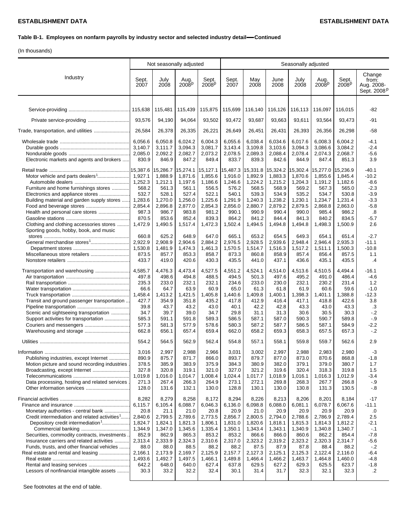### **Table B-1. Employees on nonfarm payrolls by industry sector and selected industry detail Continued**

(In thousands)

|                                                                                | Not seasonally adjusted |               |                           |                            | Seasonally adjusted |               |              |               |                           |                            |                                                          |
|--------------------------------------------------------------------------------|-------------------------|---------------|---------------------------|----------------------------|---------------------|---------------|--------------|---------------|---------------------------|----------------------------|----------------------------------------------------------|
| Industry                                                                       | Sept.<br>2007           | July<br>2008  | Aug.<br>2008 <sup>p</sup> | Sept.<br>2008 <sup>p</sup> | Sept.<br>2007       | May<br>2008   | June<br>2008 | July<br>2008  | Aug.<br>2008 <sup>p</sup> | Sept.<br>2008 <sup>p</sup> | Change<br>from:<br>Aug. 2008-<br>Sept. 2008 <sup>p</sup> |
|                                                                                | 115,638                 | 115,481       | 115,439                   | 115,875                    | 115,699             | 116,140       | 116,126      | 116,113       | 116,097                   | 116,015                    | -82                                                      |
|                                                                                | 93,576                  | 94,190        | 94,064                    | 93,502                     | 93,472              | 93,687        | 93,663       | 93,611        | 93,564                    | 93,473                     | -91                                                      |
|                                                                                | 26,584                  | 26,378        | 26,335                    | 26,221                     | 26,649              | 26,451        | 26,431       | 26,393        | 26,356                    | 26,298                     | -58                                                      |
|                                                                                | 6,056.6                 | 6,050.8       | 6,024.2                   | 6,004.3                    | 6,055.6             | 6,038.4       | 6,034.6      | 6,017.6       | 6,008.3                   | 6.004.2                    | $-4.1$                                                   |
|                                                                                | 3,140.7                 | 3,111.7       | 3,094.3                   | 3,081.7                    | 3,143.4             | 3,109.8       | 3,103.6      | 3,094.3       | 3,086.6                   | 3,084.2                    | $-2.4$                                                   |
|                                                                                | 2,085.0                 | 2,092.2       | 2,082.7                   | 2,073.2                    | 2,078.5             | 2,089.3       | 2,088.4      | 2,078.4       | 2,074.3                   | 2,068.7                    | $-5.6$                                                   |
| Electronic markets and agents and brokers                                      | 830.9                   | 846.9         | 847.2                     | 849.4                      | 833.7               | 839.3         | 842.6        | 844.9         | 847.4                     | 851.3                      | 3.9                                                      |
|                                                                                | 15,387.6                | 15,286.7      | 15,274.1                  | 15,127.1                   | 15,487.3            | 15,331.8      | 15,324.2     | 15,302.4      | 15,277.0                  | 15,236.9                   | -40.1                                                    |
| Motor vehicle and parts dealers <sup>1</sup>                                   | 1,927.1                 | 1,888.9       | 1,871.6                   | 1,855.6                    | 1,916.0             | 1,892.9       | 1,883.3      | 1,870.6       | 1,855.6                   | 1,845.4                    | $-10.2$                                                  |
|                                                                                | 1,252.3                 | 1,212.1       | 1,197.6                   | 1,186.6                    | 1,246.6             | 1,224.2       | 1,215.2      | 1,204.3       | 1,191.2                   | 1,182.6                    | $-8.6$                                                   |
| Furniture and home furnishings stores                                          | 568.2                   | 561.3         | 561.1                     | 556.5                      | 576.2               | 568.5         | 568.9        | 569.2         | 567.3                     | 565.0                      | $-2.3$                                                   |
| Electronics and appliance stores                                               | 532.7                   | 528.1         | 527.4                     | 522.1                      | 540.1               | 539.3         | 534.9        | 535.2         | 534.7                     | 530.8                      | $-3.9$                                                   |
| Building material and garden supply stores                                     | 1,283.6                 | 1,270.0       | 1,256.0                   | 1,225.6                    | 1,291.9             | 1,240.3       | 1,238.2      | 1,230.1       | 1,234.7                   | 1,231.4                    | $-3.3$                                                   |
| Food and beverage stores                                                       | 2,854.4                 | 2,896.8       | 2,877.0                   | 2,854.3                    | 2,856.0             | 2,880.7       | 2,879.2      | 2,879.5       | 2,868.8                   | 2,863.0                    | $-5.8$                                                   |
| Health and personal care stores                                                | 987.3                   | 986.7         | 983.8                     | 981.2                      | 990.1               | 990.9         | 990.4        | 990.0         | 985.4                     | 986.2                      | .8                                                       |
|                                                                                | 870.5                   | 853.6         | 852.4                     | 839.3                      | 864.2               | 841.2         | 844.4        | 841.3         | 840.2                     | 834.5                      | -5.7                                                     |
| Clothing and clothing accessories stores                                       | 1,472.9                 | 1.490.5       | 1,517.4                   | 1,472.3                    | 1,502.4             | 1,494.5       | 1,494.8      | 1,494.8       | 1,498.3                   | 1,500.9                    | 2.6                                                      |
| Sporting goods, hobby, book, and music                                         | 660.8                   | 625.2         | 648.9                     | 647.0                      | 665.1               | 653.2         | 654.5        | 649.3         | 654.1                     | 651.4                      | $-2.7$                                                   |
|                                                                                | 2,922.9                 | 2,908.9       | 2,904.6                   | 2,884.2                    | 2,976.5             | 2,928.5       | 2,939.6      | 2,948.4       | 2,946.4                   | 2,935.3                    | $-11.1$                                                  |
|                                                                                | 1,530.8                 | 1,481.9       | 1,474.3                   | 1,461.3                    | 1,570.5             | 1,514.7       | 1,516.3      | 1,517.2       | 1.511.1                   | 1,500.3                    | $-10.8$                                                  |
| Miscellaneous store retailers                                                  | 873.5                   | 857.7         | 853.3                     | 858.7                      | 873.3               | 860.8         | 858.9        | 857.4         | 856.4                     | 857.5                      | 1.1                                                      |
|                                                                                | 433.7                   | 419.0         | 420.6                     | 430.3                      | 435.5               | 441.0         | 437.1        | 436.6         | 435.1                     | 435.5                      | $\cdot$                                                  |
|                                                                                | 4,585.7                 | 4,476.3       | 4,473.4                   | 4,527.5                    | 4,551.2             | 4,524.1       | 4,514.0      | 4,513.6       | 4,510.5                   | 4,494.4                    | $-16.1$                                                  |
|                                                                                | 497.8                   | 498.6         | 494.8                     | 488.5                      | 494.5               | 501.3         | 497.6        | 495.2         | 491.0                     | 486.4                      | $-4.6$                                                   |
|                                                                                | 235.3                   | 233.0         | 232.1                     | 232.1                      | 234.6               | 233.0         | 230.0        | 232.1         | 230.2                     | 231.4                      | 1.2                                                      |
|                                                                                | 66.6                    | 64.7          | 63.9                      | 60.9                       | 65.0                | 61.3          | 61.8         | 61.9          | 60.6                      | 59.6                       | $-1.0$                                                   |
|                                                                                | 1,458.4                 | 1,413.2       | 1,421.5                   | 1,405.8                    | 1,440.6             | 1,409.8       | 1,400.1      | 1,398.3       | 1,401.1                   | 1,388.8                    | $-12.3$                                                  |
| Transit and ground passenger transportation                                    | 427.7<br>39.8           | 354.9         | 351.8                     | 435.2                      | 417.8               | 412.9         | 416.4        | 417.1         | 418.8                     | 422.6                      | 3.8                                                      |
|                                                                                | 34.7                    | 43.7<br>39.7  | 43.2<br>39.0              | 43.0<br>34.7               | 40.1<br>29.8        | 42.2<br>31.1  | 42.8<br>31.3 | 43.3<br>30.6  | 43.0<br>30.5              | 43.3<br>30.3               | .3<br>$-2$                                               |
| Scenic and sightseeing transportation<br>Support activities for transportation | 585.3                   | 591.1         | 591.8                     | 589.3                      | 586.5               | 587.1         | 587.0        | 590.3         | 590.7                     | 589.8                      | $-.9$                                                    |
|                                                                                | 577.3                   | 581.3         | 577.9                     | 578.6                      | 580.3               | 587.2         | 587.7        | 586.5         | 587.1                     | 584.9                      | $-2.2$                                                   |
|                                                                                | 662.8                   | 656.1         | 657.4                     | 659.4                      | 662.0               | 658.2         | 659.3        | 658.3         | 657.5                     | 657.3                      | $-2$                                                     |
|                                                                                | 554.2                   | 564.5         | 562.9                     | 562.4                      | 554.8               | 557.1         | 558.1        | 559.8         | 559.7                     | 562.6                      | 2.9                                                      |
|                                                                                | 3,016                   | 2,997         | 2,988                     | 2,966                      | 3,031               | 3,002         | 2,997        | 2,988         | 2,983                     | 2,980                      | -3                                                       |
| Publishing industries, except Internet                                         | 890.9                   | 875.7         | 871.7                     | 866.0                      | 893.7               | 879.7         | 877.0        | 873.0         | 870.6                     | 868.8                      | -1.8                                                     |
| Motion picture and sound recording industries                                  | 378.5                   | 385.9         | 383.9                     | 375.9                      | 384.3               | 380.9         | 382.0        | 379.1         | 379.0                     | 380.7                      | 1.7                                                      |
|                                                                                | 327.8                   | 320.8         | 319.1                     | 321.0                      | 327.0               | 321.2         | 319.6        | 320.4         | 318.3                     | 319.8                      | 1.5                                                      |
|                                                                                | 1,019.8                 | 1,016.0       | 1,014.7                   | 1,008.4                    | 1,024.4             | 1,017.7       | 1,018.9      | 1,016.1       | 1,016.3                   | 1,012.9                    | $-3.4$                                                   |
| Data processing, hosting and related services                                  | 271.3                   | 267.4         | 266.3                     | 264.9                      | 273.1               | 272.1         | 269.8        | 268.3         | 267.7                     | 266.8                      | -.9                                                      |
|                                                                                | 128.0                   | 131.6         | 132.1                     | 130.0                      | 128.8               | 130.1         | 130.0        | 130.8         | 131.3                     | 130.5                      | -.8                                                      |
|                                                                                | 8,282                   | 8,279         | 8,258                     | 8,172                      | 8,294               | 8,226         | 8,213        | 8,206         | 8,201                     | 8,184                      | -17                                                      |
|                                                                                | 6,115.7                 | 6,105.4       | 6,088.7                   | 6,046.3                    | 6,136.0             | 6,098.8       | 6,088.0      | 6,081.1       | 6,078.7                   | 6,067.6                    | $-11.1$                                                  |
| Monetary authorities - central bank                                            | 20.8                    | 21.1          | 21.0                      | 20.8                       | 20.9                | 21.0          | 20.9         | 20.9          | 20.9                      | 20.9                       | .0                                                       |
| Credit intermediation and related activities <sup>1</sup>                      | 2,840.6                 | 2,799.5       | 2,789.6                   | 2,773.5                    | 2,856.7             | 2,800.5       | 2,794.0      | 2,788.6       | 2,786.9                   | 2,789.4                    | 2.5                                                      |
| Depository credit intermediation <sup>1</sup>                                  | 1,824.7                 | 1,824.1       | 1,821.3                   | 1,806.1                    | 1,831.0             | 1,820.6       | 1,818.1      | 1,815.3       | 1,814.3                   | 1,812.2                    | $-2.1$                                                   |
|                                                                                | 1,344.9                 | 1,347.0       | 1,345.6                   | 1,335.4                    | 1,350.1             | 1,343.4       | 1,343.1      | 1,340.9       | 1,340.8                   | 1,340.7                    | $-.1$                                                    |
| Securities, commodity contracts, investments.                                  | 852.9                   | 862.9         | 865.3                     | 853.2                      | 853.2               | 866.6         | 866.0        | 860.6         | 862.2                     | 854.4                      | $-7.8$                                                   |
| Insurance carriers and related activities                                      | 2,313.4                 | 2,333.9       | 2,324.3                   | 2,310.6                    | 2,317.0             | 2,323.2       | 2,319.2      | 2,323.2       | 2,320.3                   | 2,314.7                    | $-5.6$                                                   |
| Funds, trusts, and other financial vehicles                                    | 88.0                    | 88.0          | 88.5                      | 88.2                       | 88.2                | 87.5          | 87.9         | 87.8          | 88.4                      | 88.2                       | $-2$                                                     |
| Real estate and rental and leasing                                             | 2,166.1                 | 2,173.9       | 2,169.7                   | 2,125.9                    | 2,157.7             | 2,127.3       | 2,125.1      | 2,125.3       | 2,122.4                   | 2,116.0                    | -6.4                                                     |
|                                                                                | 1,493.6                 | 1,492.7       | 1,497.5                   | 1,466.1                    | 1,489.8             | 1,466.4       | 1,466.2      | 1,463.7       | 1,464.8                   | 1,460.0                    | -4.8                                                     |
| Lessors of nonfinancial intangible assets                                      | 642.2<br>30.3           | 648.0<br>33.2 | 640.0                     | 627.4<br>32.4              | 637.8               | 629.5<br>31.4 | 627.2        | 629.3<br>32.3 | 625.5                     | 623.7                      | $-1.8$                                                   |
|                                                                                |                         |               | 32.2                      |                            | 30.1                |               | 31.7         |               | 32.1                      | 32.3                       | $\cdot$                                                  |
|                                                                                |                         |               |                           |                            |                     |               |              |               |                           |                            |                                                          |

See footnotes at the end of table.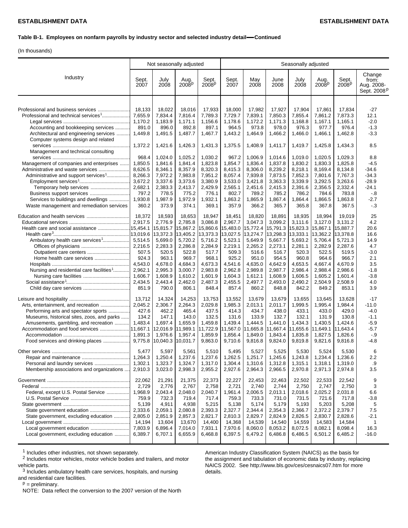# **Table B-1. Employees on nonfarm payrolls by industry sector and selected industry detail Continued**

(In thousands)

|                                                                             |                   | Not seasonally adjusted |                           |                            | Seasonally adjusted |                   |                  |                  |                           |                            |                                                          |
|-----------------------------------------------------------------------------|-------------------|-------------------------|---------------------------|----------------------------|---------------------|-------------------|------------------|------------------|---------------------------|----------------------------|----------------------------------------------------------|
| Industry                                                                    | Sept.<br>2007     | July<br>2008            | Aug.<br>2008 <sup>p</sup> | Sept.<br>2008 <sup>p</sup> | Sept.<br>2007       | May<br>2008       | June<br>2008     | July<br>2008     | Aug.<br>2008 <sup>p</sup> | Sept.<br>2008 <sup>p</sup> | Change<br>from:<br>Aug. 2008-<br>Sept. 2008 <sup>p</sup> |
|                                                                             |                   |                         |                           |                            |                     |                   |                  |                  |                           |                            |                                                          |
| Professional and business services                                          | 18,133            | 18,022                  | 18,016                    | 17,933                     | 18,000              | 17,982            | 17,927           | 17,904           | 17,861                    | 17,834                     | $-27$                                                    |
| Professional and technical services <sup>1</sup>                            | 7,655.9           | 7,834.4                 | 7,816.4                   | 7,789.3                    | 7,729.7             | 7,839.1           | 7,850.3          | 7,855.4          | 7,861.2                   | 7,873.3                    | 12.1                                                     |
|                                                                             | 1,170.2           | 1,183.9                 | 1,171.1                   | 1,156.6                    | 1,178.6             | 1,172.2           | 1,171.3          | 1,168.8          | 1,167.1                   | 1,165.1                    | $-2.0$                                                   |
| Accounting and bookkeeping services                                         | 891.0             | 896.0                   | 892.8                     | 897.1                      | 964.5               | 973.8             | 978.0            | 976.3            | 977.7                     | 976.4                      | $-1.3$                                                   |
| Architectural and engineering services                                      | 1,449.8           | 1,491.5                 | 1,487.7                   | 1,467.7                    | 1,443.2             | 1,464.9           | 1,466.2          | 1,466.0          | 1,466.1                   | 1,462.8                    | $-3.3$                                                   |
| Computer systems design and related                                         | 1,372.2           | 1,421.6                 | 1,426.3                   | 1,431.3                    | 1,375.5             | 1,408.9           | 1,411.7          | 1,419.7          | 1,425.8                   | 1,434.3                    | 8.5                                                      |
| Management and technical consulting                                         |                   |                         |                           |                            |                     |                   |                  |                  |                           |                            |                                                          |
|                                                                             | 968.4             | 1,024.0                 | 1,025.2                   | 1,030.2                    | 967.2               | 1,006.9           | 1,014.6          | 1,019.0          | 1,020.5                   | 1,029.3                    | 8.8                                                      |
| Management of companies and enterprises                                     | 1,850.5           | 1,841.6                 | 1,841.4                   | 1,823.8                    | 1,854.7             | 1,836.4           | 1,837.8          | 1,830.2          | 1,830.3                   | 1,825.8                    | $-4.5$                                                   |
| Administrative and waste services                                           | 8,626.5           | 8,346.1                 | 8,357.9                   | 8,320.3                    | 8,415.3             | 8,306.0           | 8,239.2          | 8,218.1          | 8,169.4                   | 8,134.8                    | -34.6                                                    |
| Administrative and support services <sup>1</sup>                            | 8,266.3           | 7,972.2                 | 7,983.8                   | 7,951.2                    | 8,057.4             | 7,939.8           | 7,873.5          | 7,852.3          | 7,801.6                   | 7,767.3                    | $-34.3$                                                  |
|                                                                             | 3,672.2           | 3,337.6                 | 3,373.6                   | 3,380.9                    | 3,533.0             | 3,421.8           | 3,363.3          | 3,339.9          | 3,292.5                   | 3,263.6                    | $-28.9$                                                  |
|                                                                             | 2,682.1           | 2,383.3                 | 2,413.7                   | 2,429.9                    | 2,565.1             | 2,451.6           | 2,415.3          | 2,391.6          | 2,356.5                   | 2,332.4                    | -24.1                                                    |
| Business support services                                                   | 797.2             | 778.5                   | 775.2                     | 776.1                      | 802.7               | 789.2             | 785.2            | 786.2            | 784.6                     | 783.8                      | $-8$                                                     |
| Services to buildings and dwellings                                         | 1,930.8<br>360.2  | 1,987.9                 | 1,972.9                   | 1,932.1                    | 1,863.2             | 1,865.9<br>366.2  | 1,867.4          | 1,864.4          | 1,866.5                   | 1,863.8                    | $-2.7$                                                   |
| Waste management and remediation services                                   |                   | 373.9                   | 374.1                     | 369.1                      | 357.9               |                   | 365.7            | 365.8            | 367.8                     | 367.5                      | $-3$                                                     |
| Education and health services                                               | 18.372            | 18,593                  | 18,653                    | 18.947                     | 18,451              | 18,820            | 18,891           | 18.935           | 18,994                    | 19,019                     | 25                                                       |
|                                                                             | 2,917.5           | 2,776.9                 | 2,785.8                   | 3,086.8                    | 2,967.7             | 3,047.3           | 3,099.2          | 3,111.6          | 3,127.0                   | 3,131.2                    | 4.2                                                      |
|                                                                             |                   | 15,815.7                | 15,867.2                  | 15,860.6                   | 15,483.0            | 15,772.4          | 15,791.3         | 15.823.3         | 15,867.1                  | 15,887.7                   | 20.6                                                     |
|                                                                             |                   | 13,372.3 13,405.2       |                           | 13,373.3                   | 13,027.5            | 13,274.7          | 13,298.3         | 13,333.1         | 13,362.2 13,378.8         |                            | 16.6                                                     |
| Ambulatory health care services <sup>1</sup>                                | 5,514.5           | 5,699.0                 | 5,720.2                   | 5,716.2                    | 5,523.1             | 5.649.9           | 5,667.7          | 5,693.2          | 5,706.4                   | 5,721.3                    | 14.9                                                     |
|                                                                             | 2,216.5           | 2,283.3                 | 2,286.8                   | 2,284.9                    | 2,219.1             | 2,265.2           | 2,273.1          | 2,281.1          | 2,282.9                   | 2,287.6                    | 4.7                                                      |
| Outpatient care centers                                                     | 507.5<br>924.3    | 520.5                   | 522.8                     | 517.7<br>968.1             | 509.3               | 516.6             | 516.7            | 520.3            | 522.5                     | 519.5                      | $-3.0$                                                   |
| Home health care services                                                   | 4,543.0           | 963.1<br>4,678.0        | 969.7<br>4,684.3          | 4,673.3                    | 925.2<br>4,541.6    | 951.0<br>4,635.0  | 954.5<br>4,642.9 | 960.8<br>4,653.5 | 964.6<br>4,667.4          | 966.7<br>4,670.9           | 2.1<br>3.5                                               |
| Nursing and residential care facilities <sup>1</sup>                        | 2,962.1           | 2,995.3                 | 3,000.7                   | 2,983.8                    | 2,962.8             | 2,989.8           | 2,987.7          | 2,986.4          | 2,988.4                   | 2,986.6                    | $-1.8$                                                   |
|                                                                             | 1,606.7           | 1,608.9                 | 1,610.2                   | 1,601.9                    | 1,604.3             | 1,612.1           | 1,608.9          | 1,606.5          | 1,605.2                   | 1,601.4                    | $-3.8$                                                   |
|                                                                             | 2,434.5           | 2,443.4                 | 2,462.0                   | 2,487.3                    | 2,455.5             | 2,497.7           | 2,493.0          | 2,490.2          | 2,504.9                   | 2,508.9                    | 4.0                                                      |
|                                                                             | 851.9             | 790.0                   | 806.1                     | 848.4                      | 857.4               | 860.2             | 848.8            | 842.2            | 849.2                     | 853.1                      | 3.9                                                      |
|                                                                             |                   |                         |                           |                            |                     |                   |                  |                  |                           |                            |                                                          |
|                                                                             | 13,712<br>2,045.2 | 14,324                  | 14,253                    | 13,753                     | 13,552              | 13,679<br>2,013.1 | 13,679           | 13,655           | 13,645                    | 13,628<br>1,984.4          | $-17$<br>$-11.0$                                         |
| Arts, entertainment, and recreation<br>Performing arts and spectator sports | 427.6             | 2,306.7<br>462.2        | 2,264.3<br>465.4          | 2,029.8<br>437.5           | 1,985.3<br>414.3    | 434.7             | 2,011.7<br>438.0 | 1,999.5<br>433.1 | 1,995.4<br>433.0          | 429.0                      | $-4.0$                                                   |
| Museums, historical sites, zoos, and parks                                  | 134.2             | 147.1                   | 143.0                     | 132.5                      | 131.6               | 133.9             | 132.7            | 132.1            | 131.9                     | 130.8                      | $-1.1$                                                   |
| Amusements, gambling, and recreation                                        | 1,483.4           | 1,697.4                 | 1,655.9                   | 1,459.8                    | 1,439.4             | 1,444.5           | 1,441.0          | 1,434.3          | 1,430.5                   | 1,424.6                    | $-5.9$                                                   |
| Accommodation and food services                                             | 11,667.1          | 12,016.9                | 11,989.1                  | 11,722.9                   | 11,567.0            | 11,665.8          | 11,667.4         | 11,655.6         | 11,649.1                  | 11,643.4                   | $-5.7$                                                   |
|                                                                             |                   | 1,976.6                 | 1,957.4                   | 1,859.9                    | 1,856.4             | 1,849.0           | 1,843.4          | 1,835.8          | 1,827.5                   | 1,826.6                    | $-9$                                                     |
| Food services and drinking places                                           | 9,775.8           | 10,040.3 10,031.7       |                           | 9,863.0                    | 9,710.6             | 9,816.8           | 9,824.0          | 9,819.8          | 9,821.6                   | 9,816.8                    | -4.8                                                     |
|                                                                             | 5,477             | 5,597                   | 5,561                     | 5,510                      | 5,495               | 5,527             | 5,525            | 5,530            | 5,524                     | 5,530                      | 6                                                        |
|                                                                             | 1,264.3           | 1,250.4                 | 1,237.6                   | 1,237.6                    | 1,262.5             | 1,251.7           | 1,245.6          | 1,243.8          | 1,234.4                   | 1,236.6                    | 2.2                                                      |
| Personal and laundry services                                               | 1,302.1           | 1,323.7                 | 1,324.7                   | 1,317.0                    | 1,304.4             | 1,310.6           | 1,312.8          | 1,315.1          | 1,318.1                   | 1,319.0                    | .9                                                       |
| Membership associations and organizations                                   | 2,910.3           | 3,023.0                 | 2,998.3                   | 2,955.2                    | 2,927.6             | 2,964.3           | 2,966.5          | 2,970.8          | 2,971.3                   | 2,974.8                    | 3.5                                                      |
|                                                                             |                   |                         |                           |                            |                     |                   |                  |                  |                           |                            |                                                          |
|                                                                             | 22,062            | 21,291                  | 21,375                    | 22,373                     | 22,227              | 22,453            | 22,463           | 22,502           | 22,533                    | 22,542                     | 9<br>3                                                   |
| Federal, except U.S. Postal Service                                         | 2,729<br>1,968.9  | 2,776<br>2,043.4        | 2,767<br>2,048.0          | 2,758<br>2,040.7           | 2,721<br>1,961.4    | 2,740<br>2,006.5  | 2,744<br>2,013.1 | 2,750<br>2,018.6 | 2,747<br>2,025.2          | 2,750<br>2,031.8           | 6.6                                                      |
|                                                                             | 759.9             | 732.3                   | 719.4                     | 717.4                      | 759.3               | 733.3             | 731.0            | 731.5            | 721.6                     | 717.8                      | -3.8                                                     |
|                                                                             | 5,139             | 4,911                   | 4,938                     | 5,215                      | 5,138               | 5,174             | 5,179            | 5,193            | 5,203                     | 5,208                      | 5                                                        |
|                                                                             | 2,333.6           | 2,059.1                 | 2,080.8                   | 2,393.3                    | 2,327.7             | 2,344.4           | 2,354.3          | 2,366.7          | 2,372.2                   | 2,379.7                    | 7.5                                                      |
| State government, excluding education                                       | 2,805.0           | 2,851.9                 | 2,857.3                   | 2,821.7                    | 2,810.3             | 2,829.7           | 2,824.9          | 2,826.5          | 2,830.7                   | 2,828.6                    | $-2.1$                                                   |
|                                                                             | 14,194            | 13,604                  | 13,670                    | 14,400                     | 14,368              | 14,539            | 14,540           | 14,559           | 14,583                    | 14,584                     | 1                                                        |
|                                                                             | 7,803.9           | 6,896.4                 | 7,014.0                   | 7,931.1                    | 7,970.6             | 8,060.0           | 8,053.2          | 8,072.5          | 8,082.1                   | 8,098.4                    | 16.3                                                     |
| Local government, excluding education                                       | 6,389.7           | 6,707.1                 | 6,655.9                   | 6,468.8                    | 6,397.5             | 6,479.2           | 6,486.8          | 6,486.5          | 6,501.2                   | 6,485.2                    | $-16.0$                                                  |
|                                                                             |                   |                         |                           |                            |                     |                   |                  |                  |                           |                            |                                                          |

<sup>1</sup> Includes other industries, not shown separately.

<sup>2</sup> Includes motor vehicles, motor vehicle bodies and trailers, and motor vehicle parts.

<sup>3</sup> Includes ambulatory health care services, hospitals, and nursing and residential care facilities.

 $P =$  preliminary.

NOTE: Data reflect the conversion to the 2007 version of the North

American Industry Classification System (NAICS) as the basis for the assignment and tabulation of economic data by industry, replacing NAICS 2002. See http://www.bls.gov/ces/cesnaics07.htm for more details.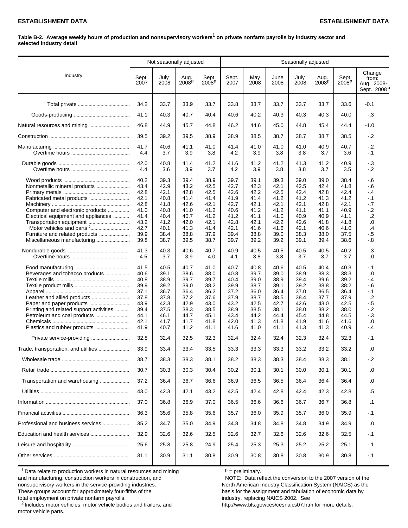**Table B-2. Average weekly hours of production and nonsupervisory workers**<sup>1</sup> **on private nonfarm payrolls by industry sector and selected industry detail**

|                                                                                                                                           | Not seasonally adjusted                                                              |                                                                                      |                                                                                      | Seasonally adjusted                                                                  |                                                                                      |                                                                                      |                                                                                      |                                                                                      |                                                                                      |                                                                                      |                                                                                         |
|-------------------------------------------------------------------------------------------------------------------------------------------|--------------------------------------------------------------------------------------|--------------------------------------------------------------------------------------|--------------------------------------------------------------------------------------|--------------------------------------------------------------------------------------|--------------------------------------------------------------------------------------|--------------------------------------------------------------------------------------|--------------------------------------------------------------------------------------|--------------------------------------------------------------------------------------|--------------------------------------------------------------------------------------|--------------------------------------------------------------------------------------|-----------------------------------------------------------------------------------------|
| Industry                                                                                                                                  | Sept.<br>2007                                                                        | July<br>2008                                                                         | Aug.<br>$200\overline{8}P$                                                           | Sept.<br>2008 <sup>p</sup>                                                           | Sept.<br>2007                                                                        | May<br>2008                                                                          | June<br>2008                                                                         | July<br>2008                                                                         | Aug.<br>$200\overline{8}P$                                                           | Sept.<br>2008 <sup>p</sup>                                                           | Change<br>from:<br>Aug. 2008-<br>Sept. 2008 <sup>p</sup>                                |
|                                                                                                                                           | 34.2                                                                                 | 33.7                                                                                 | 33.9                                                                                 | 33.7                                                                                 | 33.8                                                                                 | 33.7                                                                                 | 33.7                                                                                 | 33.7                                                                                 | 33.7                                                                                 | 33.6                                                                                 | $-0.1$                                                                                  |
|                                                                                                                                           | 41.1                                                                                 | 40.3                                                                                 | 40.7                                                                                 | 40.4                                                                                 | 40.6                                                                                 | 40.2                                                                                 | 40.3                                                                                 | 40.3                                                                                 | 40.3                                                                                 | 40.0                                                                                 | $-.3$                                                                                   |
|                                                                                                                                           | 46.8                                                                                 | 44.9                                                                                 | 45.7                                                                                 | 44.8                                                                                 | 46.2                                                                                 | 44.6                                                                                 | 45.0                                                                                 | 44.8                                                                                 | 45.4                                                                                 | 44.4                                                                                 | $-1.0$                                                                                  |
|                                                                                                                                           | 39.5                                                                                 | 39.2                                                                                 | 39.5                                                                                 | 38.9                                                                                 | 38.9                                                                                 | 38.5                                                                                 | 38.7                                                                                 | 38.7                                                                                 | 38.7                                                                                 | 38.5                                                                                 | $-2$                                                                                    |
|                                                                                                                                           | 41.7<br>4.4                                                                          | 40.6<br>3.7                                                                          | 41.1<br>3.9                                                                          | 41.0<br>3.8                                                                          | 41.4<br>4.2                                                                          | 41.0<br>3.9                                                                          | 41.0<br>3.8                                                                          | 41.0<br>3.8                                                                          | 40.9<br>3.7                                                                          | 40.7<br>3.6                                                                          | $-2$<br>-.1                                                                             |
|                                                                                                                                           | 42.0<br>4.4                                                                          | 40.8<br>3.6                                                                          | 41.4<br>3.9                                                                          | 41.2<br>3.7                                                                          | 41.6<br>4.2                                                                          | 41.2<br>3.9                                                                          | 41.2<br>3.8                                                                          | 41.3<br>3.8                                                                          | 41.2<br>3.7                                                                          | 40.9<br>3.5                                                                          | $-.3$<br>$-2$                                                                           |
| Nonmetallic mineral products<br>Computer and electronic products<br>Electrical equipment and appliances<br>Furniture and related products | 40.2<br>43.4<br>42.8<br>42.1<br>42.8<br>41.0<br>41.4<br>43.2<br>42.7<br>39.9         | 39.3<br>42.9<br>42.1<br>40.8<br>41.8<br>40.8<br>40.4<br>41.2<br>40.1<br>38.4         | 39.4<br>43.2<br>42.8<br>41.4<br>42.6<br>41.0<br>40.7<br>42.0<br>41.3<br>38.8         | 38.9<br>42.5<br>42.5<br>41.4<br>42.1<br>41.2<br>41.2<br>42.1<br>41.4<br>37.9         | 39.7<br>42.7<br>42.6<br>41.9<br>42.7<br>40.6<br>41.2<br>42.8<br>42.1<br>39.4         | 39.1<br>42.3<br>42.2<br>41.4<br>42.1<br>41.2<br>41.1<br>42.1<br>41.6<br>38.8         | 39.3<br>42.1<br>42.5<br>41.2<br>42.1<br>41.2<br>41.0<br>42.2<br>41.6<br>39.0         | 39.0<br>42.5<br>42.4<br>41.2<br>42.1<br>41.1<br>40.9<br>42.6<br>42.1<br>38.3         | 39.0<br>42.4<br>42.8<br>41.3<br>42.8<br>41.1<br>40.9<br>41.8<br>40.6<br>38.0         | 38.4<br>41.8<br>42.4<br>41.2<br>42.1<br>40.9<br>41.1<br>41.8<br>41.0<br>37.5         | $-6$<br>$-6$<br>$-.4$<br>$-.1$<br>$-.7$<br>$-2$<br>.2<br>0.<br>.4<br>$-.5$              |
| Miscellaneous manufacturing                                                                                                               | 39.8<br>41.3<br>4.5                                                                  | 38.7<br>40.3<br>3.7                                                                  | 39.5<br>40.6<br>3.9                                                                  | 38.7<br>40.7<br>4.0                                                                  | 39.7<br>40.9<br>4.1                                                                  | 39.2<br>40.5<br>3.8                                                                  | 39.2<br>40.5<br>3.8                                                                  | 39.1<br>40.5<br>3.7                                                                  | 39.4<br>40.5<br>3.7                                                                  | 38.6<br>40.2<br>3.7                                                                  | $-8$<br>$-.3$<br>.0                                                                     |
| Beverages and tobacco products<br>Leather and allied products<br>Printing and related support activities<br>Plastics and rubber products  | 41.5<br>40.6<br>40.8<br>39.9<br>37.1<br>37.8<br>43.9<br>39.4<br>44.1<br>42.1<br>41.9 | 40.5<br>39.1<br>38.9<br>39.2<br>36.7<br>37.8<br>42.3<br>37.5<br>46.1<br>41.7<br>40.7 | 40.7<br>38.6<br>39.7<br>39.0<br>36.4<br>37.2<br>42.9<br>38.3<br>44.7<br>41.7<br>41.2 | 41.0<br>38.0<br>39.7<br>38.2<br>36.2<br>37.6<br>43.0<br>38.5<br>45.1<br>41.8<br>41.1 | 40.7<br>40.8<br>40.4<br>39.9<br>37.2<br>37.9<br>43.2<br>38.9<br>43.4<br>42.0<br>41.6 | 40.8<br>39.7<br>39.0<br>38.7<br>36.0<br>38.7<br>42.5<br>38.5<br>44.2<br>41.3<br>41.0 | 40.6<br>39.0<br>38.9<br>39.1<br>36.4<br>38.5<br>42.7<br>38.1<br>44.4<br>41.8<br>41.1 | 40.5<br>38.9<br>39.4<br>39.2<br>37.0<br>38.4<br>42.6<br>38.0<br>45.4<br>41.9<br>41.3 | 40.4<br>38.3<br>39.6<br>38.8<br>36.5<br>37.7<br>43.0<br>38.2<br>44.8<br>41.6<br>41.3 | 40.3<br>38.3<br>39.2<br>38.2<br>36.4<br>37.9<br>42.5<br>38.0<br>44.5<br>41.6<br>40.9 | $-1$<br>.0<br>$-4$<br>$-6$<br>$-.1$<br>$\cdot$ .2<br>$-.5$<br>$-2$<br>$-3$<br>0.<br>-.4 |
| Private service-providing                                                                                                                 | 32.8                                                                                 | 32.4                                                                                 | 32.5                                                                                 | 32.3                                                                                 | 32.4                                                                                 | 32.4                                                                                 | 32.4                                                                                 | 32.3                                                                                 | 32.4                                                                                 | 32.3                                                                                 | $-.1$                                                                                   |
|                                                                                                                                           | 33.9                                                                                 | 33.4                                                                                 | 33.4                                                                                 | 33.5                                                                                 | 33.3                                                                                 | 33.3                                                                                 | 33.3                                                                                 | 33.2                                                                                 | 33.2                                                                                 | 33.2                                                                                 | .0                                                                                      |
|                                                                                                                                           | 38.7                                                                                 | 38.3                                                                                 | 38.3                                                                                 | 38.1                                                                                 | 38.2                                                                                 | 38.3                                                                                 | 38.3                                                                                 | 38.4                                                                                 | 38.3                                                                                 | 38.1                                                                                 | $-2$                                                                                    |
|                                                                                                                                           | 30.7                                                                                 | 30.3                                                                                 | 30.3                                                                                 | 30.4                                                                                 | 30.2                                                                                 | 30.1                                                                                 | 30.1                                                                                 | 30.0                                                                                 | 30.1                                                                                 | 30.1                                                                                 | 0.                                                                                      |
| Transportation and warehousing                                                                                                            | 37.2                                                                                 | 36.4                                                                                 | 36.7                                                                                 | 36.6                                                                                 | 36.9                                                                                 | 36.5                                                                                 | 36.5                                                                                 | 36.4                                                                                 | 36.4                                                                                 | 36.4                                                                                 | 0.                                                                                      |
|                                                                                                                                           | 43.0                                                                                 | 42.3                                                                                 | 42.1                                                                                 | 43.2                                                                                 | 42.5                                                                                 | 42.4                                                                                 | 42.8                                                                                 | 42.4                                                                                 | 42.3                                                                                 | 42.8                                                                                 | .5                                                                                      |
|                                                                                                                                           | 37.0                                                                                 | 36.8                                                                                 | 36.9                                                                                 | 37.0                                                                                 | 36.5                                                                                 | 36.6                                                                                 | 36.6                                                                                 | 36.7                                                                                 | 36.7                                                                                 | 36.8                                                                                 | $\cdot$ 1                                                                               |
|                                                                                                                                           | 36.3                                                                                 | 35.6                                                                                 | 35.8                                                                                 | 35.6                                                                                 | 35.7                                                                                 | 36.0                                                                                 | 35.9                                                                                 | 35.7                                                                                 | 36.0                                                                                 | 35.9                                                                                 | $-.1$                                                                                   |
| Professional and business services                                                                                                        | 35.2                                                                                 | 34.7                                                                                 | 35.0                                                                                 | 34.9                                                                                 | 34.8                                                                                 | 34.8                                                                                 | 34.8                                                                                 | 34.8                                                                                 | 34.9                                                                                 | 34.9                                                                                 | .0                                                                                      |
| Education and health services                                                                                                             | 32.9                                                                                 | 32.6                                                                                 | 32.6                                                                                 | 32.5                                                                                 | 32.6                                                                                 | 32.7                                                                                 | 32.6                                                                                 | 32.6                                                                                 | 32.6                                                                                 | 32.5                                                                                 | -.1                                                                                     |
|                                                                                                                                           | 25.6                                                                                 | 25.8                                                                                 | 25.8                                                                                 | 24.9                                                                                 | 25.4                                                                                 | 25.3                                                                                 | 25.3                                                                                 | 25.2                                                                                 | 25.2                                                                                 | 25.1                                                                                 | $-.1$                                                                                   |
|                                                                                                                                           | 31.1                                                                                 | 30.9                                                                                 | 31.1                                                                                 | 30.8                                                                                 | 30.9                                                                                 | 30.8                                                                                 | 30.8                                                                                 | 30.8                                                                                 | 30.9                                                                                 | 30.8                                                                                 | $-1$                                                                                    |

 $1$  Data relate to production workers in natural resources and mining

and manufacturing, construction workers in construction, and nonsupervisory workers in the service-providing industries.

These groups account for approximately four-fifths of the

total employment on private nonfarm payrolls.

<sup>2</sup> Includes motor vehicles, motor vehicle bodies and trailers, and motor vehicle parts.

 $P =$  preliminary.

NOTE: Data reflect the conversion to the 2007 version of the North American Industry Classification System (NAICS) as the basis for the assignment and tabulation of economic data by industry, replacing NAICS 2002. See

http://www.bls.gov/ces/cesnaics07.htm for more details.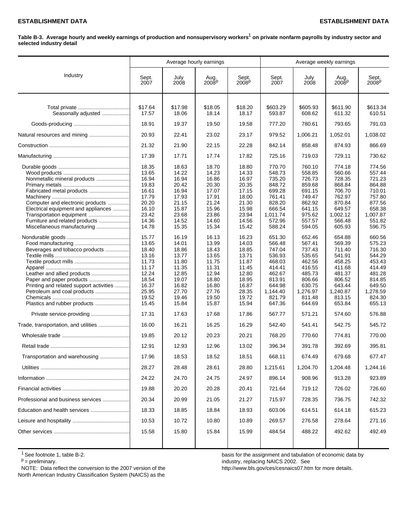Table B-3. Average hourly and weekly earnings of production and nonsupervisory workers<sup>1</sup> on private nonfarm payrolls by industry sector and **selected industry detail**

|                                         |                  |                  | Average hourly earnings   |                            |                    |                    | Average weekly earnings   |                            |
|-----------------------------------------|------------------|------------------|---------------------------|----------------------------|--------------------|--------------------|---------------------------|----------------------------|
| Industry                                | Sept.<br>2007    | July<br>2008     | Aug.<br>2008 <sup>p</sup> | Sept.<br>2008 <sup>p</sup> | Sept.<br>2007      | July<br>2008       | Aug.<br>2008 <sup>p</sup> | Sept.<br>2008 <sup>p</sup> |
| Seasonally adjusted                     | \$17.64<br>17.57 | \$17.98<br>18.06 | \$18.05<br>18.14          | \$18.20<br>18.17           | \$603.29<br>593.87 | \$605.93<br>608.62 | \$611.90<br>611.32        | \$613.34<br>610.51         |
|                                         | 18.91            | 19.37            | 19.50                     | 19.58                      | 777.20             | 780.61             | 793.65                    | 791.03                     |
|                                         | 20.93            | 22.41            | 23.02                     | 23.17                      | 979.52             | 1,006.21           | 1,052.01                  | 1,038.02                   |
|                                         | 21.32            | 21.90            | 22.15                     | 22.28                      | 842.14             | 858.48             | 874.93                    | 866.69                     |
|                                         | 17.39            | 17.71            | 17.74                     | 17.82                      | 725.16             | 719.03             | 729.11                    | 730.62                     |
|                                         | 18.35            | 18.63            | 18.70                     | 18.80                      | 770.70             | 760.10             | 774.18                    | 774.56                     |
|                                         | 13.65            | 14.22            | 14.23                     | 14.33                      | 548.73             | 558.85             | 560.66                    | 557.44                     |
| Nonmetallic mineral products            | 16.94            | 16.94            | 16.86                     | 16.97                      | 735.20             | 726.73             | 728.35                    | 721.23                     |
|                                         | 19.83            | 20.42            | 20.30                     | 20.35                      | 848.72             | 859.68             | 868.84                    | 864.88                     |
| Fabricated metal products               | 16.61            | 16.94            | 17.07                     | 17.15                      | 699.28             | 691.15             | 706.70                    | 710.01                     |
|                                         | 17.79            | 17.93            | 17.91                     | 18.00                      | 761.41             | 749.47             | 762.97                    | 757.80                     |
| Computer and electronic products        | 20.20            | 21.15            | 21.24                     | 21.30                      | 828.20             | 862.92             | 870.84                    | 877.56                     |
| Electrical equipment and appliances     | 16.10            | 15.87            | 15.96                     | 15.98                      | 666.54             | 641.15             | 649.57                    | 658.38                     |
| Transportation equipment                | 23.42            | 23.68            | 23.86                     | 23.94                      | 1,011.74           | 975.62             | 1.002.12                  | 1,007.87                   |
| Furniture and related products          | 14.36            | 14.52            | 14.60                     | 14.56                      | 572.96             | 557.57             | 566.48                    | 551.82                     |
| Miscellaneous manufacturing             | 14.78            | 15.35            | 15.34                     | 15.42                      | 588.24             | 594.05             | 605.93                    | 596.75                     |
|                                         | 15.77            | 16.19            | 16.13                     | 16.23                      | 651.30             | 652.46             | 654.88                    | 660.56                     |
|                                         | 13.65            | 14.01            | 13.99                     | 14.03                      | 566.48             | 567.41             | 569.39                    | 575.23                     |
| Beverages and tobacco products          | 18.40            | 18.86            | 18.43                     | 18.85                      | 747.04             | 737.43             | 711.40                    | 716.30                     |
|                                         | 13.16            | 13.77            | 13.65                     | 13.71                      | 536.93             | 535.65             | 541.91                    | 544.29                     |
|                                         | 11.73            | 11.80            | 11.75                     | 11.87                      | 468.03             | 462.56             | 458.25                    | 453.43                     |
|                                         | 11.17            | 11.35            | 11.31                     | 11.45                      | 414.41             | 416.55             | 411.68                    | 414.49                     |
| Leather and allied products             | 12.24            | 12.85            | 12.94                     | 12.80                      | 462.67             | 485.73             | 481.37                    | 481.28                     |
| Paper and paper products                | 18.54            | 19.07            | 18.80                     | 18.95                      | 813.91             | 806.66             | 806.52                    | 814.85                     |
| Printing and related support activities | 16.37            | 16.82            | 16.80                     | 16.87                      | 644.98             | 630.75             | 643.44                    | 649.50                     |
| Petroleum and coal products             | 25.95            | 27.70            | 27.76                     | 28.35                      | 1,144.40<br>821.79 | 1,276.97           | 1,240.87                  | 1,278.59                   |
|                                         | 19.52<br>15.45   | 19.46<br>15.84   | 19.50<br>15.87            | 19.72<br>15.94             | 647.36             | 811.48<br>644.69   | 813.15<br>653.84          | 824.30<br>655.13           |
|                                         | 17.31            | 17.63            | 17.68                     | 17.86                      | 567.77             | 571.21             | 574.60                    | 576.88                     |
|                                         |                  |                  |                           |                            |                    |                    | 542.75                    |                            |
| Trade, transportation, and utilities    | 16.00            | 16.21            | 16.25                     | 16.29                      | 542.40             | 541.41             |                           | 545.72                     |
|                                         | 19.85            | 20.12            | 20.23                     | 20.21                      | 768.20             | 770.60             | 774.81                    | 770.00                     |
|                                         | 12.91            | 12.93            | 12.96                     | 13.02                      | 396.34             | 391.78             | 392.69                    | 395.81                     |
| Transportation and warehousing          | 17.96            | 18.53            | 18.52                     | 18.51                      | 668.11             | 674.49             | 679.68                    | 677.47                     |
|                                         | 28.27            | 28.48            | 28.61                     | 28.80                      | 1,215.61           | 1,204.70           | 1,204.48                  | 1,244.16                   |
|                                         | 24.22            | 24.70            | 24.75                     | 24.97                      | 896.14             | 908.96             | 913.28                    | 923.89                     |
|                                         | 19.88            | 20.20            | 20.28                     | 20.41                      | 721.64             | 719.12             | 726.02                    | 726.60                     |
| Professional and business services      | 20.34            | 20.99            | 21.05                     | 21.27                      | 715.97             | 728.35             | 736.75                    | 742.32                     |
|                                         | 18.33            | 18.85            | 18.84                     | 18.93                      | 603.06             | 614.51             | 614.18                    | 615.23                     |
|                                         | 10.53            | 10.72            | 10.80                     | 10.89                      | 269.57             | 276.58             | 278.64                    | 271.16                     |
|                                         | 15.58            | 15.80            | 15.84                     | 15.99                      | 484.54             | 488.22             | 492.62                    | 492.49                     |
|                                         |                  |                  |                           |                            |                    |                    |                           |                            |

 $\overline{1}$  See footnote 1, table B-2.

 $P =$  preliminary.

basis for the assignment and tabulation of economic data by

industry, replacing NAICS 2002. See

NOTE: Data reflect the conversion to the 2007 version of the North American Industry Classification System (NAICS) as the http://www.bls.gov/ces/cesnaics07.htm for more details.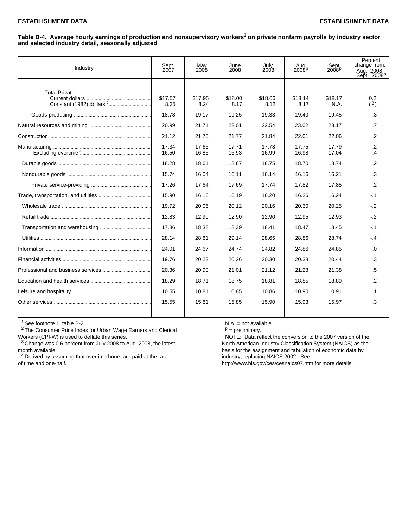**Table B-4. Average hourly earnings of production and nonsupervisory workers**<sup>1</sup> **on private nonfarm payrolls by industry sector and selected industry detail, seasonally adjusted**

|                       |                 |                 |                 |                 |                           |                            | Percent                                               |
|-----------------------|-----------------|-----------------|-----------------|-----------------|---------------------------|----------------------------|-------------------------------------------------------|
| Industry              | Sept.<br>2007   | May<br>2008     | June<br>2008    | July<br>2008    | Aug.<br>2008 <sup>p</sup> | Sept.<br>2008 <sup>p</sup> | change from:<br>Aug. 2008-<br>Sept. 2008 <sup>p</sup> |
|                       |                 |                 |                 |                 |                           |                            |                                                       |
| <b>Total Private:</b> |                 |                 |                 |                 |                           |                            |                                                       |
|                       | \$17.57<br>8.35 | \$17.95<br>8.24 | \$18.00<br>8.17 | \$18.06<br>8.12 | \$18.14<br>8.17           | \$18.17<br>N.A.            | 0.2<br>(3)                                            |
|                       | 18.78           | 19.17           | 19.25           | 19.33           | 19.40                     | 19.45                      | .3                                                    |
|                       | 20.99           | 21.71           | 22.01           | 22.54           | 23.02                     | 23.17                      | .7                                                    |
|                       | 21.12           | 21.70           | 21.77           | 21.84           | 22.01                     | 22.06                      | $\cdot$                                               |
|                       | 17.34           | 17.65           | 17.71           | 17.78           | 17.75                     | 17.79                      | .2                                                    |
|                       | 16.50           | 16.85           | 16.93           | 16.99           | 16.98                     | 17.04                      | $\overline{A}$                                        |
|                       | 18.28           | 18.61           | 18.67           | 18.75           | 18.70                     | 18.74                      | $\overline{2}$                                        |
|                       | 15.74           | 16.04           | 16.11           | 16.14           | 16.16                     | 16.21                      | .3                                                    |
|                       | 17.26           | 17.64           | 17.69           | 17.74           | 17.82                     | 17.85                      | $\cdot$ .2                                            |
|                       | 15.90           | 16.16           | 16.19           | 16.20           | 16.26                     | 16.24                      | $-.1$                                                 |
|                       | 19.72           | 20.06           | 20.12           | 20.16           | 20.30                     | 20.25                      | $-2$                                                  |
|                       | 12.83           | 12.90           | 12.90           | 12.90           | 12.95                     | 12.93                      | $-.2$                                                 |
|                       | 17.86           | 18.38           | 18.39           | 18.41           | 18.47                     | 18.45                      | $-1$                                                  |
|                       | 28.14           | 28.81           | 29.14           | 28.65           | 28.86                     | 28.74                      | $-.4$                                                 |
|                       | 24.01           | 24.67           | 24.74           | 24.82           | 24.86                     | 24.85                      | .0                                                    |
|                       | 19.76           | 20.23           | 20.26           | 20.30           | 20.38                     | 20.44                      | .3                                                    |
|                       | 20.36           | 20.90           | 21.01           | 21.12           | 21.28                     | 21.38                      | $.5\,$                                                |
|                       | 18.29           | 18.71           | 18.75           | 18.81           | 18.85                     | 18.89                      | $\cdot$ .2                                            |
|                       | 10.55           | 10.81           | 10.85           | 10.86           | 10.90                     | 10.91                      | $\cdot$ 1                                             |
|                       | 15.55           | 15.81           | 15.85           | 15.90           | 15.93                     | 15.97                      | $\cdot$ 3                                             |
|                       |                 |                 |                 |                 |                           |                            |                                                       |

<sup>1</sup> See footnote 1, table B-2.

<sup>2</sup> The Consumer Price Index for Urban Wage Earners and Clerical Workers (CPI-W) is used to deflate this series.

<sup>3</sup> Change was 0.6 percent from July 2008 to Aug. 2008, the latest month available.

<sup>4</sup> Derived by assuming that overtime hours are paid at the rate of time and one-half.

N.A. = not available.

 $P =$  preliminary.

NOTE: Data reflect the conversion to the 2007 version of the North American Industry Classification System (NAICS) as the basis for the assignment and tabulation of economic data by industry, replacing NAICS 2002. See

http://www.bls.gov/ces/cesnaics07.htm for more details.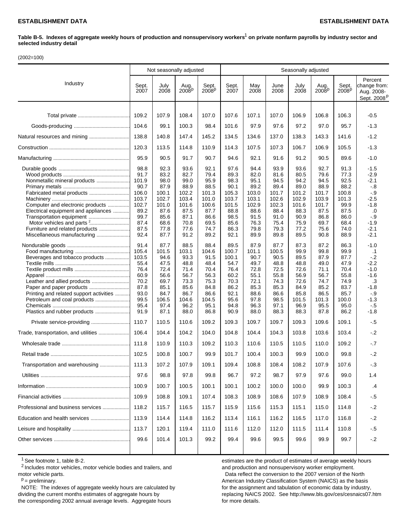**Table B-5. Indexes of aggregate weekly hours of production and nonsupervisory workers**<sup>1</sup> **on private nonfarm payrolls by industry sector and selected industry detail**

(2002=100)

|                                                                                                                                                                                                                                                                                                                                                                                                          | Not seasonally adjusted                                                                                                                                                                                     |                                                                                                                                                                                                            |                                                                                                                                                                                                            |                                                                                                                                                                                                            | Seasonally adjusted                                                                                                                                                                                        |                                                                                                                                                                                                           |                                                                                                                                                                                                           |                                                                                                                                                                                                           |                                                                                                                                                                                                           |                                                                                                                                                                                                          |                                                                                                                                                                                                                                        |  |  |  |  |
|----------------------------------------------------------------------------------------------------------------------------------------------------------------------------------------------------------------------------------------------------------------------------------------------------------------------------------------------------------------------------------------------------------|-------------------------------------------------------------------------------------------------------------------------------------------------------------------------------------------------------------|------------------------------------------------------------------------------------------------------------------------------------------------------------------------------------------------------------|------------------------------------------------------------------------------------------------------------------------------------------------------------------------------------------------------------|------------------------------------------------------------------------------------------------------------------------------------------------------------------------------------------------------------|------------------------------------------------------------------------------------------------------------------------------------------------------------------------------------------------------------|-----------------------------------------------------------------------------------------------------------------------------------------------------------------------------------------------------------|-----------------------------------------------------------------------------------------------------------------------------------------------------------------------------------------------------------|-----------------------------------------------------------------------------------------------------------------------------------------------------------------------------------------------------------|-----------------------------------------------------------------------------------------------------------------------------------------------------------------------------------------------------------|----------------------------------------------------------------------------------------------------------------------------------------------------------------------------------------------------------|----------------------------------------------------------------------------------------------------------------------------------------------------------------------------------------------------------------------------------------|--|--|--|--|
| Industry                                                                                                                                                                                                                                                                                                                                                                                                 | Sept.<br>2007                                                                                                                                                                                               | July<br>2008                                                                                                                                                                                               | Aug.<br>2008 <sup>p</sup>                                                                                                                                                                                  | Sept.<br>2008 <sup>p</sup>                                                                                                                                                                                 | Sept.<br>2007                                                                                                                                                                                              | May<br>2008                                                                                                                                                                                               | June<br>2008                                                                                                                                                                                              | July<br>2008                                                                                                                                                                                              | Aug.<br>2008P                                                                                                                                                                                             | Sept.<br>2008 <sup>p</sup>                                                                                                                                                                               | Percent<br>change from:<br>Aug. 2008-<br>Sept. 2008 <sup>P</sup>                                                                                                                                                                       |  |  |  |  |
|                                                                                                                                                                                                                                                                                                                                                                                                          | 109.2                                                                                                                                                                                                       | 107.9                                                                                                                                                                                                      | 108.4                                                                                                                                                                                                      | 107.0                                                                                                                                                                                                      | 107.6                                                                                                                                                                                                      | 107.1                                                                                                                                                                                                     | 107.0                                                                                                                                                                                                     | 106.9                                                                                                                                                                                                     | 106.8                                                                                                                                                                                                     | 106.3                                                                                                                                                                                                    | $-0.5$                                                                                                                                                                                                                                 |  |  |  |  |
|                                                                                                                                                                                                                                                                                                                                                                                                          | 104.6                                                                                                                                                                                                       | 99.1                                                                                                                                                                                                       | 100.3                                                                                                                                                                                                      | 98.4                                                                                                                                                                                                       | 101.6                                                                                                                                                                                                      | 97.9                                                                                                                                                                                                      | 97.6                                                                                                                                                                                                      | 97.2                                                                                                                                                                                                      | 97.0                                                                                                                                                                                                      | 95.7                                                                                                                                                                                                     | $-1.3$                                                                                                                                                                                                                                 |  |  |  |  |
|                                                                                                                                                                                                                                                                                                                                                                                                          | 138.8                                                                                                                                                                                                       | 140.8                                                                                                                                                                                                      | 147.4                                                                                                                                                                                                      | 145.2                                                                                                                                                                                                      | 134.5                                                                                                                                                                                                      | 134.6                                                                                                                                                                                                     | 137.0                                                                                                                                                                                                     | 138.3                                                                                                                                                                                                     | 143.3                                                                                                                                                                                                     | 141.6                                                                                                                                                                                                    | $-1.2$                                                                                                                                                                                                                                 |  |  |  |  |
|                                                                                                                                                                                                                                                                                                                                                                                                          | 120.3                                                                                                                                                                                                       | 113.5                                                                                                                                                                                                      | 114.8                                                                                                                                                                                                      | 110.9                                                                                                                                                                                                      | 114.3                                                                                                                                                                                                      | 107.5                                                                                                                                                                                                     | 107.3                                                                                                                                                                                                     | 106.7                                                                                                                                                                                                     | 106.9                                                                                                                                                                                                     | 105.5                                                                                                                                                                                                    | $-1.3$                                                                                                                                                                                                                                 |  |  |  |  |
|                                                                                                                                                                                                                                                                                                                                                                                                          | 95.9                                                                                                                                                                                                        | 90.5                                                                                                                                                                                                       | 91.7                                                                                                                                                                                                       | 90.7                                                                                                                                                                                                       | 94.6                                                                                                                                                                                                       | 92.1                                                                                                                                                                                                      | 91.6                                                                                                                                                                                                      | 91.2                                                                                                                                                                                                      | 90.5                                                                                                                                                                                                      | 89.6                                                                                                                                                                                                     | $-1.0$                                                                                                                                                                                                                                 |  |  |  |  |
| Nonmetallic mineral products<br>Fabricated metal products<br>Computer and electronic products<br>Electrical equipment and appliances<br>Transportation equipment<br>Furniture and related products<br>Miscellaneous manufacturing<br>Beverages and tobacco products<br>Leather and allied products<br>Paper and paper products<br>Printing and related support activities<br>Petroleum and coal products | 98.8<br>91.7<br>101.9<br>90.7<br>106.0<br>103.7<br>102.7<br>89.2<br>99.7<br>87.4<br>87.5<br>92.4<br>91.4<br>105.4<br>103.5<br>55.4<br>76.4<br>60.9<br>70.2<br>87.8<br>93.0<br>99.5<br>95.4<br>91.9<br>110.7 | 92.3<br>83.2<br>98.0<br>87.9<br>100.1<br>102.7<br>101.0<br>87.6<br>85.6<br>68.6<br>77.8<br>87.7<br>87.7<br>101.5<br>94.6<br>47.5<br>72.4<br>56.6<br>69.7<br>85.1<br>84.7<br>106.5<br>97.4<br>87.1<br>110.5 | 93.6<br>82.7<br>99.0<br>88.9<br>102.2<br>103.4<br>101.6<br>87.5<br>87.1<br>70.8<br>77.6<br>91.2<br>88.5<br>103.1<br>93.3<br>48.8<br>71.4<br>56.7<br>73.3<br>85.6<br>86.7<br>104.6<br>96.2<br>88.0<br>110.6 | 92.1<br>79.4<br>95.9<br>88.5<br>101.3<br>101.0<br>100.6<br>87.7<br>86.6<br>69.5<br>74.7<br>89.2<br>88.4<br>104.6<br>91.5<br>48.4<br>70.4<br>56.3<br>75.3<br>84.8<br>86.6<br>104.5<br>95.1<br>86.8<br>109.2 | 97.6<br>89.3<br>98.3<br>90.1<br>105.3<br>103.7<br>101.5<br>88.8<br>98.5<br>85.6<br>86.3<br>92.1<br>89.5<br>100.7<br>100.1<br>54.7<br>76.4<br>60.2<br>70.3<br>86.2<br>92.1<br>95.6<br>94.8<br>90.9<br>109.3 | 94.4<br>82.0<br>95.1<br>89.2<br>103.0<br>103.1<br>102.9<br>88.6<br>91.5<br>76.3<br>79.8<br>89.9<br>87.9<br>101.1<br>90.7<br>49.7<br>72.8<br>55.1<br>72.1<br>85.3<br>88.6<br>97.8<br>96.3<br>88.0<br>109.7 | 93.9<br>81.6<br>94.5<br>89.4<br>101.7<br>102.6<br>102.3<br>88.4<br>91.0<br>75.4<br>79.3<br>89.8<br>87.7<br>100.5<br>90.5<br>48.8<br>72.5<br>55.8<br>74.3<br>85.3<br>86.6<br>98.5<br>97.1<br>88.3<br>109.7 | 93.6<br>80.5<br>94.2<br>89.0<br>101.2<br>102.9<br>101.6<br>88.3<br>90.9<br>75.9<br>77.2<br>89.5<br>87.3<br>99.9<br>89.5<br>48.8<br>72.6<br>56.9<br>72.6<br>84.9<br>85.8<br>101.5<br>96.9<br>88.3<br>109.3 | 92.7<br>79.6<br>94.5<br>88.9<br>101.7<br>103.9<br>101.7<br>87.5<br>86.8<br>69.7<br>75.6<br>90.8<br>87.2<br>99.8<br>87.9<br>49.0<br>71.1<br>56.7<br>74.7<br>85.2<br>86.5<br>101.3<br>95.5<br>87.8<br>109.6 | 91.3<br>77.3<br>92.5<br>88.2<br>100.8<br>101.3<br>99.9<br>87.5<br>86.0<br>68.4<br>74.0<br>88.9<br>86.3<br>99.9<br>87.7<br>47.9<br>70.4<br>55.8<br>74.9<br>83.7<br>85.7<br>100.0<br>95.0<br>86.2<br>109.1 | $-1.5$<br>$-2.9$<br>$-2.1$<br>$-8$<br>$-9$<br>$-2.5$<br>$-1.8$<br>.0<br>$-9$<br>$-1.9$<br>$-2.1$<br>$-2.1$<br>$-1.0$<br>$\cdot$ 1<br>$-.2$<br>$-2.2$<br>$-1.0$<br>$-1.6$<br>.3<br>$-1.8$<br>$-9$<br>$-1.3$<br>$-.5$<br>$-1.8$<br>$-.5$ |  |  |  |  |
| Trade, transportation, and utilities                                                                                                                                                                                                                                                                                                                                                                     | 106.4                                                                                                                                                                                                       | 104.4                                                                                                                                                                                                      | 104.2                                                                                                                                                                                                      | 104.0                                                                                                                                                                                                      | 104.8                                                                                                                                                                                                      | 104.4                                                                                                                                                                                                     | 104.3                                                                                                                                                                                                     | 103.8                                                                                                                                                                                                     | 103.6                                                                                                                                                                                                     | 103.4                                                                                                                                                                                                    | $-2$                                                                                                                                                                                                                                   |  |  |  |  |
|                                                                                                                                                                                                                                                                                                                                                                                                          | 111.8                                                                                                                                                                                                       | 110.9                                                                                                                                                                                                      | 110.3                                                                                                                                                                                                      | 109.2                                                                                                                                                                                                      | 110.3                                                                                                                                                                                                      | 110.6                                                                                                                                                                                                     | 110.5                                                                                                                                                                                                     | 110.5                                                                                                                                                                                                     | 110.0                                                                                                                                                                                                     | 109.2                                                                                                                                                                                                    | $-7$                                                                                                                                                                                                                                   |  |  |  |  |
|                                                                                                                                                                                                                                                                                                                                                                                                          | 102.5                                                                                                                                                                                                       | 100.8                                                                                                                                                                                                      | 100.7                                                                                                                                                                                                      | 99.9                                                                                                                                                                                                       | 101.7                                                                                                                                                                                                      | 100.4                                                                                                                                                                                                     | 100.3                                                                                                                                                                                                     | 99.9                                                                                                                                                                                                      | 100.0                                                                                                                                                                                                     | 99.8                                                                                                                                                                                                     | $-2$                                                                                                                                                                                                                                   |  |  |  |  |
| Transportation and warehousing                                                                                                                                                                                                                                                                                                                                                                           | 111.3                                                                                                                                                                                                       | 107.2                                                                                                                                                                                                      | 107.9                                                                                                                                                                                                      | 109.1                                                                                                                                                                                                      | 109.4                                                                                                                                                                                                      | 108.8                                                                                                                                                                                                     | 108.4                                                                                                                                                                                                     | 108.2                                                                                                                                                                                                     | 107.9                                                                                                                                                                                                     | 107.6                                                                                                                                                                                                    | $-3$                                                                                                                                                                                                                                   |  |  |  |  |
|                                                                                                                                                                                                                                                                                                                                                                                                          | 97.6                                                                                                                                                                                                        | 98.8                                                                                                                                                                                                       | 97.8                                                                                                                                                                                                       | 99.8                                                                                                                                                                                                       | 96.7                                                                                                                                                                                                       | 97.2                                                                                                                                                                                                      | 98.7                                                                                                                                                                                                      | 97.9                                                                                                                                                                                                      | 97.6                                                                                                                                                                                                      | 99.0                                                                                                                                                                                                     | 1.4                                                                                                                                                                                                                                    |  |  |  |  |
|                                                                                                                                                                                                                                                                                                                                                                                                          | 100.9                                                                                                                                                                                                       | 100.7                                                                                                                                                                                                      | 100.5                                                                                                                                                                                                      | 100.1                                                                                                                                                                                                      | 100.1                                                                                                                                                                                                      | 100.2                                                                                                                                                                                                     | 100.0                                                                                                                                                                                                     | 100.0                                                                                                                                                                                                     | 99.9                                                                                                                                                                                                      | 100.3                                                                                                                                                                                                    | $\cdot$                                                                                                                                                                                                                                |  |  |  |  |
|                                                                                                                                                                                                                                                                                                                                                                                                          | 109.9                                                                                                                                                                                                       | 108.8                                                                                                                                                                                                      | 109.1                                                                                                                                                                                                      | 107.4                                                                                                                                                                                                      | 108.3                                                                                                                                                                                                      | 108.9                                                                                                                                                                                                     | 108.6                                                                                                                                                                                                     | 107.9                                                                                                                                                                                                     | 108.9                                                                                                                                                                                                     | 108.4                                                                                                                                                                                                    | $-5$                                                                                                                                                                                                                                   |  |  |  |  |
| Professional and business services                                                                                                                                                                                                                                                                                                                                                                       | 118.2                                                                                                                                                                                                       | 115.7                                                                                                                                                                                                      | 116.5                                                                                                                                                                                                      | 115.7                                                                                                                                                                                                      | 115.9                                                                                                                                                                                                      | 115.6                                                                                                                                                                                                     | 115.3                                                                                                                                                                                                     | 115.1                                                                                                                                                                                                     | 115.0                                                                                                                                                                                                     | 114.8                                                                                                                                                                                                    | $-2$                                                                                                                                                                                                                                   |  |  |  |  |
|                                                                                                                                                                                                                                                                                                                                                                                                          | 113.9                                                                                                                                                                                                       | 114.4                                                                                                                                                                                                      | 114.8                                                                                                                                                                                                      | 116.2                                                                                                                                                                                                      | 113.4                                                                                                                                                                                                      | 116.1                                                                                                                                                                                                     | 116.2                                                                                                                                                                                                     | 116.5                                                                                                                                                                                                     | 117.0                                                                                                                                                                                                     | 116.8                                                                                                                                                                                                    | $-2$                                                                                                                                                                                                                                   |  |  |  |  |
|                                                                                                                                                                                                                                                                                                                                                                                                          | 113.7                                                                                                                                                                                                       | 120.1                                                                                                                                                                                                      | 119.4                                                                                                                                                                                                      | 111.0                                                                                                                                                                                                      | 111.6                                                                                                                                                                                                      | 112.0                                                                                                                                                                                                     | 112.0                                                                                                                                                                                                     | 111.5                                                                                                                                                                                                     | 111.4                                                                                                                                                                                                     | 110.8                                                                                                                                                                                                    | $-5$                                                                                                                                                                                                                                   |  |  |  |  |
|                                                                                                                                                                                                                                                                                                                                                                                                          | 99.6                                                                                                                                                                                                        | 101.4                                                                                                                                                                                                      | 101.3                                                                                                                                                                                                      | 99.2                                                                                                                                                                                                       | 99.4                                                                                                                                                                                                       | 99.6                                                                                                                                                                                                      | 99.5                                                                                                                                                                                                      | 99.6                                                                                                                                                                                                      | 99.9                                                                                                                                                                                                      | 99.7                                                                                                                                                                                                     | $-2$                                                                                                                                                                                                                                   |  |  |  |  |

<sup>1</sup> See footnote 1, table B-2.

<sup>2</sup> Includes motor vehicles, motor vehicle bodies and trailers, and motor vehicle parts.

 $P =$  preliminary.

NOTE: The indexes of aggregate weekly hours are calculated by dividing the current months estimates of aggregate hours by the corresponding 2002 annual average levels. Aggregate hours

estimates are the product of estimates of average weekly hours and production and nonsupervisory worker employment. Data reflect the conversion to the 2007 version of the North

American Industry Classification System (NAICS) as the basis for the assignment and tabulation of economic data by industry, replacing NAICS 2002. See http://www.bls.gov/ces/cesnaics07.htm for more details.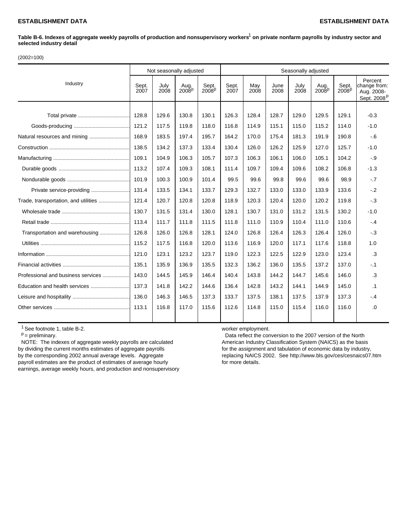Table B-6. Indexes of aggregate weekly payrolls of production and nonsupervisory workers<sup>1</sup> on private nonfarm payrolls by industry sector and **selected industry detail**

(2002=100)

|                                    |               |              | Not seasonally adjusted |                            | Seasonally adjusted |             |              |              |               |                            |                                                                  |  |
|------------------------------------|---------------|--------------|-------------------------|----------------------------|---------------------|-------------|--------------|--------------|---------------|----------------------------|------------------------------------------------------------------|--|
| Industry                           | Sept.<br>2007 | July<br>2008 | Aug.<br>2008P           | Sept.<br>2008 <sup>p</sup> | Sept.<br>2007       | May<br>2008 | June<br>2008 | July<br>2008 | Aug.<br>2008P | Sept.<br>2008 <sup>p</sup> | Percent<br>change from:<br>Aug. 2008-<br>Sept. 2008 <sup>p</sup> |  |
|                                    |               |              |                         |                            |                     |             |              |              |               |                            |                                                                  |  |
|                                    | 128.8         | 129.6        | 130.8                   | 130.1                      | 126.3               | 128.4       | 128.7        | 129.0        | 129.5         | 129.1                      | $-0.3$                                                           |  |
|                                    | 121.2         | 117.5        | 119.8                   | 118.0                      | 116.8               | 114.9       | 115.1        | 115.0        | 115.2         | 114.0                      | $-1.0$                                                           |  |
|                                    | 168.9         | 183.5        | 197.4                   | 195.7                      | 164.2               | 170.0       | 175.4        | 181.3        | 191.9         | 190.8                      | $-6$                                                             |  |
|                                    | 138.5         | 134.2        | 137.3                   | 133.4                      | 130.4               | 126.0       | 126.2        | 125.9        | 127.0         | 125.7                      | $-1.0$                                                           |  |
|                                    | 109.1         | 104.9        | 106.3                   | 105.7                      | 107.3               | 106.3       | 106.1        | 106.0        | 105.1         | 104.2                      | $-.9$                                                            |  |
|                                    | 113.2         | 107.4        | 109.3                   | 108.1                      | 111.4               | 109.7       | 109.4        | 109.6        | 108.2         | 106.8                      | $-1.3$                                                           |  |
|                                    | 101.9         | 100.3        | 100.9                   | 101.4                      | 99.5                | 99.6        | 99.8         | 99.6         | 99.6          | 98.9                       | $-.7$                                                            |  |
|                                    | 131.4         | 133.5        | 134.1                   | 133.7                      | 129.3               | 132.7       | 133.0        | 133.0        | 133.9         | 133.6                      | $-2$                                                             |  |
|                                    | 121.4         | 120.7        | 120.8                   | 120.8                      | 118.9               | 120.3       | 120.4        | 120.0        | 120.2         | 119.8                      | $-3$                                                             |  |
|                                    | 130.7         | 131.5        | 131.4                   | 130.0                      | 128.1               | 130.7       | 131.0        | 131.2        | 131.5         | 130.2                      | $-1.0$                                                           |  |
|                                    | 113.4         | 111.7        | 111.8                   | 111.5                      | 111.8               | 111.0       | 110.9        | 110.4        | 111.0         | 110.6                      | $-.4$                                                            |  |
| Transportation and warehousing     | 126.8         | 126.0        | 126.8                   | 128.1                      | 124.0               | 126.8       | 126.4        | 126.3        | 126.4         | 126.0                      | $-.3$                                                            |  |
|                                    | 115.2         | 117.5        | 116.8                   | 120.0                      | 113.6               | 116.9       | 120.0        | 117.1        | 117.6         | 118.8                      | 1.0                                                              |  |
|                                    | 121.0         | 123.1        | 123.2                   | 123.7                      | 119.0               | 122.3       | 122.5        | 122.9        | 123.0         | 123.4                      | .3                                                               |  |
|                                    | 135.1         | 135.9        | 136.9                   | 135.5                      | 132.3               | 136.2       | 136.0        | 135.5        | 137.2         | 137.0                      | $-.1$                                                            |  |
| Professional and business services | 143.0         | 144.5        | 145.9                   | 146.4                      | 140.4               | 143.8       | 144.2        | 144.7        | 145.6         | 146.0                      | .3                                                               |  |
|                                    | 137.3         | 141.8        | 142.2                   | 144.6                      | 136.4               | 142.8       | 143.2        | 144.1        | 144.9         | 145.0                      | $\cdot$ 1                                                        |  |
|                                    | 136.0         | 146.3        | 146.5                   | 137.3                      | 133.7               | 137.5       | 138.1        | 137.5        | 137.9         | 137.3                      | $-.4$                                                            |  |
|                                    | 113.1         | 116.8        | 117.0                   | 115.6                      | 112.6               | 114.8       | 115.0        | 115.4        | 116.0         | 116.0                      | .0                                                               |  |
|                                    |               |              |                         |                            |                     |             |              |              |               |                            |                                                                  |  |

<sup>1</sup> See footnote 1, table B-2.

NOTE: The indexes of aggregate weekly payrolls are calculated by dividing the current months estimates of aggregate payrolls by the corresponding 2002 annual average levels. Aggregate payroll estimates are the product of estimates of average hourly earnings, average weekly hours, and production and nonsupervisory worker employment.

Data reflect the conversion to the 2007 version of the North American Industry Classification System (NAICS) as the basis for the assignment and tabulation of economic data by industry, replacing NAICS 2002. See http://www.bls.gov/ces/cesnaics07.htm for more details.

 $P =$  preliminary.